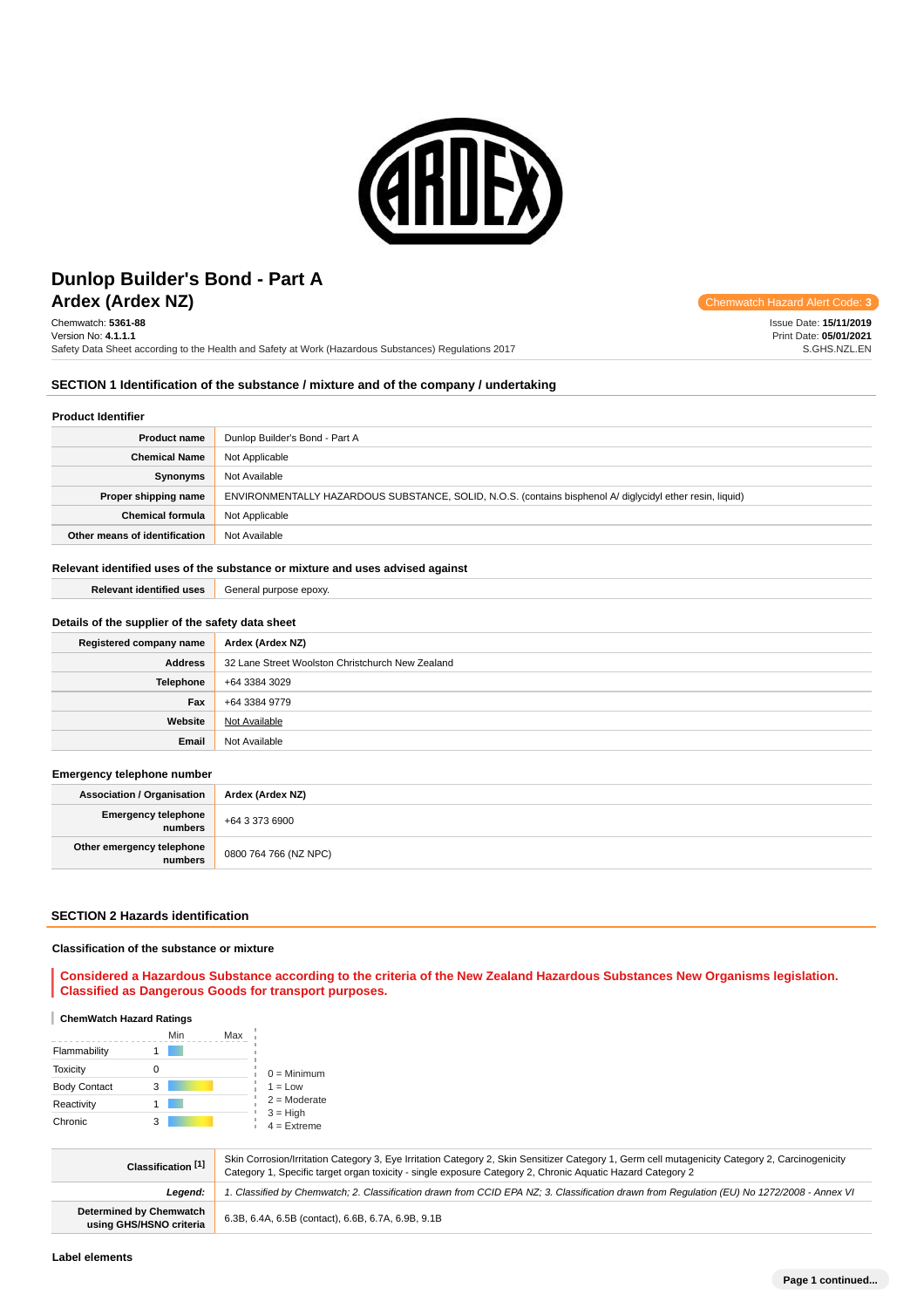

# **Ardex (Ardex NZ) Chemwatch Hazard Alert** Communication Controllering Communication Controllering Communication Controllering Controllering Controllering Controllering Controllering Controllering Controllering Controller **Dunlop Builder's Bond - Part A**

Chemwatch: **5361-88** Version No: **4.1.1.1** Safety Data Sheet according to the Health and Safety at Work (Hazardous Substances) Regulations 2017

Issue Date: **15/11/2019** Print Date: **05/01/2021** S.GHS.NZL.EN

## **SECTION 1 Identification of the substance / mixture and of the company / undertaking**

### **Product Identifier**

| <b>Product name</b>           | Dunlop Builder's Bond - Part A                                                                            |  |
|-------------------------------|-----------------------------------------------------------------------------------------------------------|--|
| <b>Chemical Name</b>          | Not Applicable                                                                                            |  |
| Synonyms                      | Not Available                                                                                             |  |
| Proper shipping name          | ENVIRONMENTALLY HAZARDOUS SUBSTANCE, SOLID, N.O.S. (contains bisphenol A/ diglycidyl ether resin, liquid) |  |
| <b>Chemical formula</b>       | Not Applicable                                                                                            |  |
| Other means of identification | Not Available                                                                                             |  |

### **Relevant identified uses of the substance or mixture and uses advised against**

#### **Relevant identified uses** General purpose epoxy.

### **Details of the supplier of the safety data sheet**

| Registered company name | Ardex (Ardex NZ)                                 |  |
|-------------------------|--------------------------------------------------|--|
| <b>Address</b>          | 32 Lane Street Woolston Christchurch New Zealand |  |
| <b>Telephone</b>        | +64 3384 3029                                    |  |
| Fax                     | +64 3384 9779                                    |  |
| Website                 | Not Available                                    |  |
| Email                   | Not Available                                    |  |

#### **Emergency telephone number**

| <b>Association / Organisation</b> | Ardex (Ardex NZ)                   |  |
|-----------------------------------|------------------------------------|--|
| Emergency telephone               | $+6433736900$                      |  |
| Other emergency telephone         | <sup>1</sup> 0800 764 766 (NZ NPC) |  |

### **SECTION 2 Hazards identification**

#### **Classification of the substance or mixture**

**Considered a Hazardous Substance according to the criteria of the New Zealand Hazardous Substances New Organisms legislation. Classified as Dangerous Goods for transport purposes.**

#### **ChemWatch Hazard Ratings**

|                     | Min | Max |                             |
|---------------------|-----|-----|-----------------------------|
| Flammability        |     |     |                             |
| <b>Toxicity</b>     |     |     | $0 =$ Minimum               |
| <b>Body Contact</b> | 3   |     | $1 = Low$                   |
| Reactivity          |     |     | $2 =$ Moderate              |
| Chronic             | 3   |     | $3 = High$<br>$4 =$ Extreme |

| Classification [1]                                                                                                                                    | Skin Corrosion/Irritation Category 3, Eye Irritation Category 2, Skin Sensitizer Category 1, Germ cell mutagenicity Category 2, Carcinogenicity<br>Category 1, Specific target organ toxicity - single exposure Category 2, Chronic Aquatic Hazard Category 2 |  |  |
|-------------------------------------------------------------------------------------------------------------------------------------------------------|---------------------------------------------------------------------------------------------------------------------------------------------------------------------------------------------------------------------------------------------------------------|--|--|
| 1. Classified by Chemwatch; 2. Classification drawn from CCID EPA NZ; 3. Classification drawn from Requlation (EU) No 1272/2008 - Annex VI<br>Leaend: |                                                                                                                                                                                                                                                               |  |  |
| <b>Determined by Chemwatch</b><br>using GHS/HSNO criteria                                                                                             | 6.3B, 6.4A, 6.5B (contact), 6.6B, 6.7A, 6.9B, 9.1B                                                                                                                                                                                                            |  |  |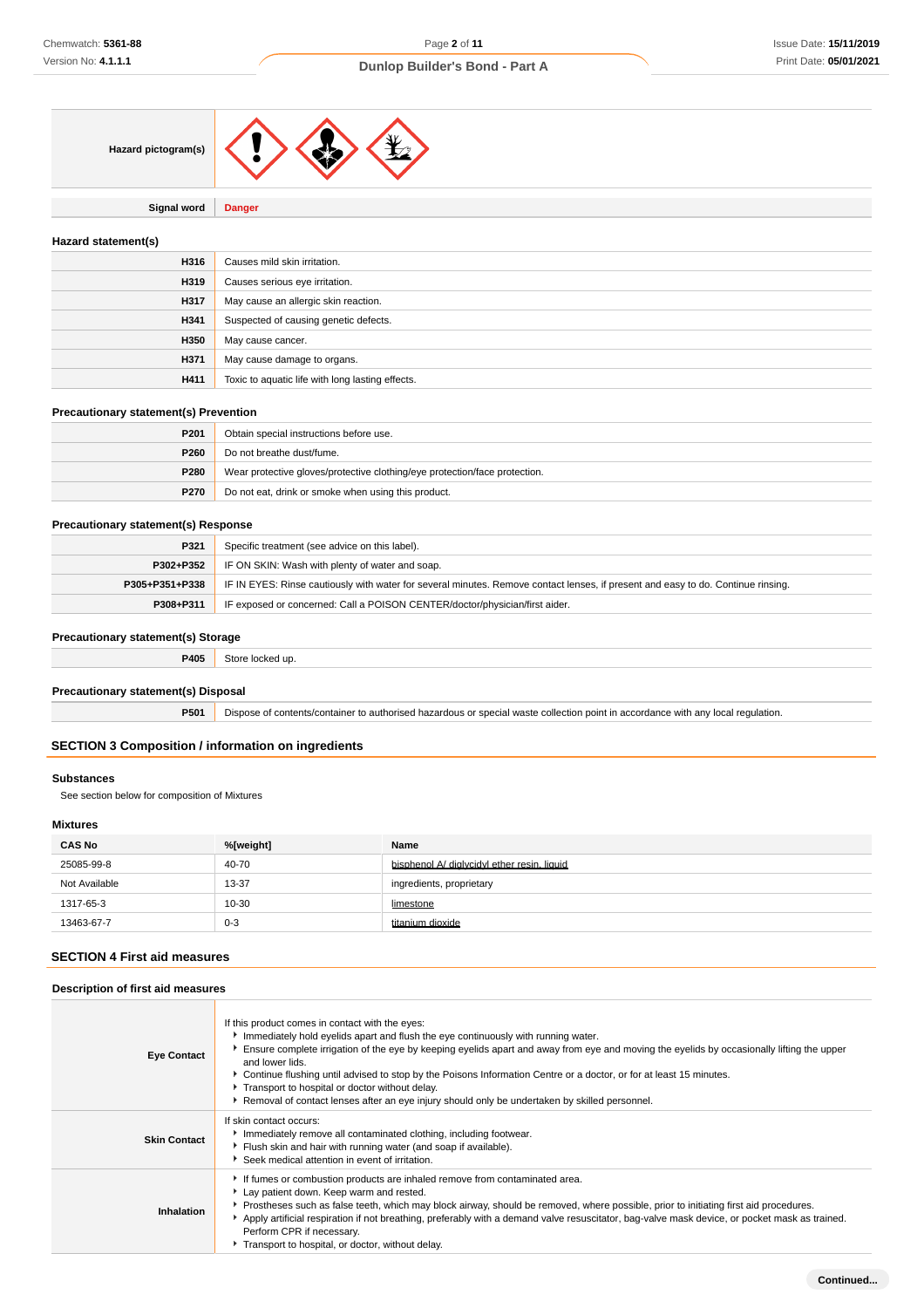

**Signal word Danger**

### **Hazard statement(s)**

| H316 | Causes mild skin irritation.                     |
|------|--------------------------------------------------|
| H319 | Causes serious eye irritation.                   |
| H317 | May cause an allergic skin reaction.             |
| H341 | Suspected of causing genetic defects.            |
| H350 | May cause cancer.                                |
| H371 | May cause damage to organs.                      |
| H411 | Toxic to aquatic life with long lasting effects. |

### **Precautionary statement(s) Prevention**

| P <sub>201</sub> | Obtain special instructions before use.                                    |  |
|------------------|----------------------------------------------------------------------------|--|
| P260             | Do not breathe dust/fume.                                                  |  |
| P280             | Wear protective gloves/protective clothing/eye protection/face protection. |  |
| P270             | Do not eat, drink or smoke when using this product.                        |  |

### **Precautionary statement(s) Response**

| P321           | Specific treatment (see advice on this label).                                                                                   |  |
|----------------|----------------------------------------------------------------------------------------------------------------------------------|--|
|                | <b>P302+P352</b> IF ON SKIN: Wash with plenty of water and soap.                                                                 |  |
| P305+P351+P338 | IF IN EYES: Rinse cautiously with water for several minutes. Remove contact lenses, if present and easy to do. Continue rinsing. |  |
| P308+P311      | IF exposed or concerned: Call a POISON CENTER/doctor/physician/first aider.                                                      |  |

### **Precautionary statement(s) Storage**

| P405 | $+ - -$<br>l ur |
|------|-----------------|
|      |                 |

### **Precautionary statement(s) Disposal**

**P501** Dispose of contents/container to authorised hazardous or special waste collection point in accordance with any local regulation.

### **SECTION 3 Composition / information on ingredients**

#### **Substances**

See section below for composition of Mixtures

# **Mixtures**

| <b>CAS No</b> | %[weight] | Name                                        |
|---------------|-----------|---------------------------------------------|
| 25085-99-8    | 40-70     | bisphenol A/ diglycidyl ether resin, liquid |
| Not Available | 13-37     | ingredients, proprietary                    |
| 1317-65-3     | 10-30     | limestone                                   |
| 13463-67-7    | $0 - 3$   | titanium dioxide                            |

### **SECTION 4 First aid measures**

#### **Description of first aid measures**

| <b>Eye Contact</b>  | If this product comes in contact with the eyes:<br>Immediately hold eyelids apart and flush the eye continuously with running water.<br>Ensure complete irrigation of the eye by keeping eyelids apart and away from eye and moving the eyelids by occasionally lifting the upper<br>and lower lids.<br>Continue flushing until advised to stop by the Poisons Information Centre or a doctor, or for at least 15 minutes.<br>Transport to hospital or doctor without delay.<br>Removal of contact lenses after an eye injury should only be undertaken by skilled personnel. |  |  |
|---------------------|-------------------------------------------------------------------------------------------------------------------------------------------------------------------------------------------------------------------------------------------------------------------------------------------------------------------------------------------------------------------------------------------------------------------------------------------------------------------------------------------------------------------------------------------------------------------------------|--|--|
| <b>Skin Contact</b> | If skin contact occurs:<br>Immediately remove all contaminated clothing, including footwear.<br>Flush skin and hair with running water (and soap if available).<br>Seek medical attention in event of irritation.                                                                                                                                                                                                                                                                                                                                                             |  |  |
| Inhalation          | If fumes or combustion products are inhaled remove from contaminated area.<br>Lay patient down. Keep warm and rested.<br>▶ Prostheses such as false teeth, which may block airway, should be removed, where possible, prior to initiating first aid procedures.<br>Apply artificial respiration if not breathing, preferably with a demand valve resuscitator, bag-valve mask device, or pocket mask as trained.<br>Perform CPR if necessary.<br>Transport to hospital, or doctor, without delay.                                                                             |  |  |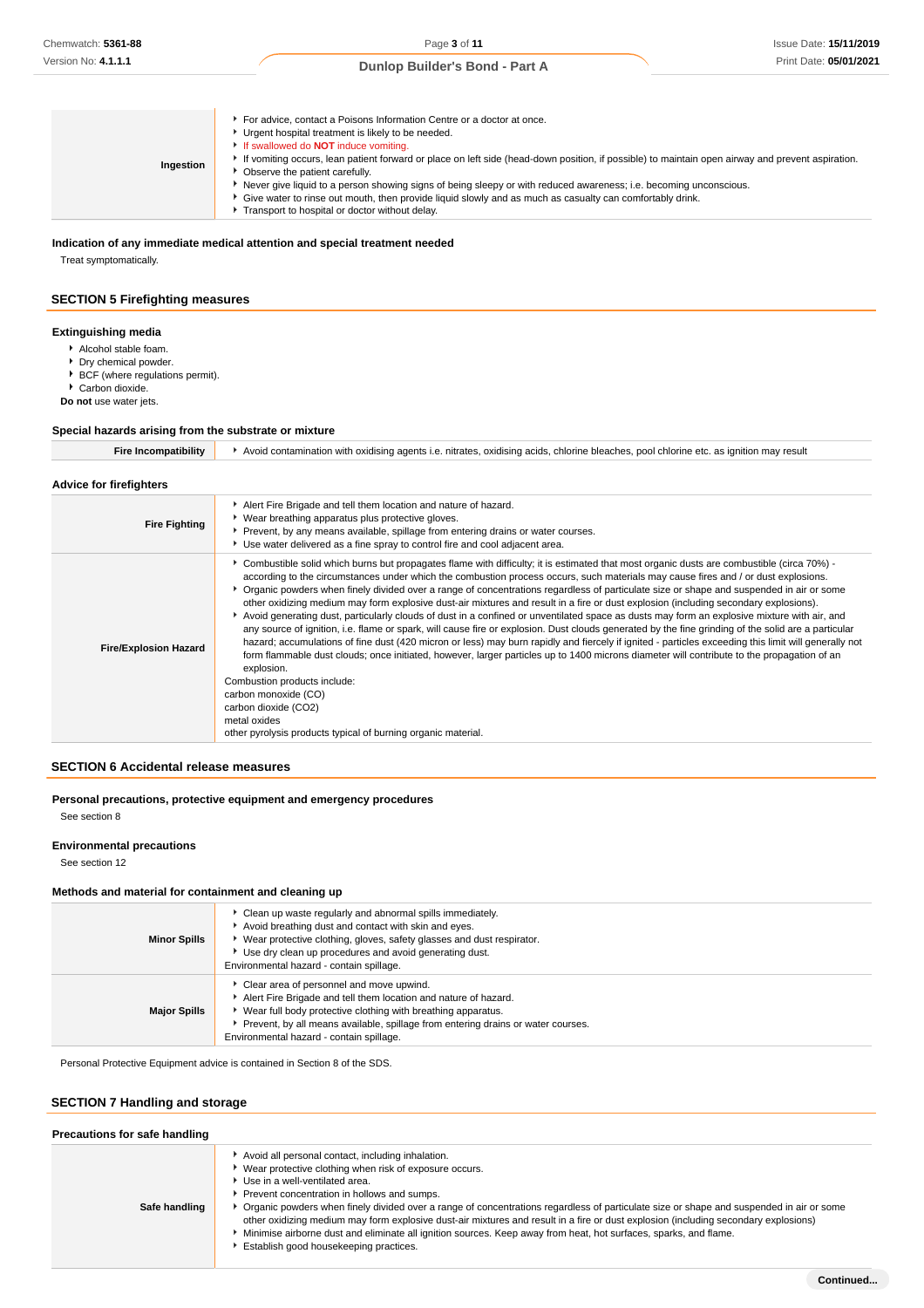### **Indication of any immediate medical attention and special treatment needed**

Treat symptomatically.

### **SECTION 5 Firefighting measures**

### **Extinguishing media**

- Alcohol stable foam.
- **Dry chemical powder.**
- ▶ BCF (where regulations permit).

▶ Carbon dioxide.

**Do not** use water jets.

### **Special hazards arising from the substrate or mixture**

| <b>Fire Incompatibility</b>  | Avoid contamination with oxidising agents i.e. nitrates, oxidising acids, chlorine bleaches, pool chlorine etc. as ignition may result                                                                                                                                                                                                                                                                                                                                                                                                                                                                                                                                                                                                                                                                                                                                                                                                                                                                                                                                                                                                                                                                                                                                                                                                                          |
|------------------------------|-----------------------------------------------------------------------------------------------------------------------------------------------------------------------------------------------------------------------------------------------------------------------------------------------------------------------------------------------------------------------------------------------------------------------------------------------------------------------------------------------------------------------------------------------------------------------------------------------------------------------------------------------------------------------------------------------------------------------------------------------------------------------------------------------------------------------------------------------------------------------------------------------------------------------------------------------------------------------------------------------------------------------------------------------------------------------------------------------------------------------------------------------------------------------------------------------------------------------------------------------------------------------------------------------------------------------------------------------------------------|
| Advice for firefighters      |                                                                                                                                                                                                                                                                                                                                                                                                                                                                                                                                                                                                                                                                                                                                                                                                                                                                                                                                                                                                                                                                                                                                                                                                                                                                                                                                                                 |
| <b>Fire Fighting</b>         | Alert Fire Brigade and tell them location and nature of hazard.<br>Wear breathing apparatus plus protective gloves.<br>Prevent, by any means available, spillage from entering drains or water courses.<br>Use water delivered as a fine spray to control fire and cool adjacent area.                                                                                                                                                                                                                                                                                                                                                                                                                                                                                                                                                                                                                                                                                                                                                                                                                                                                                                                                                                                                                                                                          |
| <b>Fire/Explosion Hazard</b> | • Combustible solid which burns but propagates flame with difficulty; it is estimated that most organic dusts are combustible (circa 70%) -<br>according to the circumstances under which the combustion process occurs, such materials may cause fires and / or dust explosions.<br>Organic powders when finely divided over a range of concentrations regardless of particulate size or shape and suspended in air or some<br>other oxidizing medium may form explosive dust-air mixtures and result in a fire or dust explosion (including secondary explosions).<br>Avoid generating dust, particularly clouds of dust in a confined or unventilated space as dusts may form an explosive mixture with air, and<br>any source of ignition, i.e. flame or spark, will cause fire or explosion. Dust clouds generated by the fine grinding of the solid are a particular<br>hazard; accumulations of fine dust (420 micron or less) may burn rapidly and fiercely if ignited - particles exceeding this limit will generally not<br>form flammable dust clouds; once initiated, however, larger particles up to 1400 microns diameter will contribute to the propagation of an<br>explosion.<br>Combustion products include:<br>carbon monoxide (CO)<br>carbon dioxide (CO2)<br>metal oxides<br>other pyrolysis products typical of burning organic material. |

### **SECTION 6 Accidental release measures**

### **Personal precautions, protective equipment and emergency procedures** See section 8

### **Environmental precautions**

See section 12

### **Methods and material for containment and cleaning up**

| <b>Minor Spills</b> | • Clean up waste regularly and abnormal spills immediately.<br>Avoid breathing dust and contact with skin and eyes.<br>▶ Wear protective clothing, gloves, safety glasses and dust respirator.<br>Use dry clean up procedures and avoid generating dust.<br>Environmental hazard - contain spillage.            |
|---------------------|-----------------------------------------------------------------------------------------------------------------------------------------------------------------------------------------------------------------------------------------------------------------------------------------------------------------|
| <b>Major Spills</b> | Clear area of personnel and move upwind.<br>Alert Fire Brigade and tell them location and nature of hazard.<br>▶ Wear full body protective clothing with breathing apparatus.<br>▶ Prevent, by all means available, spillage from entering drains or water courses.<br>Environmental hazard - contain spillage. |

Personal Protective Equipment advice is contained in Section 8 of the SDS.

# **SECTION 7 Handling and storage**

| Precautions for safe handling |                                                                                                                                                                                                                                                                                                                                                                                                                                                                                                                                                                                                                                              |  |  |  |  |
|-------------------------------|----------------------------------------------------------------------------------------------------------------------------------------------------------------------------------------------------------------------------------------------------------------------------------------------------------------------------------------------------------------------------------------------------------------------------------------------------------------------------------------------------------------------------------------------------------------------------------------------------------------------------------------------|--|--|--|--|
| Safe handling                 | Avoid all personal contact, including inhalation.<br>Wear protective clothing when risk of exposure occurs.<br>Use in a well-ventilated area.<br>Prevent concentration in hollows and sumps.<br>Organic powders when finely divided over a range of concentrations regardless of particulate size or shape and suspended in air or some<br>other oxidizing medium may form explosive dust-air mixtures and result in a fire or dust explosion (including secondary explosions)<br>Minimise airborne dust and eliminate all ignition sources. Keep away from heat, hot surfaces, sparks, and flame.<br>Establish good housekeeping practices. |  |  |  |  |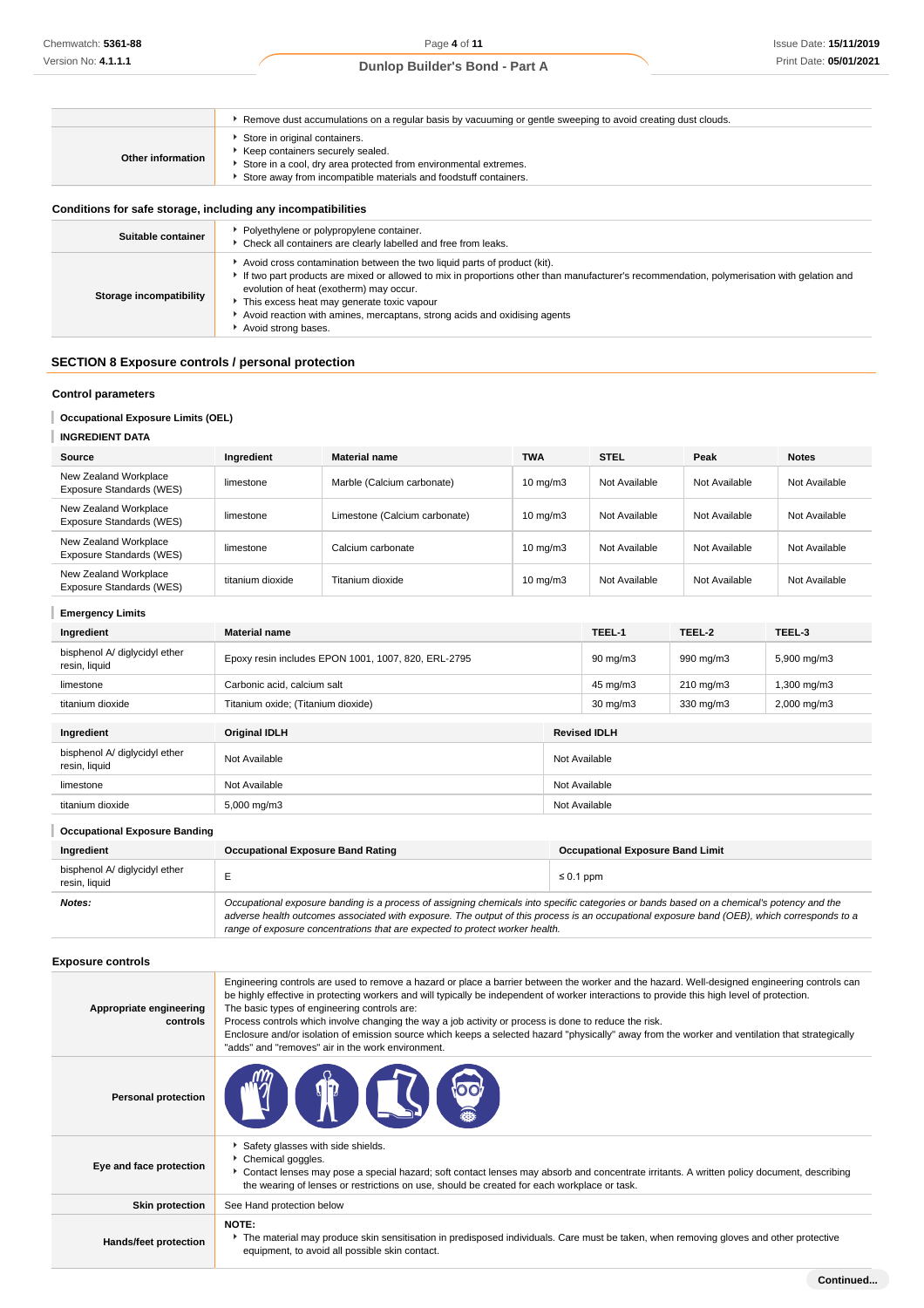# Page **4** of **11**

# **Dunlop Builder's Bond - Part A**

|                                                              | ► Remove dust accumulations on a regular basis by vacuuming or gentle sweeping to avoid creating dust clouds.                                                                                                                                                                                                                                                                                                       |
|--------------------------------------------------------------|---------------------------------------------------------------------------------------------------------------------------------------------------------------------------------------------------------------------------------------------------------------------------------------------------------------------------------------------------------------------------------------------------------------------|
| Other information                                            | Store in original containers.<br>Keep containers securely sealed.<br>Store in a cool, dry area protected from environmental extremes.<br>Store away from incompatible materials and foodstuff containers.                                                                                                                                                                                                           |
| Conditions for safe storage, including any incompatibilities |                                                                                                                                                                                                                                                                                                                                                                                                                     |
| Suitable container                                           | • Polyethylene or polypropylene container.<br>• Check all containers are clearly labelled and free from leaks.                                                                                                                                                                                                                                                                                                      |
| Storage incompatibility                                      | Avoid cross contamination between the two liquid parts of product (kit).<br>If two part products are mixed or allowed to mix in proportions other than manufacturer's recommendation, polymerisation with gelation and<br>evolution of heat (exotherm) may occur.<br>This excess heat may generate toxic vapour<br>Avoid reaction with amines, mercaptans, strong acids and oxidising agents<br>Avoid strong bases. |
| <b>SECTION 8 Exposure controls / personal protection</b>     |                                                                                                                                                                                                                                                                                                                                                                                                                     |
| <b>Control parameters</b>                                    |                                                                                                                                                                                                                                                                                                                                                                                                                     |

# **Occupational Exposure Limits (OEL)**

| <b>INGREDIENT DATA</b>                            |                  |                               |                   |               |               |               |
|---------------------------------------------------|------------------|-------------------------------|-------------------|---------------|---------------|---------------|
| Source                                            | Ingredient       | <b>Material name</b>          | <b>TWA</b>        | <b>STEL</b>   | Peak          | <b>Notes</b>  |
| New Zealand Workplace<br>Exposure Standards (WES) | limestone        | Marble (Calcium carbonate)    | $10 \text{ mg/m}$ | Not Available | Not Available | Not Available |
| New Zealand Workplace<br>Exposure Standards (WES) | limestone        | Limestone (Calcium carbonate) | $10 \text{ mg/m}$ | Not Available | Not Available | Not Available |
| New Zealand Workplace<br>Exposure Standards (WES) | limestone        | Calcium carbonate             | $10 \text{ mg/m}$ | Not Available | Not Available | Not Available |
| New Zealand Workplace<br>Exposure Standards (WES) | titanium dioxide | Titanium dioxide              | $10 \text{ mg/m}$ | Not Available | Not Available | Not Available |

| <b>Emergency Limits</b>                        |                                                     |  |                     |                    |                         |  |
|------------------------------------------------|-----------------------------------------------------|--|---------------------|--------------------|-------------------------|--|
| Ingredient                                     | <b>Material name</b>                                |  | TEEL-1              | TEEL-2             | TEEL-3                  |  |
| bisphenol A/ diglycidyl ether<br>resin, liquid | Epoxy resin includes EPON 1001, 1007, 820, ERL-2795 |  | $90 \text{ mg/m}$   | 990 mg/m3          | 5,900 mg/m3             |  |
| limestone                                      | Carbonic acid, calcium salt                         |  | 45 mg/m3            | $210 \text{ mg/m}$ | 1,300 mg/m3             |  |
| titanium dioxide                               | Titanium oxide; (Titanium dioxide)                  |  | $30 \text{ mg/m}$   | 330 mg/m3          | $2,000 \,\mathrm{mg/m}$ |  |
| Ingredient                                     | <b>Original IDLH</b>                                |  | <b>Revised IDLH</b> |                    |                         |  |
| bisphenol A/ diglycidyl ether<br>resin, liquid | Not Available                                       |  | Not Available       |                    |                         |  |
| limestone                                      | Not Available                                       |  | Not Available       |                    |                         |  |
| titanium dioxide                               | $5,000 \,\mathrm{mg/m}$                             |  | Not Available       |                    |                         |  |

| <b>Occupational Exposure Banding</b>           |                                                                                                                                                                                                                                                                                                                                                                          |                                         |  |  |  |
|------------------------------------------------|--------------------------------------------------------------------------------------------------------------------------------------------------------------------------------------------------------------------------------------------------------------------------------------------------------------------------------------------------------------------------|-----------------------------------------|--|--|--|
| Ingredient                                     | <b>Occupational Exposure Band Rating</b>                                                                                                                                                                                                                                                                                                                                 | <b>Occupational Exposure Band Limit</b> |  |  |  |
| bisphenol A/ diglycidyl ether<br>resin, liquid |                                                                                                                                                                                                                                                                                                                                                                          | $\leq 0.1$ ppm                          |  |  |  |
| Notes:                                         | Occupational exposure banding is a process of assigning chemicals into specific categories or bands based on a chemical's potency and the<br>adverse health outcomes associated with exposure. The output of this process is an occupational exposure band (OEB), which corresponds to a<br>range of exposure concentrations that are expected to protect worker health. |                                         |  |  |  |

# **Exposure controls**

| Appropriate engineering<br>controls | Engineering controls are used to remove a hazard or place a barrier between the worker and the hazard. Well-designed engineering controls can<br>be highly effective in protecting workers and will typically be independent of worker interactions to provide this high level of protection.<br>The basic types of engineering controls are:<br>Process controls which involve changing the way a job activity or process is done to reduce the risk.<br>Enclosure and/or isolation of emission source which keeps a selected hazard "physically" away from the worker and ventilation that strategically<br>"adds" and "removes" air in the work environment. |
|-------------------------------------|-----------------------------------------------------------------------------------------------------------------------------------------------------------------------------------------------------------------------------------------------------------------------------------------------------------------------------------------------------------------------------------------------------------------------------------------------------------------------------------------------------------------------------------------------------------------------------------------------------------------------------------------------------------------|
| <b>Personal protection</b>          | <b>THE ST</b><br><b>POOT</b>                                                                                                                                                                                                                                                                                                                                                                                                                                                                                                                                                                                                                                    |
| Eye and face protection             | Safety glasses with side shields.<br>Chemical goggles.<br>Contact lenses may pose a special hazard; soft contact lenses may absorb and concentrate irritants. A written policy document, describing<br>the wearing of lenses or restrictions on use, should be created for each workplace or task.                                                                                                                                                                                                                                                                                                                                                              |
| <b>Skin protection</b>              | See Hand protection below                                                                                                                                                                                                                                                                                                                                                                                                                                                                                                                                                                                                                                       |
| Hands/feet protection               | <b>NOTE:</b><br>The material may produce skin sensitisation in predisposed individuals. Care must be taken, when removing gloves and other protective<br>equipment, to avoid all possible skin contact.                                                                                                                                                                                                                                                                                                                                                                                                                                                         |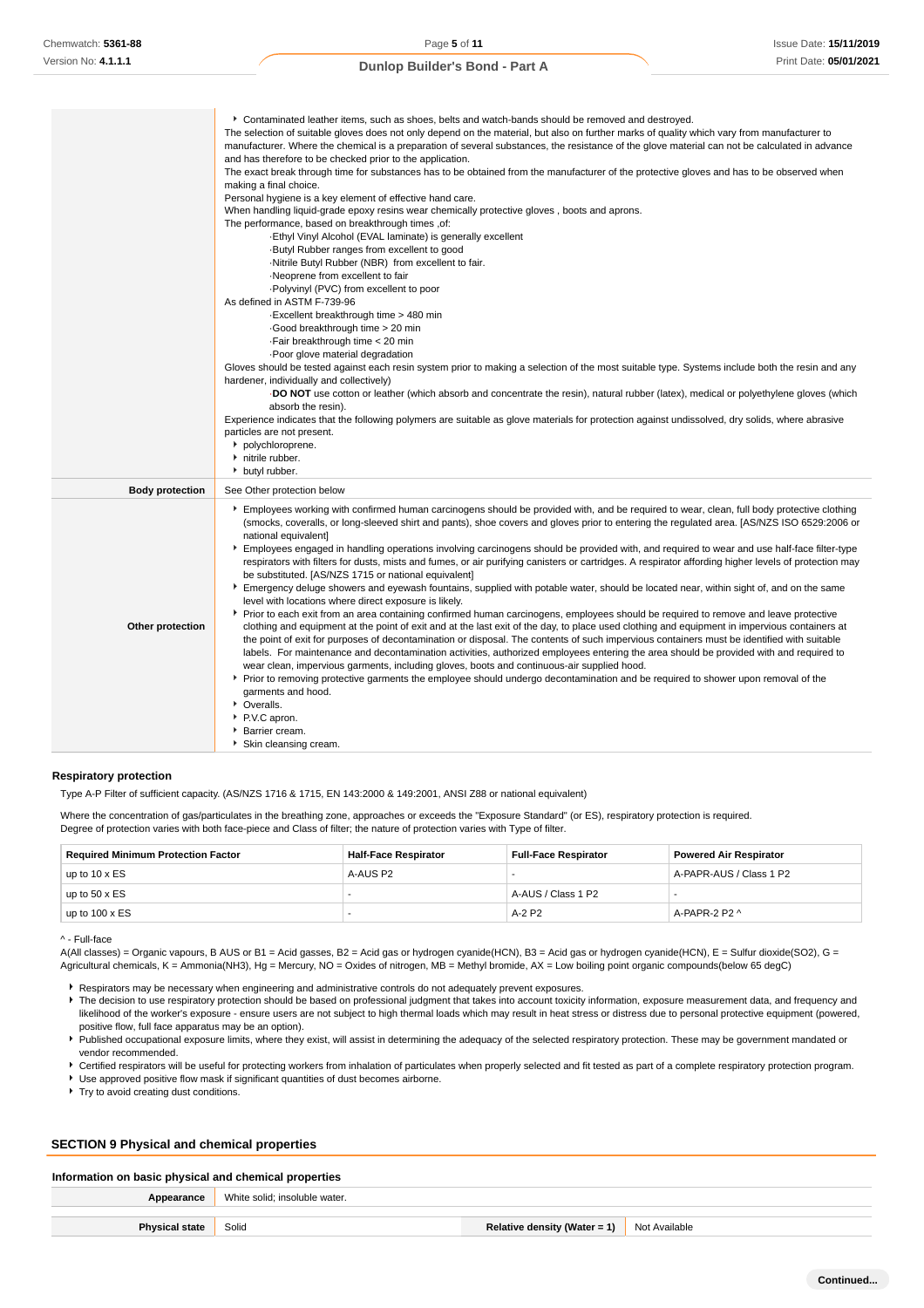|                        | ► Contaminated leather items, such as shoes, belts and watch-bands should be removed and destroyed.                                                                                                                                                                                                              |
|------------------------|------------------------------------------------------------------------------------------------------------------------------------------------------------------------------------------------------------------------------------------------------------------------------------------------------------------|
|                        | The selection of suitable gloves does not only depend on the material, but also on further marks of quality which vary from manufacturer to                                                                                                                                                                      |
|                        | manufacturer. Where the chemical is a preparation of several substances, the resistance of the glove material can not be calculated in advance                                                                                                                                                                   |
|                        | and has therefore to be checked prior to the application.                                                                                                                                                                                                                                                        |
|                        | The exact break through time for substances has to be obtained from the manufacturer of the protective gloves and has to be observed when                                                                                                                                                                        |
|                        | making a final choice.                                                                                                                                                                                                                                                                                           |
|                        | Personal hygiene is a key element of effective hand care.                                                                                                                                                                                                                                                        |
|                        | When handling liquid-grade epoxy resins wear chemically protective gloves, boots and aprons.                                                                                                                                                                                                                     |
|                        | The performance, based on breakthrough times, of:                                                                                                                                                                                                                                                                |
|                        | Ethyl Vinyl Alcohol (EVAL laminate) is generally excellent                                                                                                                                                                                                                                                       |
|                        | -Butyl Rubber ranges from excellent to good                                                                                                                                                                                                                                                                      |
|                        | -Nitrile Butyl Rubber (NBR) from excellent to fair.                                                                                                                                                                                                                                                              |
|                        | ·Neoprene from excellent to fair                                                                                                                                                                                                                                                                                 |
|                        | -Polyvinyl (PVC) from excellent to poor                                                                                                                                                                                                                                                                          |
|                        | As defined in ASTM F-739-96                                                                                                                                                                                                                                                                                      |
|                        | -Excellent breakthrough time > 480 min                                                                                                                                                                                                                                                                           |
|                        | Good breakthrough time > 20 min                                                                                                                                                                                                                                                                                  |
|                        |                                                                                                                                                                                                                                                                                                                  |
|                        | . Fair breakthrough time < 20 min                                                                                                                                                                                                                                                                                |
|                        | Poor glove material degradation                                                                                                                                                                                                                                                                                  |
|                        | Gloves should be tested against each resin system prior to making a selection of the most suitable type. Systems include both the resin and any                                                                                                                                                                  |
|                        | hardener, individually and collectively)                                                                                                                                                                                                                                                                         |
|                        | DO NOT use cotton or leather (which absorb and concentrate the resin), natural rubber (latex), medical or polyethylene gloves (which                                                                                                                                                                             |
|                        | absorb the resin).                                                                                                                                                                                                                                                                                               |
|                        | Experience indicates that the following polymers are suitable as glove materials for protection against undissolved, dry solids, where abrasive                                                                                                                                                                  |
|                        | particles are not present.                                                                                                                                                                                                                                                                                       |
|                        | polychloroprene.                                                                                                                                                                                                                                                                                                 |
|                        | nitrile rubber.                                                                                                                                                                                                                                                                                                  |
|                        | butyl rubber.                                                                                                                                                                                                                                                                                                    |
| <b>Body protection</b> | See Other protection below                                                                                                                                                                                                                                                                                       |
|                        | Employees working with confirmed human carcinogens should be provided with, and be required to wear, clean, full body protective clothing<br>(smocks, coveralls, or long-sleeved shirt and pants), shoe covers and gloves prior to entering the regulated area. [AS/NZS ISO 6529:2006 or<br>national equivalent] |
|                        | Employees engaged in handling operations involving carcinogens should be provided with, and required to wear and use half-face filter-type<br>respirators with filters for dusts, mists and fumes, or air purifying canisters or cartridges. A respirator affording higher levels of protection may              |
|                        | be substituted. [AS/NZS 1715 or national equivalent]                                                                                                                                                                                                                                                             |
|                        | Emergency deluge showers and eyewash fountains, supplied with potable water, should be located near, within sight of, and on the same                                                                                                                                                                            |
|                        | level with locations where direct exposure is likely.                                                                                                                                                                                                                                                            |
|                        | ▶ Prior to each exit from an area containing confirmed human carcinogens, employees should be required to remove and leave protective                                                                                                                                                                            |
| Other protection       | clothing and equipment at the point of exit and at the last exit of the day, to place used clothing and equipment in impervious containers at                                                                                                                                                                    |
|                        | the point of exit for purposes of decontamination or disposal. The contents of such impervious containers must be identified with suitable                                                                                                                                                                       |
|                        | labels. For maintenance and decontamination activities, authorized employees entering the area should be provided with and required to                                                                                                                                                                           |
|                        | wear clean, impervious garments, including gloves, boots and continuous-air supplied hood.                                                                                                                                                                                                                       |
|                        | ► Prior to removing protective garments the employee should undergo decontamination and be required to shower upon removal of the                                                                                                                                                                                |
|                        | garments and hood.                                                                                                                                                                                                                                                                                               |
|                        | • Overalls.                                                                                                                                                                                                                                                                                                      |
|                        | P.V.C apron.                                                                                                                                                                                                                                                                                                     |
|                        | Barrier cream.                                                                                                                                                                                                                                                                                                   |
|                        |                                                                                                                                                                                                                                                                                                                  |

### **Respiratory protection**

Type A-P Filter of sufficient capacity. (AS/NZS 1716 & 1715, EN 143:2000 & 149:2001, ANSI Z88 or national equivalent)

Skin cleansing cream.

Where the concentration of gas/particulates in the breathing zone, approaches or exceeds the "Exposure Standard" (or ES), respiratory protection is required. Degree of protection varies with both face-piece and Class of filter; the nature of protection varies with Type of filter.

| <b>Required Minimum Protection Factor</b> | <b>Half-Face Respirator</b><br><b>Full-Face Respirator</b> |                    | <b>Powered Air Respirator</b> |  |
|-------------------------------------------|------------------------------------------------------------|--------------------|-------------------------------|--|
| up to $10 \times ES$                      | A-AUS P2                                                   |                    | A-PAPR-AUS / Class 1 P2       |  |
| up to $50 \times ES$                      |                                                            | A-AUS / Class 1 P2 |                               |  |
| up to $100 \times ES$                     |                                                            | $A-2P2$            | A-PAPR-2 P2 ^                 |  |

^ - Full-face

A(All classes) = Organic vapours, B AUS or B1 = Acid gasses, B2 = Acid gas or hydrogen cyanide(HCN), B3 = Acid gas or hydrogen cyanide(HCN), E = Sulfur dioxide(SO2), G = Agricultural chemicals, K = Ammonia(NH3), Hg = Mercury, NO = Oxides of nitrogen, MB = Methyl bromide, AX = Low boiling point organic compounds(below 65 degC)

Respirators may be necessary when engineering and administrative controls do not adequately prevent exposures.

F The decision to use respiratory protection should be based on professional judgment that takes into account toxicity information, exposure measurement data, and frequency and likelihood of the worker's exposure - ensure users are not subject to high thermal loads which may result in heat stress or distress due to personal protective equipment (powered, positive flow, full face apparatus may be an option).

Published occupational exposure limits, where they exist, will assist in determining the adequacy of the selected respiratory protection. These may be government mandated or vendor recommended.

**F** Certified respirators will be useful for protecting workers from inhalation of particulates when properly selected and fit tested as part of a complete respiratory protection program.

Use approved positive flow mask if significant quantities of dust becomes airborne.

**F** Try to avoid creating dust conditions.

#### **SECTION 9 Physical and chemical properties**

### **Information on basic physical and chemical properties**

| Appearance            | White solid; insoluble water. |                              |               |
|-----------------------|-------------------------------|------------------------------|---------------|
| <b>Physical state</b> | Solid                         | Relative density (Water = 1) | Not Available |
|                       |                               |                              |               |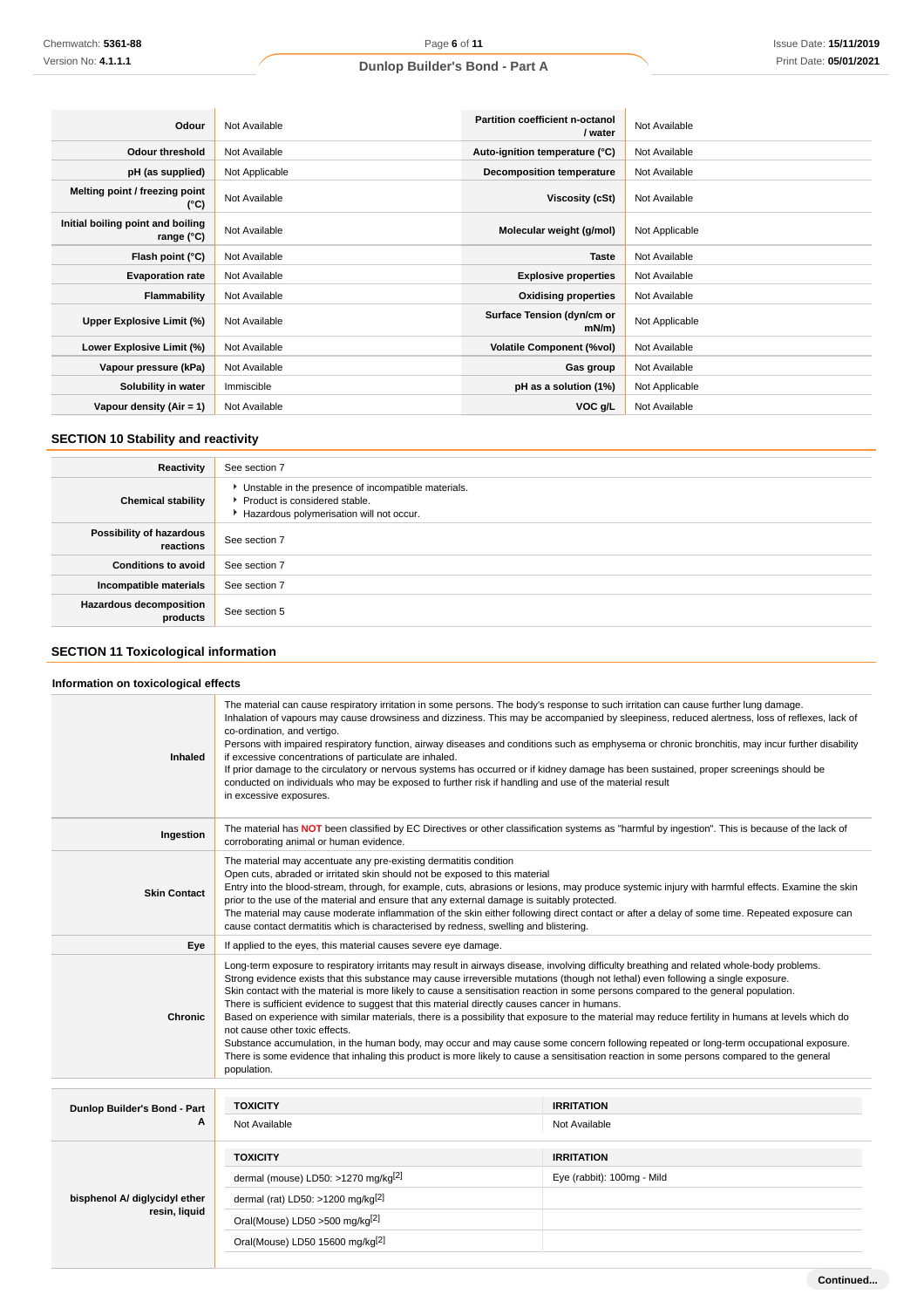| Odour                                           | Not Available  | Partition coefficient n-octanol<br>/ water | Not Available  |
|-------------------------------------------------|----------------|--------------------------------------------|----------------|
| <b>Odour threshold</b>                          | Not Available  | Auto-ignition temperature (°C)             | Not Available  |
| pH (as supplied)                                | Not Applicable | <b>Decomposition temperature</b>           | Not Available  |
| Melting point / freezing point<br>(°C)          | Not Available  | Viscosity (cSt)                            | Not Available  |
| Initial boiling point and boiling<br>range (°C) | Not Available  | Molecular weight (g/mol)                   | Not Applicable |
| Flash point (°C)                                | Not Available  | <b>Taste</b>                               | Not Available  |
| <b>Evaporation rate</b>                         | Not Available  | <b>Explosive properties</b>                | Not Available  |
| Flammability                                    | Not Available  | <b>Oxidising properties</b>                | Not Available  |
| Upper Explosive Limit (%)                       | Not Available  | Surface Tension (dyn/cm or<br>mN/m         | Not Applicable |
| Lower Explosive Limit (%)                       | Not Available  | <b>Volatile Component (%vol)</b>           | Not Available  |
| Vapour pressure (kPa)                           | Not Available  | Gas group                                  | Not Available  |
| Solubility in water                             | Immiscible     | pH as a solution (1%)                      | Not Applicable |
| Vapour density $(Air = 1)$                      | Not Available  | VOC g/L                                    | Not Available  |

# **SECTION 10 Stability and reactivity**

| Reactivity                            | See section 7                                                                                                                        |
|---------------------------------------|--------------------------------------------------------------------------------------------------------------------------------------|
| <b>Chemical stability</b>             | • Unstable in the presence of incompatible materials.<br>▶ Product is considered stable.<br>Hazardous polymerisation will not occur. |
| Possibility of hazardous<br>reactions | See section 7                                                                                                                        |
| <b>Conditions to avoid</b>            | See section 7                                                                                                                        |
| Incompatible materials                | See section 7                                                                                                                        |
| Hazardous decomposition<br>products   | See section 5                                                                                                                        |

# **SECTION 11 Toxicological information**

### **Information on toxicological effects**

| Inhaled                           | The material can cause respiratory irritation in some persons. The body's response to such irritation can cause further lung damage.<br>Inhalation of vapours may cause drowsiness and dizziness. This may be accompanied by sleepiness, reduced alertness, loss of reflexes, lack of<br>co-ordination, and vertigo.<br>Persons with impaired respiratory function, airway diseases and conditions such as emphysema or chronic bronchitis, may incur further disability<br>if excessive concentrations of particulate are inhaled.<br>If prior damage to the circulatory or nervous systems has occurred or if kidney damage has been sustained, proper screenings should be<br>conducted on individuals who may be exposed to further risk if handling and use of the material result<br>in excessive exposures.                                                                                                                                                                                                    |                                    |  |  |
|-----------------------------------|-----------------------------------------------------------------------------------------------------------------------------------------------------------------------------------------------------------------------------------------------------------------------------------------------------------------------------------------------------------------------------------------------------------------------------------------------------------------------------------------------------------------------------------------------------------------------------------------------------------------------------------------------------------------------------------------------------------------------------------------------------------------------------------------------------------------------------------------------------------------------------------------------------------------------------------------------------------------------------------------------------------------------|------------------------------------|--|--|
| Ingestion                         | The material has NOT been classified by EC Directives or other classification systems as "harmful by ingestion". This is because of the lack of<br>corroborating animal or human evidence.                                                                                                                                                                                                                                                                                                                                                                                                                                                                                                                                                                                                                                                                                                                                                                                                                            |                                    |  |  |
| <b>Skin Contact</b>               | The material may accentuate any pre-existing dermatitis condition<br>Open cuts, abraded or irritated skin should not be exposed to this material<br>Entry into the blood-stream, through, for example, cuts, abrasions or lesions, may produce systemic injury with harmful effects. Examine the skin<br>prior to the use of the material and ensure that any external damage is suitably protected.<br>The material may cause moderate inflammation of the skin either following direct contact or after a delay of some time. Repeated exposure can<br>cause contact dermatitis which is characterised by redness, swelling and blistering.                                                                                                                                                                                                                                                                                                                                                                         |                                    |  |  |
| Eye                               | If applied to the eyes, this material causes severe eye damage.                                                                                                                                                                                                                                                                                                                                                                                                                                                                                                                                                                                                                                                                                                                                                                                                                                                                                                                                                       |                                    |  |  |
| Chronic                           | Long-term exposure to respiratory irritants may result in airways disease, involving difficulty breathing and related whole-body problems.<br>Strong evidence exists that this substance may cause irreversible mutations (though not lethal) even following a single exposure.<br>Skin contact with the material is more likely to cause a sensitisation reaction in some persons compared to the general population.<br>There is sufficient evidence to suggest that this material directly causes cancer in humans.<br>Based on experience with similar materials, there is a possibility that exposure to the material may reduce fertility in humans at levels which do<br>not cause other toxic effects.<br>Substance accumulation, in the human body, may occur and may cause some concern following repeated or long-term occupational exposure.<br>There is some evidence that inhaling this product is more likely to cause a sensitisation reaction in some persons compared to the general<br>population. |                                    |  |  |
|                                   |                                                                                                                                                                                                                                                                                                                                                                                                                                                                                                                                                                                                                                                                                                                                                                                                                                                                                                                                                                                                                       |                                    |  |  |
| Dunlop Builder's Bond - Part<br>A | <b>TOXICITY</b><br>Not Available                                                                                                                                                                                                                                                                                                                                                                                                                                                                                                                                                                                                                                                                                                                                                                                                                                                                                                                                                                                      | <b>IRRITATION</b><br>Not Available |  |  |
|                                   | <b>TOXICITY</b>                                                                                                                                                                                                                                                                                                                                                                                                                                                                                                                                                                                                                                                                                                                                                                                                                                                                                                                                                                                                       | <b>IRRITATION</b>                  |  |  |
|                                   | dermal (mouse) LD50: >1270 mg/kg <sup>[2]</sup>                                                                                                                                                                                                                                                                                                                                                                                                                                                                                                                                                                                                                                                                                                                                                                                                                                                                                                                                                                       | Eye (rabbit): 100mg - Mild         |  |  |
| bisphenol A/ diglycidyl ether     | dermal (rat) LD50: >1200 mg/kg $^{[2]}$                                                                                                                                                                                                                                                                                                                                                                                                                                                                                                                                                                                                                                                                                                                                                                                                                                                                                                                                                                               |                                    |  |  |
| resin, liquid                     | Oral(Mouse) LD50 >500 mg/kg <sup>[2]</sup>                                                                                                                                                                                                                                                                                                                                                                                                                                                                                                                                                                                                                                                                                                                                                                                                                                                                                                                                                                            |                                    |  |  |
|                                   | Oral(Mouse) LD50 15600 mg/kg <sup>[2]</sup>                                                                                                                                                                                                                                                                                                                                                                                                                                                                                                                                                                                                                                                                                                                                                                                                                                                                                                                                                                           |                                    |  |  |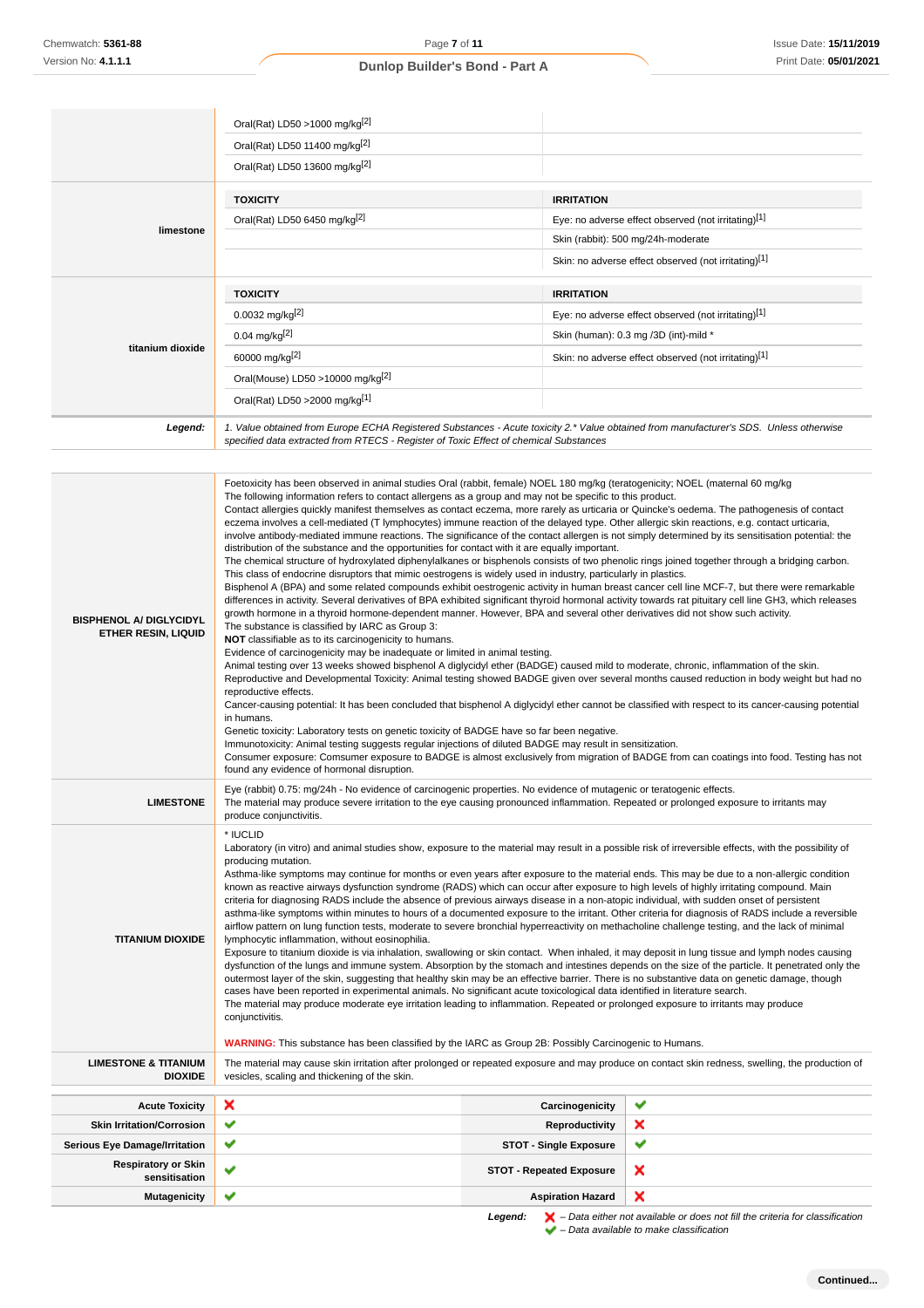| Chemwatch: 5361-88                                           | Page 7 of 11                                                                                                                                                                                                                                                                                                                                                                                                                                                                                                                                                                                                                                                                                                                                                                                                                                                                                                                                                                                                                                                                                                                                                                                                                                                                                                                                                                                                                                                                                                                                                                                                                                                                                                                                                                                                                                                                                                                                                                                                                                                                                                                                                                                                                                                                                                                                                                                                                                                  |                                                     | Issue Date: 15/11/2019                               |
|--------------------------------------------------------------|---------------------------------------------------------------------------------------------------------------------------------------------------------------------------------------------------------------------------------------------------------------------------------------------------------------------------------------------------------------------------------------------------------------------------------------------------------------------------------------------------------------------------------------------------------------------------------------------------------------------------------------------------------------------------------------------------------------------------------------------------------------------------------------------------------------------------------------------------------------------------------------------------------------------------------------------------------------------------------------------------------------------------------------------------------------------------------------------------------------------------------------------------------------------------------------------------------------------------------------------------------------------------------------------------------------------------------------------------------------------------------------------------------------------------------------------------------------------------------------------------------------------------------------------------------------------------------------------------------------------------------------------------------------------------------------------------------------------------------------------------------------------------------------------------------------------------------------------------------------------------------------------------------------------------------------------------------------------------------------------------------------------------------------------------------------------------------------------------------------------------------------------------------------------------------------------------------------------------------------------------------------------------------------------------------------------------------------------------------------------------------------------------------------------------------------------------------------|-----------------------------------------------------|------------------------------------------------------|
| Version No: 4.1.1.1                                          | Print Date: 05/01/2021<br>Dunlop Builder's Bond - Part A                                                                                                                                                                                                                                                                                                                                                                                                                                                                                                                                                                                                                                                                                                                                                                                                                                                                                                                                                                                                                                                                                                                                                                                                                                                                                                                                                                                                                                                                                                                                                                                                                                                                                                                                                                                                                                                                                                                                                                                                                                                                                                                                                                                                                                                                                                                                                                                                      |                                                     |                                                      |
|                                                              |                                                                                                                                                                                                                                                                                                                                                                                                                                                                                                                                                                                                                                                                                                                                                                                                                                                                                                                                                                                                                                                                                                                                                                                                                                                                                                                                                                                                                                                                                                                                                                                                                                                                                                                                                                                                                                                                                                                                                                                                                                                                                                                                                                                                                                                                                                                                                                                                                                                               |                                                     |                                                      |
|                                                              |                                                                                                                                                                                                                                                                                                                                                                                                                                                                                                                                                                                                                                                                                                                                                                                                                                                                                                                                                                                                                                                                                                                                                                                                                                                                                                                                                                                                                                                                                                                                                                                                                                                                                                                                                                                                                                                                                                                                                                                                                                                                                                                                                                                                                                                                                                                                                                                                                                                               |                                                     |                                                      |
|                                                              | Oral(Rat) LD50 >1000 mg/kg $^{2}$                                                                                                                                                                                                                                                                                                                                                                                                                                                                                                                                                                                                                                                                                                                                                                                                                                                                                                                                                                                                                                                                                                                                                                                                                                                                                                                                                                                                                                                                                                                                                                                                                                                                                                                                                                                                                                                                                                                                                                                                                                                                                                                                                                                                                                                                                                                                                                                                                             |                                                     |                                                      |
|                                                              | Oral(Rat) LD50 11400 mg/kg[2]                                                                                                                                                                                                                                                                                                                                                                                                                                                                                                                                                                                                                                                                                                                                                                                                                                                                                                                                                                                                                                                                                                                                                                                                                                                                                                                                                                                                                                                                                                                                                                                                                                                                                                                                                                                                                                                                                                                                                                                                                                                                                                                                                                                                                                                                                                                                                                                                                                 |                                                     |                                                      |
|                                                              | Oral(Rat) LD50 13600 mg/kg <sup>[2]</sup>                                                                                                                                                                                                                                                                                                                                                                                                                                                                                                                                                                                                                                                                                                                                                                                                                                                                                                                                                                                                                                                                                                                                                                                                                                                                                                                                                                                                                                                                                                                                                                                                                                                                                                                                                                                                                                                                                                                                                                                                                                                                                                                                                                                                                                                                                                                                                                                                                     |                                                     |                                                      |
|                                                              | <b>TOXICITY</b>                                                                                                                                                                                                                                                                                                                                                                                                                                                                                                                                                                                                                                                                                                                                                                                                                                                                                                                                                                                                                                                                                                                                                                                                                                                                                                                                                                                                                                                                                                                                                                                                                                                                                                                                                                                                                                                                                                                                                                                                                                                                                                                                                                                                                                                                                                                                                                                                                                               | <b>IRRITATION</b>                                   |                                                      |
|                                                              | Oral(Rat) LD50 6450 mg/kg <sup>[2]</sup>                                                                                                                                                                                                                                                                                                                                                                                                                                                                                                                                                                                                                                                                                                                                                                                                                                                                                                                                                                                                                                                                                                                                                                                                                                                                                                                                                                                                                                                                                                                                                                                                                                                                                                                                                                                                                                                                                                                                                                                                                                                                                                                                                                                                                                                                                                                                                                                                                      |                                                     | Eye: no adverse effect observed (not irritating)[1]  |
| limestone                                                    |                                                                                                                                                                                                                                                                                                                                                                                                                                                                                                                                                                                                                                                                                                                                                                                                                                                                                                                                                                                                                                                                                                                                                                                                                                                                                                                                                                                                                                                                                                                                                                                                                                                                                                                                                                                                                                                                                                                                                                                                                                                                                                                                                                                                                                                                                                                                                                                                                                                               | Skin (rabbit): 500 mg/24h-moderate                  |                                                      |
|                                                              |                                                                                                                                                                                                                                                                                                                                                                                                                                                                                                                                                                                                                                                                                                                                                                                                                                                                                                                                                                                                                                                                                                                                                                                                                                                                                                                                                                                                                                                                                                                                                                                                                                                                                                                                                                                                                                                                                                                                                                                                                                                                                                                                                                                                                                                                                                                                                                                                                                                               |                                                     | Skin: no adverse effect observed (not irritating)[1] |
|                                                              |                                                                                                                                                                                                                                                                                                                                                                                                                                                                                                                                                                                                                                                                                                                                                                                                                                                                                                                                                                                                                                                                                                                                                                                                                                                                                                                                                                                                                                                                                                                                                                                                                                                                                                                                                                                                                                                                                                                                                                                                                                                                                                                                                                                                                                                                                                                                                                                                                                                               |                                                     |                                                      |
|                                                              | <b>TOXICITY</b>                                                                                                                                                                                                                                                                                                                                                                                                                                                                                                                                                                                                                                                                                                                                                                                                                                                                                                                                                                                                                                                                                                                                                                                                                                                                                                                                                                                                                                                                                                                                                                                                                                                                                                                                                                                                                                                                                                                                                                                                                                                                                                                                                                                                                                                                                                                                                                                                                                               | <b>IRRITATION</b>                                   |                                                      |
|                                                              | $0.0032$ mg/kg <sup>[2]</sup>                                                                                                                                                                                                                                                                                                                                                                                                                                                                                                                                                                                                                                                                                                                                                                                                                                                                                                                                                                                                                                                                                                                                                                                                                                                                                                                                                                                                                                                                                                                                                                                                                                                                                                                                                                                                                                                                                                                                                                                                                                                                                                                                                                                                                                                                                                                                                                                                                                 | Eye: no adverse effect observed (not irritating)[1] |                                                      |
| titanium dioxide                                             | $0.04$ mg/kg <sup>[2]</sup>                                                                                                                                                                                                                                                                                                                                                                                                                                                                                                                                                                                                                                                                                                                                                                                                                                                                                                                                                                                                                                                                                                                                                                                                                                                                                                                                                                                                                                                                                                                                                                                                                                                                                                                                                                                                                                                                                                                                                                                                                                                                                                                                                                                                                                                                                                                                                                                                                                   |                                                     | Skin (human): 0.3 mg /3D (int)-mild *                |
|                                                              | 60000 mg/kg <sup>[2]</sup>                                                                                                                                                                                                                                                                                                                                                                                                                                                                                                                                                                                                                                                                                                                                                                                                                                                                                                                                                                                                                                                                                                                                                                                                                                                                                                                                                                                                                                                                                                                                                                                                                                                                                                                                                                                                                                                                                                                                                                                                                                                                                                                                                                                                                                                                                                                                                                                                                                    |                                                     | Skin: no adverse effect observed (not irritating)[1] |
|                                                              | Oral(Mouse) LD50 >10000 mg/kg <sup>[2]</sup>                                                                                                                                                                                                                                                                                                                                                                                                                                                                                                                                                                                                                                                                                                                                                                                                                                                                                                                                                                                                                                                                                                                                                                                                                                                                                                                                                                                                                                                                                                                                                                                                                                                                                                                                                                                                                                                                                                                                                                                                                                                                                                                                                                                                                                                                                                                                                                                                                  |                                                     |                                                      |
|                                                              | Oral(Rat) LD50 > 2000 mg/kg[1]                                                                                                                                                                                                                                                                                                                                                                                                                                                                                                                                                                                                                                                                                                                                                                                                                                                                                                                                                                                                                                                                                                                                                                                                                                                                                                                                                                                                                                                                                                                                                                                                                                                                                                                                                                                                                                                                                                                                                                                                                                                                                                                                                                                                                                                                                                                                                                                                                                |                                                     |                                                      |
| Legend:                                                      | 1. Value obtained from Europe ECHA Registered Substances - Acute toxicity 2.* Value obtained from manufacturer's SDS. Unless otherwise                                                                                                                                                                                                                                                                                                                                                                                                                                                                                                                                                                                                                                                                                                                                                                                                                                                                                                                                                                                                                                                                                                                                                                                                                                                                                                                                                                                                                                                                                                                                                                                                                                                                                                                                                                                                                                                                                                                                                                                                                                                                                                                                                                                                                                                                                                                        |                                                     |                                                      |
|                                                              | specified data extracted from RTECS - Register of Toxic Effect of chemical Substances                                                                                                                                                                                                                                                                                                                                                                                                                                                                                                                                                                                                                                                                                                                                                                                                                                                                                                                                                                                                                                                                                                                                                                                                                                                                                                                                                                                                                                                                                                                                                                                                                                                                                                                                                                                                                                                                                                                                                                                                                                                                                                                                                                                                                                                                                                                                                                         |                                                     |                                                      |
| <b>BISPHENOL A/ DIGLYCIDYL</b><br><b>ETHER RESIN, LIQUID</b> | The following information refers to contact allergens as a group and may not be specific to this product.<br>Contact allergies quickly manifest themselves as contact eczema, more rarely as urticaria or Quincke's oedema. The pathogenesis of contact<br>eczema involves a cell-mediated (T lymphocytes) immune reaction of the delayed type. Other allergic skin reactions, e.g. contact urticaria,<br>involve antibody-mediated immune reactions. The significance of the contact allergen is not simply determined by its sensitisation potential: the<br>distribution of the substance and the opportunities for contact with it are equally important.<br>The chemical structure of hydroxylated diphenylalkanes or bisphenols consists of two phenolic rings joined together through a bridging carbon.<br>This class of endocrine disruptors that mimic oestrogens is widely used in industry, particularly in plastics.<br>Bisphenol A (BPA) and some related compounds exhibit oestrogenic activity in human breast cancer cell line MCF-7, but there were remarkable<br>differences in activity. Several derivatives of BPA exhibited significant thyroid hormonal activity towards rat pituitary cell line GH3, which releases<br>growth hormone in a thyroid hormone-dependent manner. However, BPA and several other derivatives did not show such activity.<br>The substance is classified by IARC as Group 3:<br>NOT classifiable as to its carcinogenicity to humans.<br>Evidence of carcinogenicity may be inadequate or limited in animal testing.<br>Animal testing over 13 weeks showed bisphenol A diglycidyl ether (BADGE) caused mild to moderate, chronic, inflammation of the skin.<br>Reproductive and Developmental Toxicity: Animal testing showed BADGE given over several months caused reduction in body weight but had no<br>reproductive effects.<br>Cancer-causing potential: It has been concluded that bisphenol A diglycidyl ether cannot be classified with respect to its cancer-causing potential<br>in humans.<br>Genetic toxicity: Laboratory tests on genetic toxicity of BADGE have so far been negative.<br>Immunotoxicity: Animal testing suggests regular injections of diluted BADGE may result in sensitization.<br>Consumer exposure: Comsumer exposure to BADGE is almost exclusively from migration of BADGE from can coatings into food. Testing has not<br>found any evidence of hormonal disruption. |                                                     |                                                      |
| <b>LIMESTONE</b>                                             | Eye (rabbit) 0.75: mg/24h - No evidence of carcinogenic properties. No evidence of mutagenic or teratogenic effects.<br>The material may produce severe irritation to the eye causing pronounced inflammation. Repeated or prolonged exposure to irritants may<br>produce conjunctivitis.                                                                                                                                                                                                                                                                                                                                                                                                                                                                                                                                                                                                                                                                                                                                                                                                                                                                                                                                                                                                                                                                                                                                                                                                                                                                                                                                                                                                                                                                                                                                                                                                                                                                                                                                                                                                                                                                                                                                                                                                                                                                                                                                                                     |                                                     |                                                      |
| <b>TITANIUM DIOXIDE</b>                                      | * IUCLID<br>Laboratory (in vitro) and animal studies show, exposure to the material may result in a possible risk of irreversible effects, with the possibility of<br>producing mutation.<br>Asthma-like symptoms may continue for months or even years after exposure to the material ends. This may be due to a non-allergic condition<br>known as reactive airways dysfunction syndrome (RADS) which can occur after exposure to high levels of highly irritating compound. Main<br>criteria for diagnosing RADS include the absence of previous airways disease in a non-atopic individual, with sudden onset of persistent<br>asthma-like symptoms within minutes to hours of a documented exposure to the irritant. Other criteria for diagnosis of RADS include a reversible<br>airflow pattern on lung function tests, moderate to severe bronchial hyperreactivity on methacholine challenge testing, and the lack of minimal<br>lymphocytic inflammation, without eosinophilia.<br>Exposure to titanium dioxide is via inhalation, swallowing or skin contact. When inhaled, it may deposit in lung tissue and lymph nodes causing<br>dysfunction of the lungs and immune system. Absorption by the stomach and intestines depends on the size of the particle. It penetrated only the<br>outermost layer of the skin, suggesting that healthy skin may be an effective barrier. There is no substantive data on genetic damage, though<br>cases have been reported in experimental animals. No significant acute toxicological data identified in literature search.<br>The material may produce moderate eye irritation leading to inflammation. Repeated or prolonged exposure to irritants may produce<br>conjunctivitis.<br><b>WARNING:</b> This substance has been classified by the IARC as Group 2B: Possibly Carcinogenic to Humans.                                                                                                                                                                                                                                                                                                                                                                                                                                                                                                                                                                                                       |                                                     |                                                      |
| <b>LIMESTONE &amp; TITANIUM</b><br><b>DIOXIDE</b>            | The material may cause skin irritation after prolonged or repeated exposure and may produce on contact skin redness, swelling, the production of<br>vesicles, scaling and thickening of the skin.                                                                                                                                                                                                                                                                                                                                                                                                                                                                                                                                                                                                                                                                                                                                                                                                                                                                                                                                                                                                                                                                                                                                                                                                                                                                                                                                                                                                                                                                                                                                                                                                                                                                                                                                                                                                                                                                                                                                                                                                                                                                                                                                                                                                                                                             |                                                     |                                                      |
|                                                              |                                                                                                                                                                                                                                                                                                                                                                                                                                                                                                                                                                                                                                                                                                                                                                                                                                                                                                                                                                                                                                                                                                                                                                                                                                                                                                                                                                                                                                                                                                                                                                                                                                                                                                                                                                                                                                                                                                                                                                                                                                                                                                                                                                                                                                                                                                                                                                                                                                                               |                                                     | ✔                                                    |
| <b>Acute Toxicity</b><br><b>Skin Irritation/Corrosion</b>    | ×<br>✔                                                                                                                                                                                                                                                                                                                                                                                                                                                                                                                                                                                                                                                                                                                                                                                                                                                                                                                                                                                                                                                                                                                                                                                                                                                                                                                                                                                                                                                                                                                                                                                                                                                                                                                                                                                                                                                                                                                                                                                                                                                                                                                                                                                                                                                                                                                                                                                                                                                        | Carcinogenicity<br><b>Reproductivity</b>            | ×                                                    |
| <b>Serious Eye Damage/Irritation</b>                         | ✔<br><b>STOT - Single Exposure</b>                                                                                                                                                                                                                                                                                                                                                                                                                                                                                                                                                                                                                                                                                                                                                                                                                                                                                                                                                                                                                                                                                                                                                                                                                                                                                                                                                                                                                                                                                                                                                                                                                                                                                                                                                                                                                                                                                                                                                                                                                                                                                                                                                                                                                                                                                                                                                                                                                            |                                                     | ✔                                                    |
| <b>Respiratory or Skin</b>                                   | ✔                                                                                                                                                                                                                                                                                                                                                                                                                                                                                                                                                                                                                                                                                                                                                                                                                                                                                                                                                                                                                                                                                                                                                                                                                                                                                                                                                                                                                                                                                                                                                                                                                                                                                                                                                                                                                                                                                                                                                                                                                                                                                                                                                                                                                                                                                                                                                                                                                                                             |                                                     |                                                      |
| sensitisation                                                | <b>STOT - Repeated Exposure</b>                                                                                                                                                                                                                                                                                                                                                                                                                                                                                                                                                                                                                                                                                                                                                                                                                                                                                                                                                                                                                                                                                                                                                                                                                                                                                                                                                                                                                                                                                                                                                                                                                                                                                                                                                                                                                                                                                                                                                                                                                                                                                                                                                                                                                                                                                                                                                                                                                               |                                                     | ×                                                    |
| <b>Mutagenicity</b>                                          | ✔                                                                                                                                                                                                                                                                                                                                                                                                                                                                                                                                                                                                                                                                                                                                                                                                                                                                                                                                                                                                                                                                                                                                                                                                                                                                                                                                                                                                                                                                                                                                                                                                                                                                                                                                                                                                                                                                                                                                                                                                                                                                                                                                                                                                                                                                                                                                                                                                                                                             | <b>Aspiration Hazard</b>                            | ×                                                    |

**Legend:**  $\mathbf{X}$  – Data either not available or does not fill the criteria for classification

– Data available to make classification

**Continued...**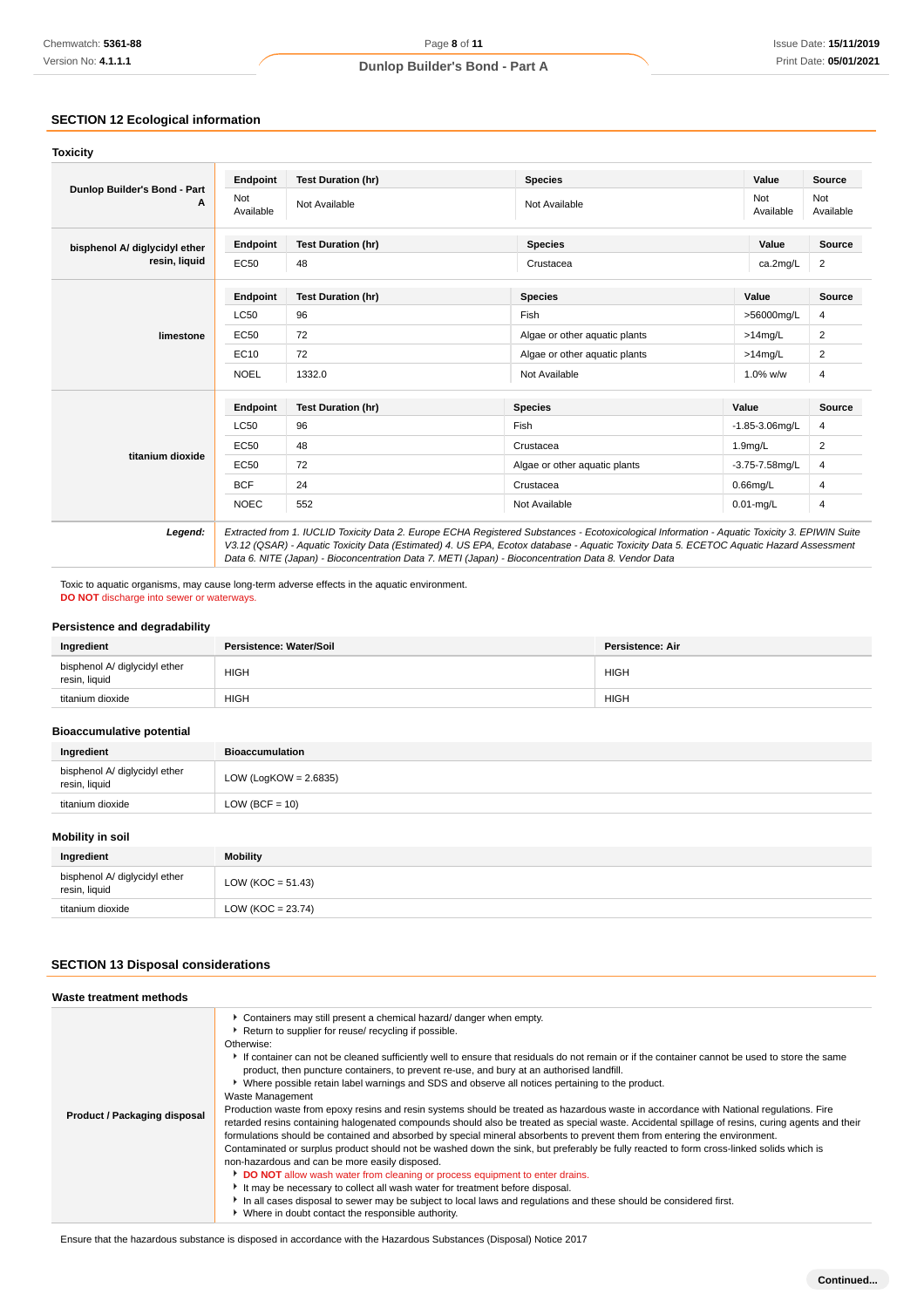# **SECTION 12 Ecological information**

| Dunlop Builder's Bond - Part<br>А | Endpoint                | <b>Test Duration (hr)</b> | <b>Species</b>                                                                                                                                                                                                                                                                                                                                                                                  | Value               | <b>Source</b>    |
|-----------------------------------|-------------------------|---------------------------|-------------------------------------------------------------------------------------------------------------------------------------------------------------------------------------------------------------------------------------------------------------------------------------------------------------------------------------------------------------------------------------------------|---------------------|------------------|
|                                   | <b>Not</b><br>Available | Not Available             | Not Available                                                                                                                                                                                                                                                                                                                                                                                   | Not<br>Available    | Not<br>Available |
| bisphenol A/ diglycidyl ether     | Endpoint                | <b>Test Duration (hr)</b> | <b>Species</b>                                                                                                                                                                                                                                                                                                                                                                                  | Value               | Source           |
| resin, liquid                     | EC50                    | 48                        | Crustacea                                                                                                                                                                                                                                                                                                                                                                                       | ca.2mg/L            | $\overline{2}$   |
| limestone                         | Endpoint                | <b>Test Duration (hr)</b> | <b>Species</b>                                                                                                                                                                                                                                                                                                                                                                                  | Value               | Source           |
|                                   | <b>LC50</b>             | 96                        | Fish                                                                                                                                                                                                                                                                                                                                                                                            | >56000mg/L          | 4                |
|                                   | <b>EC50</b>             | 72                        | Algae or other aquatic plants                                                                                                                                                                                                                                                                                                                                                                   | $>14$ mg/L          | 2                |
|                                   | EC10                    | 72                        | Algae or other aguatic plants                                                                                                                                                                                                                                                                                                                                                                   | $>14$ mg/L          | 2                |
|                                   | <b>NOEL</b>             | 1332.0                    | Not Available                                                                                                                                                                                                                                                                                                                                                                                   | 1.0% w/w            | 4                |
|                                   | <b>Endpoint</b>         | <b>Test Duration (hr)</b> | <b>Species</b>                                                                                                                                                                                                                                                                                                                                                                                  | Value               | Source           |
|                                   | <b>LC50</b>             | 96                        | Fish                                                                                                                                                                                                                                                                                                                                                                                            | $-1.85 - 3.06$ ma/L | 4                |
|                                   | <b>EC50</b>             | 48                        | Crustacea                                                                                                                                                                                                                                                                                                                                                                                       | 1.9mg/L             | 2                |
| titanium dioxide                  | EC50                    | 72                        | Algae or other aquatic plants                                                                                                                                                                                                                                                                                                                                                                   | $-3.75 - 7.58$ mg/L | 4                |
|                                   | <b>BCF</b>              | 24                        | Crustacea                                                                                                                                                                                                                                                                                                                                                                                       | $0.66$ mg/L         | 4                |
|                                   | <b>NOEC</b>             | 552                       | Not Available                                                                                                                                                                                                                                                                                                                                                                                   | $0.01$ -mg/L        | 4                |
| Legend:                           |                         |                           | Extracted from 1. IUCLID Toxicity Data 2. Europe ECHA Registered Substances - Ecotoxicological Information - Aquatic Toxicity 3. EPIWIN Suite<br>V3.12 (QSAR) - Aquatic Toxicity Data (Estimated) 4. US EPA, Ecotox database - Aquatic Toxicity Data 5. ECETOC Aquatic Hazard Assessment<br>Data 6. NITE (Japan) - Bioconcentration Data 7. METI (Japan) - Bioconcentration Data 8. Vendor Data |                     |                  |

Toxic to aquatic organisms, may cause long-term adverse effects in the aquatic environment. **DO NOT** discharge into sewer or waterways.

### **Persistence and degradability**

| Ingredient                                     | Persistence: Water/Soil | Persistence: Air |
|------------------------------------------------|-------------------------|------------------|
| bisphenol A/ diglycidyl ether<br>resin, liquid | <b>HIGH</b>             | <b>HIGH</b>      |
| titanium dioxide                               | <b>HIGH</b>             | <b>HIGH</b>      |

#### **Bioaccumulative potential**

| Ingredient                                     | <b>Bioaccumulation</b>   |
|------------------------------------------------|--------------------------|
| bisphenol A/ diglycidyl ether<br>resin, liquid | LOW (LogKOW = $2.6835$ ) |
| titanium dioxide                               | $LOW (BCF = 10)$         |

### **Mobility in soil**

| Ingredient                                     | <b>Mobility</b>       |
|------------------------------------------------|-----------------------|
| bisphenol A/ diglycidyl ether<br>resin, liquid | LOW (KOC = $51.43$ )  |
| titanium dioxide                               | LOW ( $KOC = 23.74$ ) |

# **SECTION 13 Disposal considerations**

| Waste treatment methods      |                                                                                                                                                                                                                                                                                                                                                                                                                                                                                                                                                                                                                                                                                                                                                                                                                                                                                                                                                                                                                                                                                                                                                                                                                                                                                                                                                                                                                                                                                       |
|------------------------------|---------------------------------------------------------------------------------------------------------------------------------------------------------------------------------------------------------------------------------------------------------------------------------------------------------------------------------------------------------------------------------------------------------------------------------------------------------------------------------------------------------------------------------------------------------------------------------------------------------------------------------------------------------------------------------------------------------------------------------------------------------------------------------------------------------------------------------------------------------------------------------------------------------------------------------------------------------------------------------------------------------------------------------------------------------------------------------------------------------------------------------------------------------------------------------------------------------------------------------------------------------------------------------------------------------------------------------------------------------------------------------------------------------------------------------------------------------------------------------------|
| Product / Packaging disposal | Containers may still present a chemical hazard/ danger when empty.<br>Return to supplier for reuse/ recycling if possible.<br>Otherwise:<br>If container can not be cleaned sufficiently well to ensure that residuals do not remain or if the container cannot be used to store the same<br>product, then puncture containers, to prevent re-use, and bury at an authorised landfill.<br>▶ Where possible retain label warnings and SDS and observe all notices pertaining to the product.<br>Waste Management<br>Production waste from epoxy resins and resin systems should be treated as hazardous waste in accordance with National regulations. Fire<br>retarded resins containing halogenated compounds should also be treated as special waste. Accidental spillage of resins, curing agents and their<br>formulations should be contained and absorbed by special mineral absorbents to prevent them from entering the environment.<br>Contaminated or surplus product should not be washed down the sink, but preferably be fully reacted to form cross-linked solids which is<br>non-hazardous and can be more easily disposed.<br>DO NOT allow wash water from cleaning or process equipment to enter drains.<br>It may be necessary to collect all wash water for treatment before disposal.<br>In all cases disposal to sewer may be subject to local laws and regulations and these should be considered first.<br>• Where in doubt contact the responsible authority. |

Ensure that the hazardous substance is disposed in accordance with the Hazardous Substances (Disposal) Notice 2017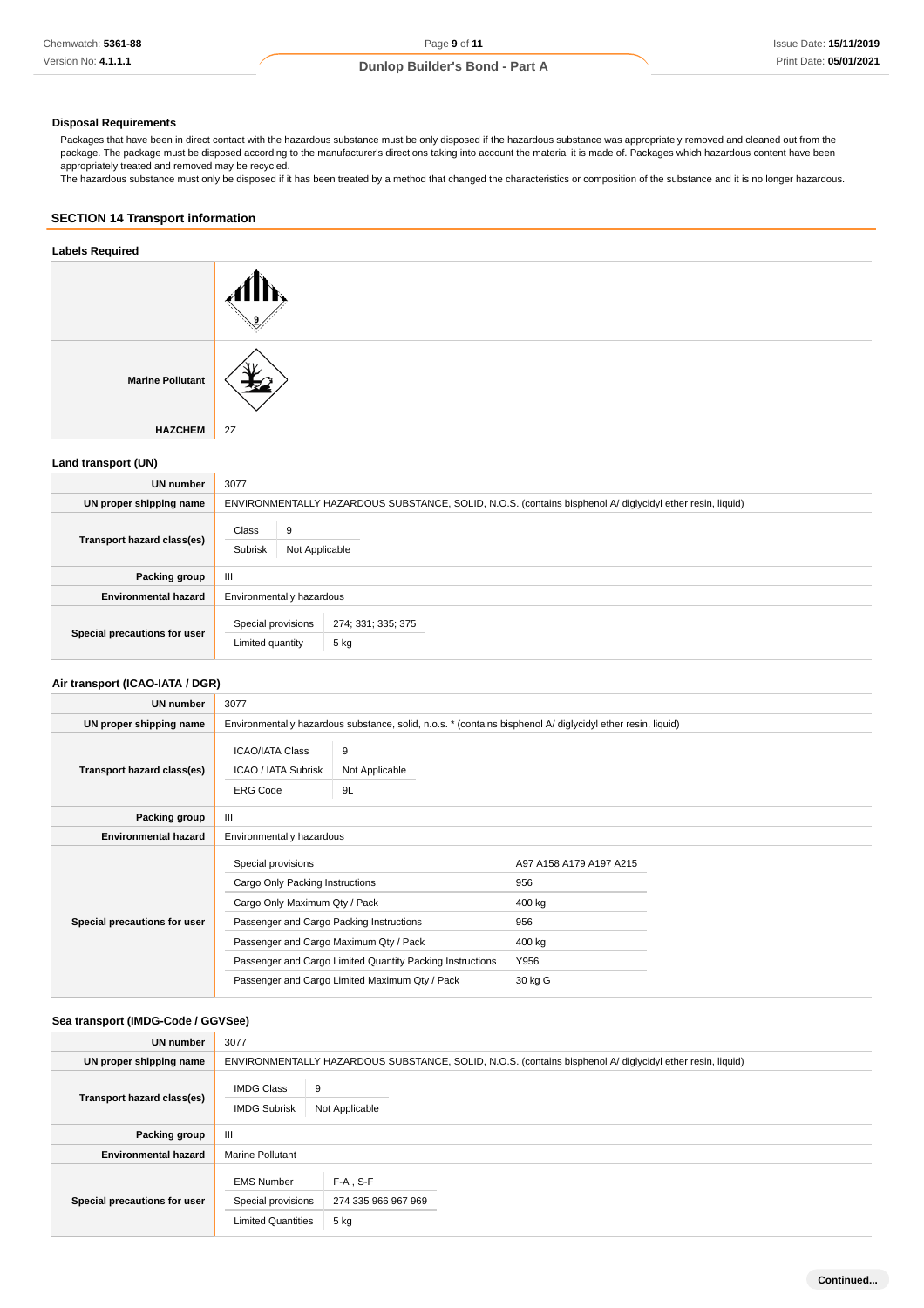### **Disposal Requirements**

Packages that have been in direct contact with the hazardous substance must be only disposed if the hazardous substance was appropriately removed and cleaned out from the package. The package must be disposed according to the manufacturer's directions taking into account the material it is made of. Packages which hazardous content have been appropriately treated and removed may be recycled.

The hazardous substance must only be disposed if it has been treated by a method that changed the characteristics or composition of the substance and it is no longer hazardous.

### **SECTION 14 Transport information**

### **Labels Required**

| <b>Marine Pollutant</b> |    |
|-------------------------|----|
| <b>HAZCHEM</b>          | 2Z |

### **Land transport (UN)**

| <b>UN</b> number             | 3077                                                                                                      |  |  |
|------------------------------|-----------------------------------------------------------------------------------------------------------|--|--|
| UN proper shipping name      | ENVIRONMENTALLY HAZARDOUS SUBSTANCE, SOLID, N.O.S. (contains bisphenol A/ diglycidyl ether resin, liquid) |  |  |
| Transport hazard class(es)   | Class<br>9<br>Subrisk<br>Not Applicable                                                                   |  |  |
| Packing group                | Ш                                                                                                         |  |  |
| <b>Environmental hazard</b>  | Environmentally hazardous                                                                                 |  |  |
| Special precautions for user | Special provisions<br>274; 331; 335; 375<br>5 kg<br>Limited quantity                                      |  |  |

### **Air transport (ICAO-IATA / DGR)**

| UN number                    | 3077                                                                                                                                                                                                                                                                                        |                           |                                                                              |  |
|------------------------------|---------------------------------------------------------------------------------------------------------------------------------------------------------------------------------------------------------------------------------------------------------------------------------------------|---------------------------|------------------------------------------------------------------------------|--|
| UN proper shipping name      | Environmentally hazardous substance, solid, n.o.s. * (contains bisphenol A/ diglycidyl ether resin, liquid)                                                                                                                                                                                 |                           |                                                                              |  |
| Transport hazard class(es)   | <b>ICAO/IATA Class</b><br>ICAO / IATA Subrisk<br><b>ERG Code</b>                                                                                                                                                                                                                            | 9<br>Not Applicable<br>9L |                                                                              |  |
| Packing group                | $\mathbf{III}$                                                                                                                                                                                                                                                                              |                           |                                                                              |  |
| <b>Environmental hazard</b>  | Environmentally hazardous                                                                                                                                                                                                                                                                   |                           |                                                                              |  |
| Special precautions for user | Special provisions<br>Cargo Only Packing Instructions<br>Cargo Only Maximum Qty / Pack<br>Passenger and Cargo Packing Instructions<br>Passenger and Cargo Maximum Qty / Pack<br>Passenger and Cargo Limited Quantity Packing Instructions<br>Passenger and Cargo Limited Maximum Qty / Pack |                           | A97 A158 A179 A197 A215<br>956<br>400 kg<br>956<br>400 kg<br>Y956<br>30 kg G |  |

### **Sea transport (IMDG-Code / GGVSee)**

| UN number                    | 3077                                                                 |                                                                                                           |  |  |
|------------------------------|----------------------------------------------------------------------|-----------------------------------------------------------------------------------------------------------|--|--|
| UN proper shipping name      |                                                                      | ENVIRONMENTALLY HAZARDOUS SUBSTANCE, SOLID, N.O.S. (contains bisphenol A/ diglycidyl ether resin, liquid) |  |  |
| Transport hazard class(es)   | 9<br><b>IMDG Class</b><br><b>IMDG Subrisk</b><br>Not Applicable      |                                                                                                           |  |  |
| Packing group                | $\mathbf{III}$                                                       |                                                                                                           |  |  |
| <b>Environmental hazard</b>  | <b>Marine Pollutant</b>                                              |                                                                                                           |  |  |
| Special precautions for user | <b>EMS Number</b><br>Special provisions<br><b>Limited Quantities</b> | $F-A$ , S-F<br>274 335 966 967 969<br>5 kg                                                                |  |  |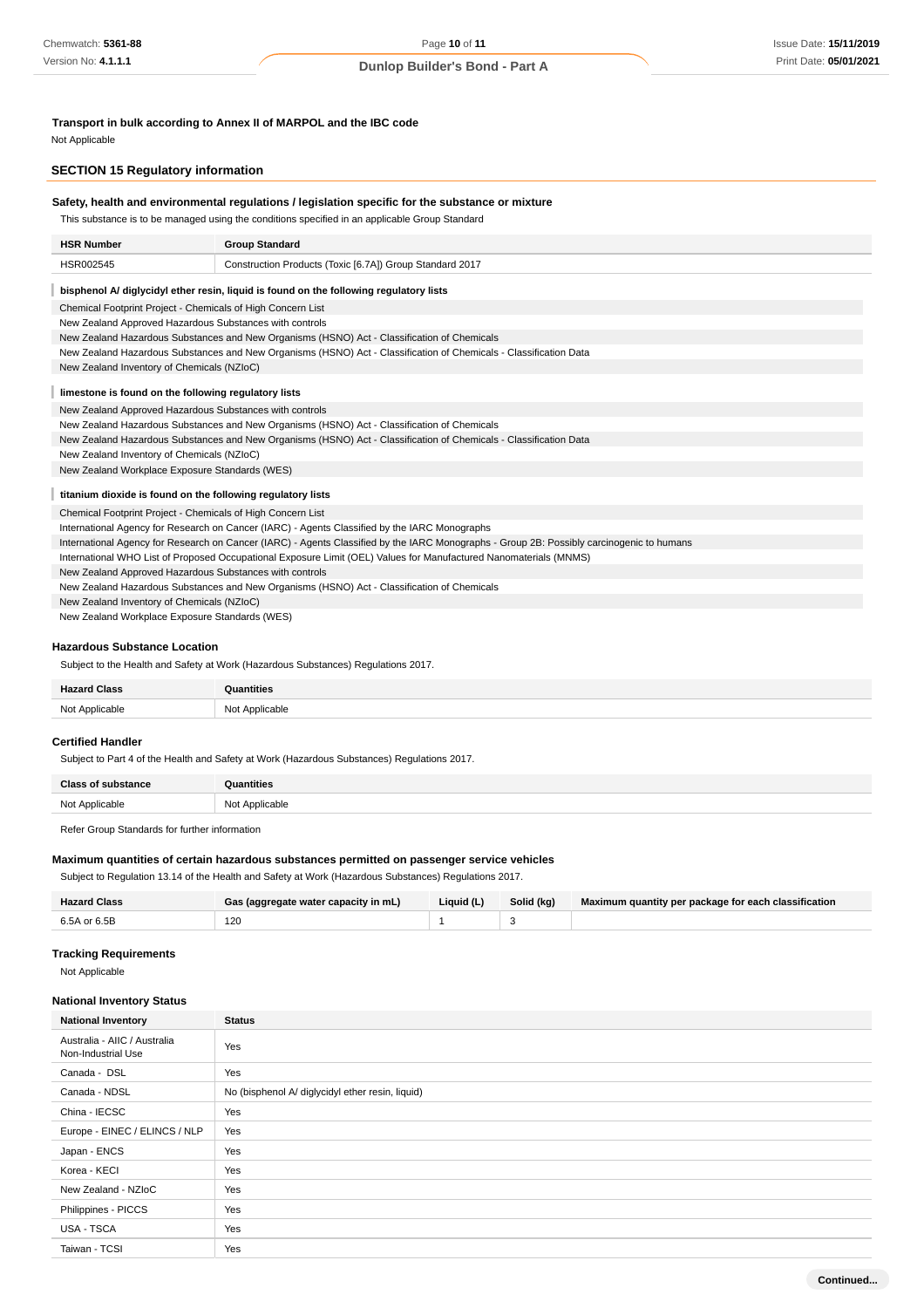**Transport in bulk according to Annex II of MARPOL and the IBC code**

Not Applicable

### **SECTION 15 Regulatory information**

|                                                                                                                                           | This substance is to be managed using the conditions specified in an applicable Group Standard                    |  |  |
|-------------------------------------------------------------------------------------------------------------------------------------------|-------------------------------------------------------------------------------------------------------------------|--|--|
| <b>HSR Number</b>                                                                                                                         | <b>Group Standard</b>                                                                                             |  |  |
| HSR002545                                                                                                                                 | Construction Products (Toxic [6.7A]) Group Standard 2017                                                          |  |  |
|                                                                                                                                           | bisphenol A/ diglycidyl ether resin, liquid is found on the following regulatory lists                            |  |  |
|                                                                                                                                           | Chemical Footprint Project - Chemicals of High Concern List                                                       |  |  |
|                                                                                                                                           | New Zealand Approved Hazardous Substances with controls                                                           |  |  |
|                                                                                                                                           | New Zealand Hazardous Substances and New Organisms (HSNO) Act - Classification of Chemicals                       |  |  |
|                                                                                                                                           | New Zealand Hazardous Substances and New Organisms (HSNO) Act - Classification of Chemicals - Classification Data |  |  |
| New Zealand Inventory of Chemicals (NZIoC)                                                                                                |                                                                                                                   |  |  |
|                                                                                                                                           | limestone is found on the following regulatory lists                                                              |  |  |
|                                                                                                                                           | New Zealand Approved Hazardous Substances with controls                                                           |  |  |
|                                                                                                                                           | New Zealand Hazardous Substances and New Organisms (HSNO) Act - Classification of Chemicals                       |  |  |
|                                                                                                                                           | New Zealand Hazardous Substances and New Organisms (HSNO) Act - Classification of Chemicals - Classification Data |  |  |
| New Zealand Inventory of Chemicals (NZIoC)                                                                                                |                                                                                                                   |  |  |
|                                                                                                                                           | New Zealand Workplace Exposure Standards (WES)                                                                    |  |  |
|                                                                                                                                           | titanium dioxide is found on the following regulatory lists                                                       |  |  |
|                                                                                                                                           | Chemical Footprint Project - Chemicals of High Concern List                                                       |  |  |
| International Agency for Research on Cancer (IARC) - Agents Classified by the IARC Monographs                                             |                                                                                                                   |  |  |
| International Agency for Research on Cancer (IARC) - Agents Classified by the IARC Monographs - Group 2B: Possibly carcinogenic to humans |                                                                                                                   |  |  |
| International WHO List of Proposed Occupational Exposure Limit (OEL) Values for Manufactured Nanomaterials (MNMS)                         |                                                                                                                   |  |  |
| New Zealand Approved Hazardous Substances with controls                                                                                   |                                                                                                                   |  |  |
| New Zealand Hazardous Substances and New Organisms (HSNO) Act - Classification of Chemicals                                               |                                                                                                                   |  |  |
| New Zealand Inventory of Chemicals (NZIoC)                                                                                                |                                                                                                                   |  |  |

### **Hazardous Substance Location**

Subject to the Health and Safety at Work (Hazardous Substances) Regulations 2017.

| $-10-1$ |  |
|---------|--|
| ∼ו      |  |

# **Certified Handler**

Subject to Part 4 of the Health and Safety at Work (Hazardous Substances) Regulations 2017.

| Close.         | ntition              |
|----------------|----------------------|
| Not Applicable | r Applicable<br>$-1$ |

Refer Group Standards for further information

### **Maximum quantities of certain hazardous substances permitted on passenger service vehicles**

Subject to Regulation 13.14 of the Health and Safety at Work (Hazardous Substances) Regulations 2017.

| <b>Hazard Class</b> | Gas (aggregate water capacity in mL) | Liquid (L) | Solid (kg) | Maximum quantity per package for each classification |
|---------------------|--------------------------------------|------------|------------|------------------------------------------------------|
| 6.5A or 6.5B        | 120                                  |            |            |                                                      |

#### **Tracking Requirements**

Not Applicable

#### **National Inventory Status**

| <b>National Inventory</b>                          | <b>Status</b>                                    |
|----------------------------------------------------|--------------------------------------------------|
| Australia - AIIC / Australia<br>Non-Industrial Use | Yes                                              |
| Canada - DSL                                       | Yes                                              |
| Canada - NDSL                                      | No (bisphenol A/ diglycidyl ether resin, liquid) |
| China - IECSC                                      | Yes                                              |
| Europe - EINEC / ELINCS / NLP                      | Yes                                              |
| Japan - ENCS                                       | Yes                                              |
| Korea - KECI                                       | Yes                                              |
| New Zealand - NZIoC                                | Yes                                              |
| Philippines - PICCS                                | Yes                                              |
| USA - TSCA                                         | Yes                                              |
| Taiwan - TCSI                                      | Yes                                              |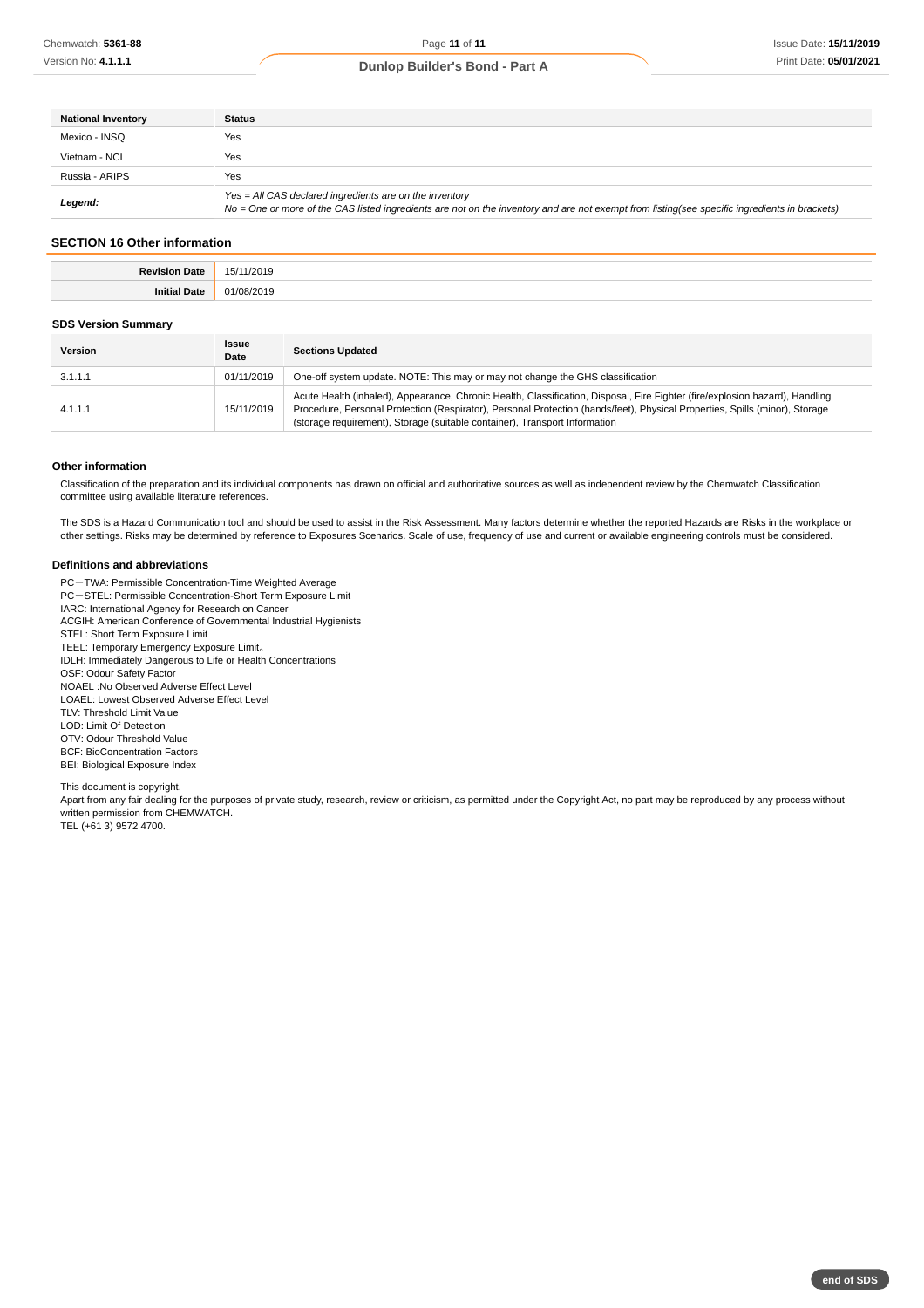| <b>National Inventory</b> | <b>Status</b>                                                                                                                                                                                            |
|---------------------------|----------------------------------------------------------------------------------------------------------------------------------------------------------------------------------------------------------|
| Mexico - INSO             | Yes                                                                                                                                                                                                      |
| Vietnam - NCI             | Yes                                                                                                                                                                                                      |
| Russia - ARIPS            | Yes                                                                                                                                                                                                      |
| Legend:                   | Yes = All CAS declared ingredients are on the inventory<br>No = One or more of the CAS listed ingredients are not on the inventory and are not exempt from listing(see specific ingredients in brackets) |

# **SECTION 16 Other information**

| . |
|---|
| . |

#### **SDS Version Summary**

| <b>Version</b> | <b>Issue</b><br>Date | <b>Sections Updated</b>                                                                                                                                                                                                                                                                                                                   |
|----------------|----------------------|-------------------------------------------------------------------------------------------------------------------------------------------------------------------------------------------------------------------------------------------------------------------------------------------------------------------------------------------|
| 3.1.1.1        | 01/11/2019           | One-off system update. NOTE: This may or may not change the GHS classification                                                                                                                                                                                                                                                            |
| 4.1.1.1        | 15/11/2019           | Acute Health (inhaled), Appearance, Chronic Health, Classification, Disposal, Fire Fighter (fire/explosion hazard), Handling<br>Procedure, Personal Protection (Respirator), Personal Protection (hands/feet), Physical Properties, Spills (minor), Storage<br>(storage requirement), Storage (suitable container), Transport Information |

### **Other information**

Classification of the preparation and its individual components has drawn on official and authoritative sources as well as independent review by the Chemwatch Classification committee using available literature references.

The SDS is a Hazard Communication tool and should be used to assist in the Risk Assessment. Many factors determine whether the reported Hazards are Risks in the workplace or other settings. Risks may be determined by reference to Exposures Scenarios. Scale of use, frequency of use and current or available engineering controls must be considered.

#### **Definitions and abbreviations**

PC-TWA: Permissible Concentration-Time Weighted Average

PC-STEL: Permissible Concentration-Short Term Exposure Limit

IARC: International Agency for Research on Cancer

ACGIH: American Conference of Governmental Industrial Hygienists

STEL: Short Term Exposure Limit

TEEL: Temporary Emergency Exposure Limit。 IDLH: Immediately Dangerous to Life or Health Concentrations

OSF: Odour Safety Factor

NOAEL :No Observed Adverse Effect Level

LOAEL: Lowest Observed Adverse Effect Level

TLV: Threshold Limit Value

LOD: Limit Of Detection

OTV: Odour Threshold Value

BCF: BioConcentration Factors

BEI: Biological Exposure Index

This document is copyright.

Apart from any fair dealing for the purposes of private study, research, review or criticism, as permitted under the Copyright Act, no part may be reproduced by any process without written permission from CHEMWATCH.

TEL (+61 3) 9572 4700.

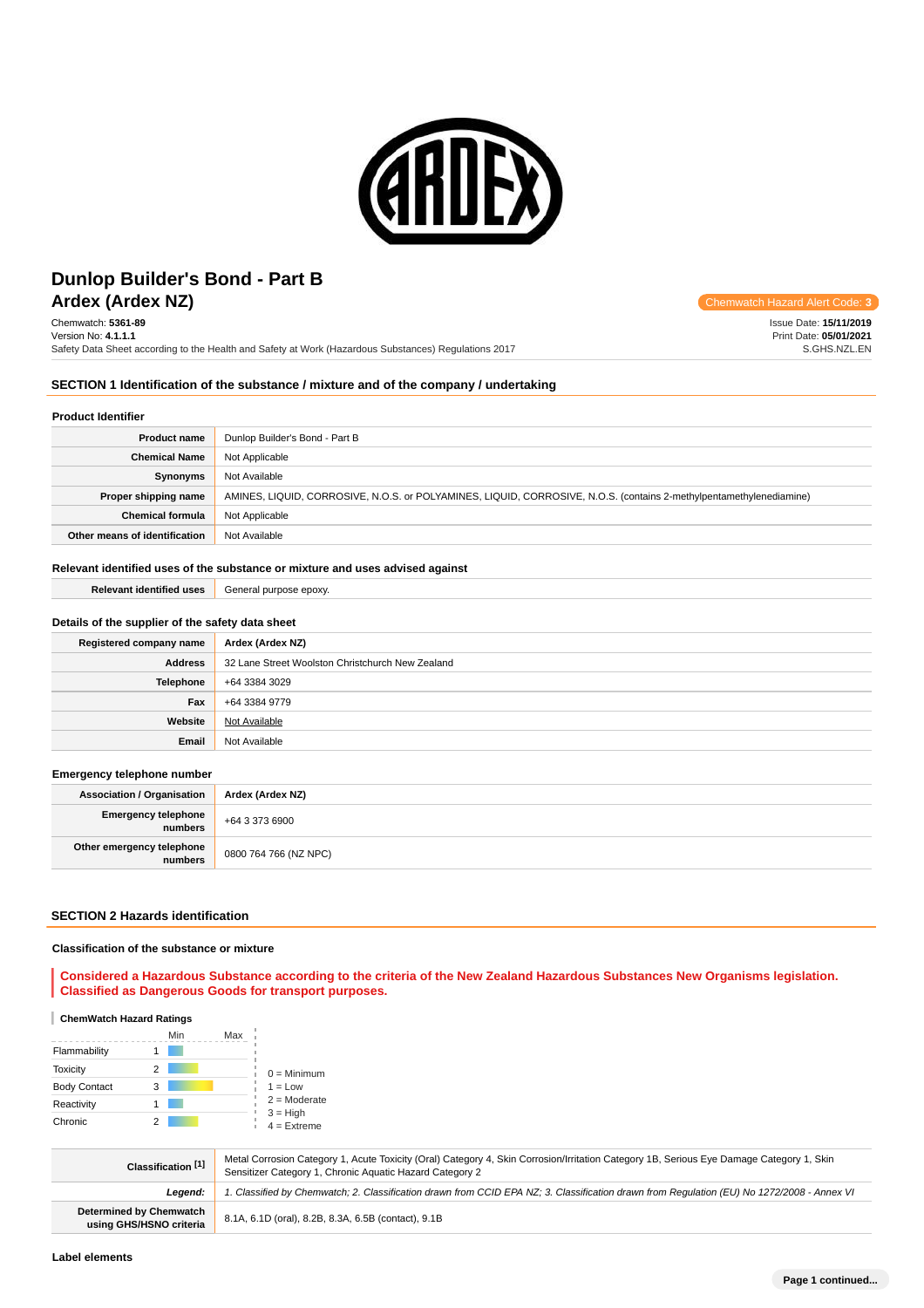

# **Ardex (Ardex NZ)** Chemwatch Hazard Alert Code: **3 Dunlop Builder's Bond - Part B**

Chemwatch: **5361-89** Version No: **4.1.1.1** Safety Data Sheet according to the Health and Safety at Work (Hazardous Substances) Regulations 2017

Issue Date: **15/11/2019** Print Date: **05/01/2021** S.GHS.NZL.EN

# **SECTION 1 Identification of the substance / mixture and of the company / undertaking**

### **Product Identifier**

| <b>Product name</b>           | Dunlop Builder's Bond - Part B                                                                                      |
|-------------------------------|---------------------------------------------------------------------------------------------------------------------|
| <b>Chemical Name</b>          | Not Applicable                                                                                                      |
| Synonyms                      | Not Available                                                                                                       |
| Proper shipping name          | AMINES, LIQUID, CORROSIVE, N.O.S. or POLYAMINES, LIQUID, CORROSIVE, N.O.S. (contains 2-methylpentamethylenediamine) |
| <b>Chemical formula</b>       | Not Applicable                                                                                                      |
| Other means of identification | Not Available                                                                                                       |

### **Relevant identified uses of the substance or mixture and uses advised against**

**Relevant identified uses** General purpose epoxy.

# **Details of the supplier of the safety data sheet**

| Registered company name | Ardex (Ardex NZ)                                 |
|-------------------------|--------------------------------------------------|
| <b>Address</b>          | 32 Lane Street Woolston Christchurch New Zealand |
| <b>Telephone</b>        | +64 3384 3029                                    |
| Fax                     | +64 3384 9779                                    |
| Website                 | Not Available                                    |
| Email                   | Not Available                                    |

#### **Emergency telephone number**

| <b>Association / Organisation</b>            | Ardex (Ardex NZ)      |
|----------------------------------------------|-----------------------|
| <b>Emergency telephone</b><br><b>numbers</b> | +64 3 373 6900        |
| Other emergency telephone<br>numbers         | 0800 764 766 (NZ NPC) |

### **SECTION 2 Hazards identification**

#### **Classification of the substance or mixture**

**Considered a Hazardous Substance according to the criteria of the New Zealand Hazardous Substances New Organisms legislation. Classified as Dangerous Goods for transport purposes.**

#### **ChemWatch Hazard Ratings**

|                     | Min | Max |                                                            |
|---------------------|-----|-----|------------------------------------------------------------|
| Flammability        |     |     |                                                            |
| <b>Toxicity</b>     | 2   |     | $0 =$ Minimum                                              |
| <b>Body Contact</b> | 3   |     | $1 = Low$<br>$2 =$ Moderate<br>$3 = High$<br>$4 =$ Extreme |
| Reactivity          |     |     |                                                            |
| Chronic             |     |     |                                                            |

| Classification [1]                                 | Metal Corrosion Category 1, Acute Toxicity (Oral) Category 4, Skin Corrosion/Irritation Category 1B, Serious Eye Damage Category 1, Skin<br>Sensitizer Category 1, Chronic Aquatic Hazard Category 2 |
|----------------------------------------------------|------------------------------------------------------------------------------------------------------------------------------------------------------------------------------------------------------|
| Leaend:                                            | '. Classified by Chemwatch; 2. Classification drawn from CCID EPA NZ; 3. Classification drawn from Requlation (EU) No 1272/2008 - Annex VI                                                           |
| Determined by Chemwatch<br>using GHS/HSNO criteria | 8.1A, 6.1D (oral), 8.2B, 8.3A, 6.5B (contact), 9.1B                                                                                                                                                  |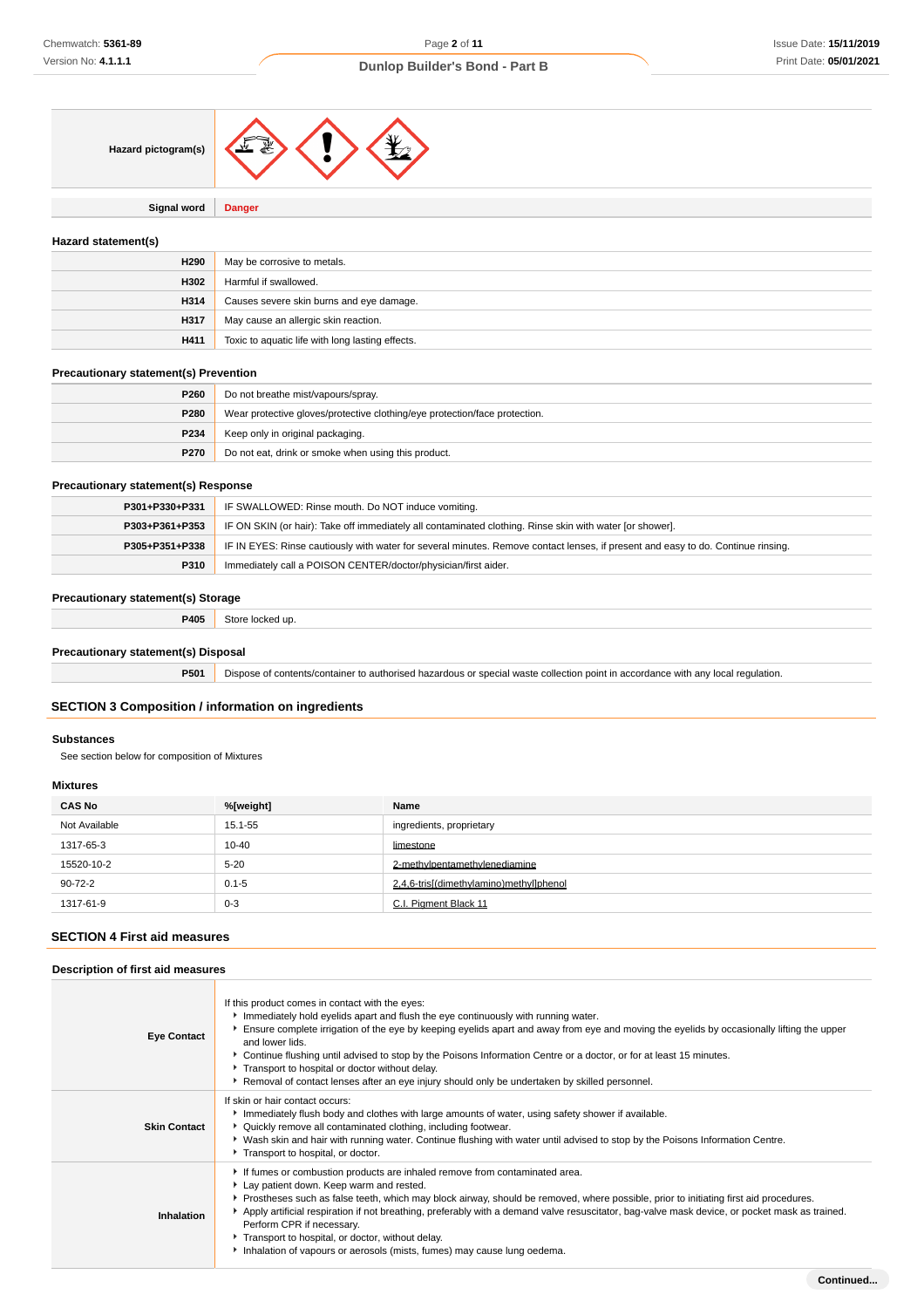

**Signal word Danger**

### **Hazard statement(s)**

| H <sub>290</sub> | May be corrosive to metals.                      |
|------------------|--------------------------------------------------|
| H302             | Harmful if swallowed.                            |
| H314             | Causes severe skin burns and eye damage.         |
| H317             | May cause an allergic skin reaction.             |
| H411             | Toxic to aquatic life with long lasting effects. |

### **Precautionary statement(s) Prevention**

| <b>P260</b> | Do not breathe mist/vapours/spray.                                         |
|-------------|----------------------------------------------------------------------------|
| P280        | Wear protective gloves/protective clothing/eye protection/face protection. |
| P234        | Keep only in original packaging.                                           |
| <b>P270</b> | Do not eat, drink or smoke when using this product.                        |

### **Precautionary statement(s) Response**

| P301+P330+P331 | IF SWALLOWED: Rinse mouth. Do NOT induce vomiting.                                                                               |
|----------------|----------------------------------------------------------------------------------------------------------------------------------|
| P303+P361+P353 | IF ON SKIN (or hair): Take off immediately all contaminated clothing. Rinse skin with water [or shower].                         |
| P305+P351+P338 | IF IN EYES: Rinse cautiously with water for several minutes. Remove contact lenses, if present and easy to do. Continue rinsing. |
| <b>P310</b>    | Immediately call a POISON CENTER/doctor/physician/first aider.                                                                   |

# **Precautionary statement(s) Storage**

**P405** Store locked up.

### **Precautionary statement(s) Disposal**

**P501** Dispose of contents/container to authorised hazardous or special waste collection point in accordance with any local regulation.

### **SECTION 3 Composition / information on ingredients**

### **Substances**

See section below for composition of Mixtures

### **Mixtures**

| <b>CAS No</b> | %[weight] | Name                                    |
|---------------|-----------|-----------------------------------------|
| Not Available | 15.1-55   | ingredients, proprietary                |
| 1317-65-3     | $10 - 40$ | limestone                               |
| 15520-10-2    | $5 - 20$  | 2-methylpentamethylenediamine           |
| $90 - 72 - 2$ | $0.1 - 5$ | 2.4.6-tris[(dimethylamino)methyl]phenol |
| 1317-61-9     | $0 - 3$   | C.I. Pigment Black 11                   |

### **SECTION 4 First aid measures**

### **Description of first aid measures**

| <b>Eye Contact</b>  | If this product comes in contact with the eyes:<br>Immediately hold eyelids apart and flush the eye continuously with running water.<br>Ensure complete irrigation of the eye by keeping eyelids apart and away from eye and moving the eyelids by occasionally lifting the upper<br>and lower lids.<br>▶ Continue flushing until advised to stop by the Poisons Information Centre or a doctor, or for at least 15 minutes.<br>Transport to hospital or doctor without delay.<br>Removal of contact lenses after an eye injury should only be undertaken by skilled personnel. |
|---------------------|---------------------------------------------------------------------------------------------------------------------------------------------------------------------------------------------------------------------------------------------------------------------------------------------------------------------------------------------------------------------------------------------------------------------------------------------------------------------------------------------------------------------------------------------------------------------------------|
| <b>Skin Contact</b> | If skin or hair contact occurs:<br>Immediately flush body and clothes with large amounts of water, using safety shower if available.<br>▶ Quickly remove all contaminated clothing, including footwear.<br>▶ Wash skin and hair with running water. Continue flushing with water until advised to stop by the Poisons Information Centre.<br>Transport to hospital, or doctor.                                                                                                                                                                                                  |
| <b>Inhalation</b>   | If fumes or combustion products are inhaled remove from contaminated area.<br>Lay patient down. Keep warm and rested.<br>Prostheses such as false teeth, which may block airway, should be removed, where possible, prior to initiating first aid procedures.<br>Apply artificial respiration if not breathing, preferably with a demand valve resuscitator, bag-valve mask device, or pocket mask as trained.<br>Perform CPR if necessary.<br>Transport to hospital, or doctor, without delay.<br>Inhalation of vapours or aerosols (mists, fumes) may cause lung oedema.      |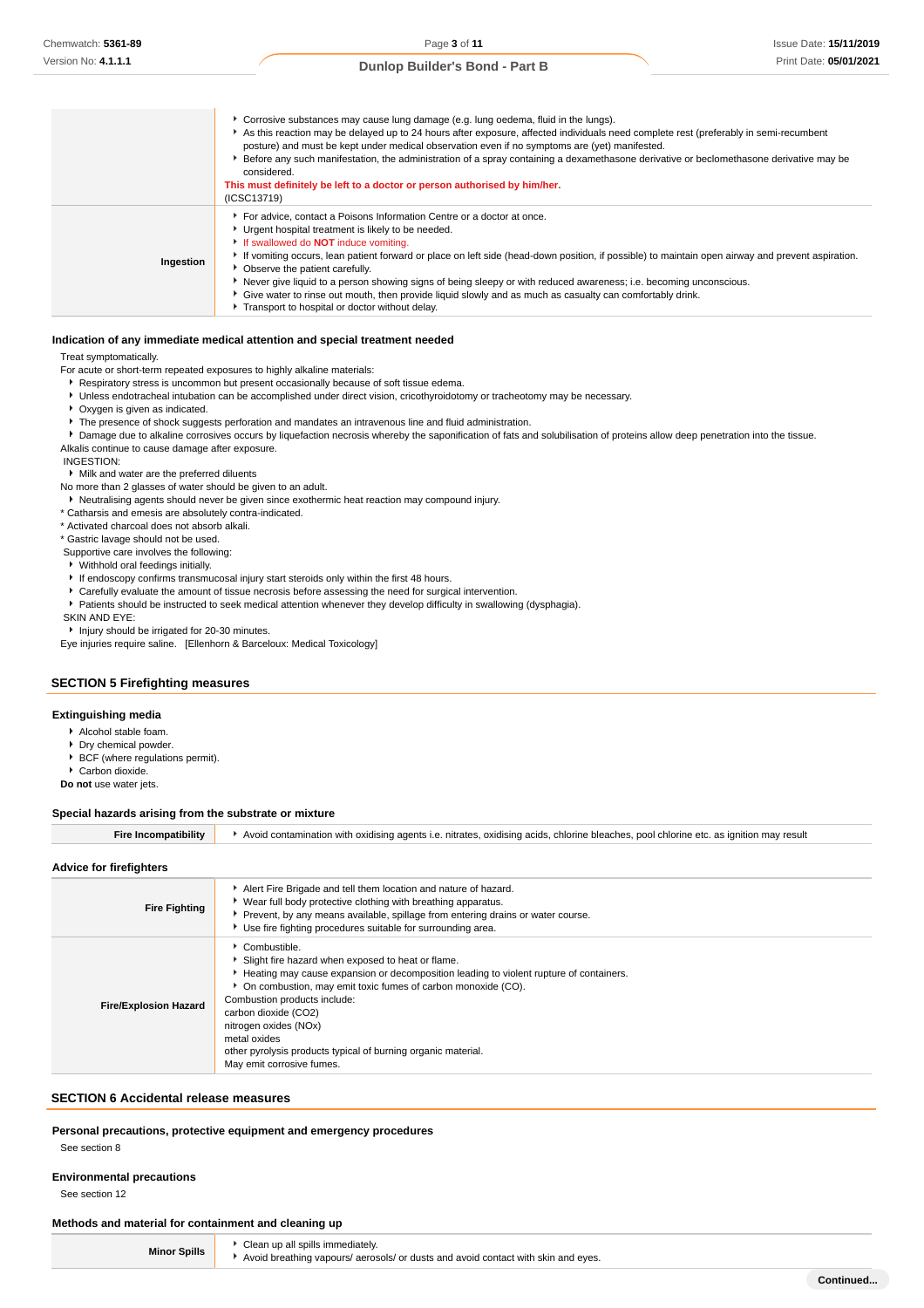|           | • Corrosive substances may cause lung damage (e.g. lung oedema, fluid in the lungs).<br>As this reaction may be delayed up to 24 hours after exposure, affected individuals need complete rest (preferably in semi-recumbent<br>posture) and must be kept under medical observation even if no symptoms are (yet) manifested.<br>Before any such manifestation, the administration of a spray containing a dexamethasone derivative or beclomethasone derivative may be<br>considered.<br>This must definitely be left to a doctor or person authorised by him/her.<br>(ICSC13719)                                                                       |
|-----------|----------------------------------------------------------------------------------------------------------------------------------------------------------------------------------------------------------------------------------------------------------------------------------------------------------------------------------------------------------------------------------------------------------------------------------------------------------------------------------------------------------------------------------------------------------------------------------------------------------------------------------------------------------|
| Ingestion | For advice, contact a Poisons Information Centre or a doctor at once.<br>• Urgent hospital treatment is likely to be needed.<br>If swallowed do <b>NOT</b> induce vomiting.<br>If vomiting occurs, lean patient forward or place on left side (head-down position, if possible) to maintain open airway and prevent aspiration.<br>• Observe the patient carefully.<br>Never give liquid to a person showing signs of being sleepy or with reduced awareness; i.e. becoming unconscious.<br>• Give water to rinse out mouth, then provide liquid slowly and as much as casualty can comfortably drink.<br>Transport to hospital or doctor without delay. |

#### **Indication of any immediate medical attention and special treatment needed**

Treat symptomatically.

- For acute or short-term repeated exposures to highly alkaline materials:
- **Respiratory stress is uncommon but present occasionally because of soft tissue edema.**
- Unless endotracheal intubation can be accomplished under direct vision, cricothyroidotomy or tracheotomy may be necessary.
- Oxygen is given as indicated.
- $\blacktriangleright$  The presence of shock suggests perforation and mandates an intravenous line and fluid administration.
- **P** Damage due to alkaline corrosives occurs by liquefaction necrosis whereby the saponification of fats and solubilisation of proteins allow deep penetration into the tissue. Alkalis continue to cause damage after exposure.

INGESTION:

### Milk and water are the preferred diluents

No more than 2 glasses of water should be given to an adult.

Neutralising agents should never be given since exothermic heat reaction may compound injury.

\* Catharsis and emesis are absolutely contra-indicated.

\* Activated charcoal does not absorb alkali.

\* Gastric lavage should not be used.

- Supportive care involves the following:
- Withhold oral feedings initially.
- If endoscopy confirms transmucosal injury start steroids only within the first 48 hours.
- Carefully evaluate the amount of tissue necrosis before assessing the need for surgical intervention.
- Patients should be instructed to seek medical attention whenever they develop difficulty in swallowing (dysphagia).
- SKIN AND EYE:

**Injury should be irrigated for 20-30 minutes.** 

Eye injuries require saline. [Ellenhorn & Barceloux: Medical Toxicology]

#### **SECTION 5 Firefighting measures**

#### **Extinguishing media**

- Alcohol stable foam.
- Dry chemical powder.
- ▶ BCF (where regulations permit).
- ▶ Carbon dioxide.
- **Do not** use water jets.

#### **Special hazards arising from the substrate or mixture**

**Fire Incompatibility Avoid contamination with oxidising agents i.e. nitrates, oxidising acids, chlorine bleaches, pool chlorine etc. as ignition may result** 

#### **Advice for firefighters**

| <b>Fire Fighting</b>         | Alert Fire Brigade and tell them location and nature of hazard.<br>▶ Wear full body protective clothing with breathing apparatus.<br>Prevent, by any means available, spillage from entering drains or water course.<br>Use fire fighting procedures suitable for surrounding area.                                                                                                                                            |  |
|------------------------------|--------------------------------------------------------------------------------------------------------------------------------------------------------------------------------------------------------------------------------------------------------------------------------------------------------------------------------------------------------------------------------------------------------------------------------|--|
| <b>Fire/Explosion Hazard</b> | Combustible.<br>Slight fire hazard when exposed to heat or flame.<br>► Heating may cause expansion or decomposition leading to violent rupture of containers.<br>• On combustion, may emit toxic fumes of carbon monoxide (CO).<br>Combustion products include:<br>carbon dioxide (CO2)<br>nitrogen oxides (NOx)<br>metal oxides<br>other pyrolysis products typical of burning organic material.<br>May emit corrosive fumes. |  |

### **SECTION 6 Accidental release measures**

**Personal precautions, protective equipment and emergency procedures**

**M** Clean up all spills immediately

See section 8

### **Environmental precautions**

See section 12

#### **Methods and material for containment and cleaning up**

| <b>Minor Spills</b> |  |
|---------------------|--|

Avoid breathing vapours/ aerosols/ or dusts and avoid contact with skin and eyes.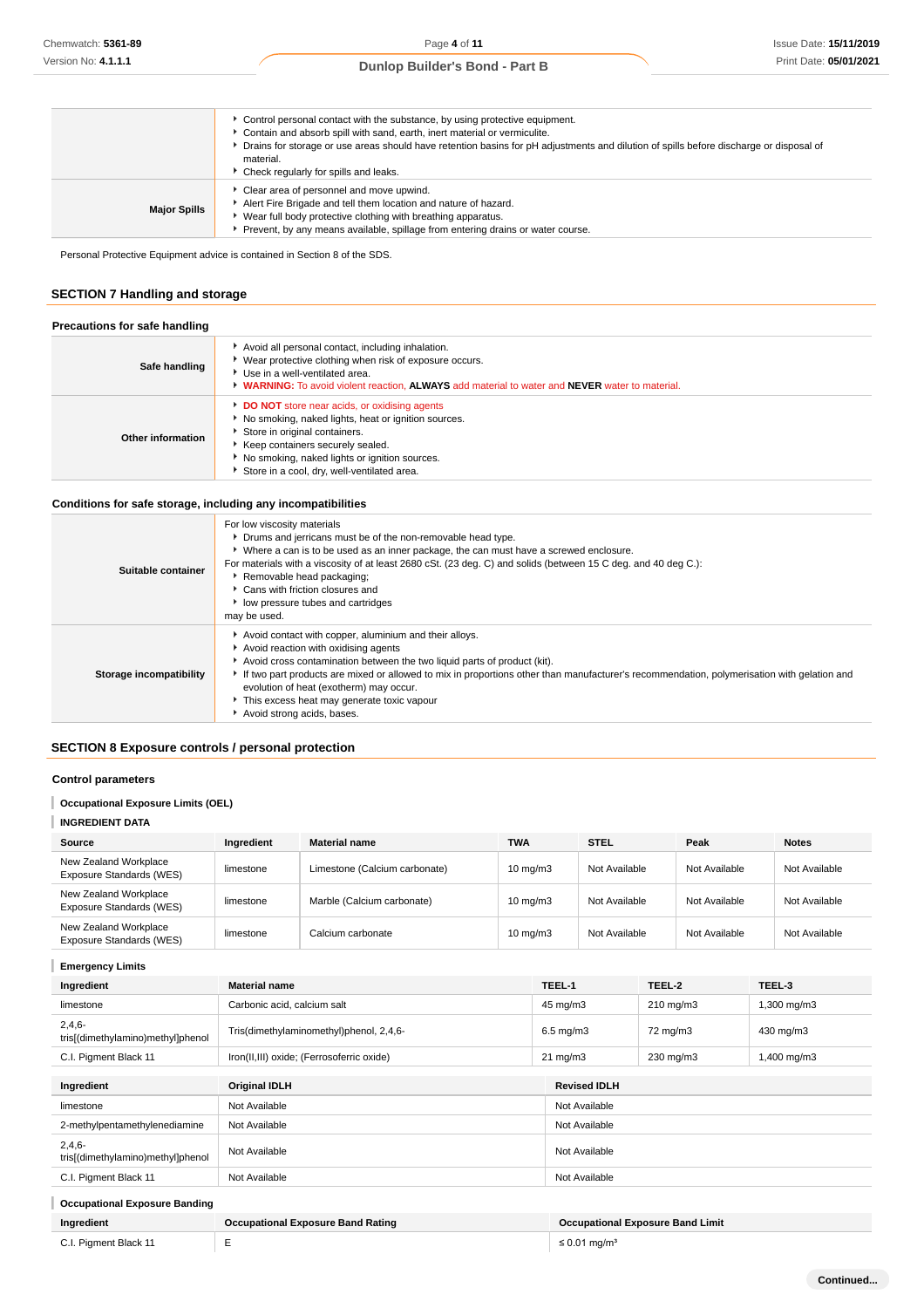|  | <b>Dunlop Builder's Bond - Part B</b> |  |  |
|--|---------------------------------------|--|--|
|--|---------------------------------------|--|--|

|                     | ► Control personal contact with the substance, by using protective equipment.<br>Contain and absorb spill with sand, earth, inert material or vermiculite.<br>▶ Drains for storage or use areas should have retention basins for pH adjustments and dilution of spills before discharge or disposal of<br>material.<br>▶ Check regularly for spills and leaks. |
|---------------------|----------------------------------------------------------------------------------------------------------------------------------------------------------------------------------------------------------------------------------------------------------------------------------------------------------------------------------------------------------------|
| <b>Major Spills</b> | Clear area of personnel and move upwind.<br>Alert Fire Brigade and tell them location and nature of hazard.<br>▶ Wear full body protective clothing with breathing apparatus.<br>▶ Prevent, by any means available, spillage from entering drains or water course.                                                                                             |

Personal Protective Equipment advice is contained in Section 8 of the SDS.

# **SECTION 7 Handling and storage**

| Precautions for safe handling |                                                                                                                                                                                                                                                                              |  |
|-------------------------------|------------------------------------------------------------------------------------------------------------------------------------------------------------------------------------------------------------------------------------------------------------------------------|--|
| Safe handling                 | Avoid all personal contact, including inhalation.<br>▶ Wear protective clothing when risk of exposure occurs.<br>▶ Use in a well-ventilated area.<br>• WARNING: To avoid violent reaction. ALWAYS add material to water and NEVER water to material.                         |  |
| Other information             | DO NOT store near acids, or oxidising agents<br>No smoking, naked lights, heat or ignition sources.<br>Store in original containers.<br>▶ Keep containers securely sealed.<br>▶ No smoking, naked lights or ignition sources.<br>Store in a cool, dry, well-ventilated area. |  |

# **Conditions for safe storage, including any incompatibilities**

| Suitable container      | For low viscosity materials<br>• Drums and jerricans must be of the non-removable head type.<br>▶ Where a can is to be used as an inner package, the can must have a screwed enclosure.<br>For materials with a viscosity of at least 2680 cSt. (23 deg. C) and solids (between 15 C deg. and 40 deg C.):<br>Removable head packaging;<br>▶ Cans with friction closures and<br>• low pressure tubes and cartridges<br>may be used.              |
|-------------------------|-------------------------------------------------------------------------------------------------------------------------------------------------------------------------------------------------------------------------------------------------------------------------------------------------------------------------------------------------------------------------------------------------------------------------------------------------|
| Storage incompatibility | Avoid contact with copper, aluminium and their alloys.<br>Avoid reaction with oxidising agents<br>Avoid cross contamination between the two liquid parts of product (kit).<br>If two part products are mixed or allowed to mix in proportions other than manufacturer's recommendation, polymerisation with gelation and<br>evolution of heat (exotherm) may occur.<br>This excess heat may generate toxic vapour<br>Avoid strong acids, bases. |

# **SECTION 8 Exposure controls / personal protection**

### **Control parameters**

# **Occupational Exposure Limits (OEL)**

# **INGREDIENT DATA**

| Source                                            | Ingredient | <b>Material name</b>          | <b>TWA</b>        | <b>STEL</b>   | Peak          | <b>Notes</b>  |
|---------------------------------------------------|------------|-------------------------------|-------------------|---------------|---------------|---------------|
| New Zealand Workplace<br>Exposure Standards (WES) | limestone  | Limestone (Calcium carbonate) | $10 \text{ mg/m}$ | Not Available | Not Available | Not Available |
| New Zealand Workplace<br>Exposure Standards (WES) | limestone  | Marble (Calcium carbonate)    | $10 \text{ mg/m}$ | Not Available | Not Available | Not Available |
| New Zealand Workplace<br>Exposure Standards (WES) | limestone  | Calcium carbonate             | $10 \text{ mg/m}$ | Not Available | Not Available | Not Available |

# **Emergency Limits**

| Ingredient                                    | <b>Material name</b>                      | TEEL-1                        | TEEL-2                                  | TEEL-3      |
|-----------------------------------------------|-------------------------------------------|-------------------------------|-----------------------------------------|-------------|
| limestone                                     | Carbonic acid, calcium salt               | 45 mg/m3                      | $210 \text{ mg/m}$                      | 1,300 mg/m3 |
| $2,4,6-$<br>tris[(dimethylamino)methyl]phenol | Tris(dimethylaminomethyl)phenol, 2,4,6-   | $6.5 \text{ mg/m}$ 3          | 72 mg/m3                                | 430 mg/m3   |
| C.I. Pigment Black 11                         | Iron(II,III) oxide; (Ferrosoferric oxide) | $21 \text{ mg/m}$             | 230 mg/m3                               | 1,400 mg/m3 |
| Ingredient                                    | <b>Original IDLH</b>                      | <b>Revised IDLH</b>           |                                         |             |
| limestone                                     | Not Available                             | Not Available                 |                                         |             |
| 2-methylpentamethylenediamine                 | Not Available                             | Not Available                 |                                         |             |
| $2,4,6-$<br>tris[(dimethylamino)methyl]phenol | Not Available                             | Not Available                 |                                         |             |
| C.I. Pigment Black 11                         | Not Available                             | Not Available                 |                                         |             |
| <b>Occupational Exposure Banding</b>          |                                           |                               |                                         |             |
| Ingredient                                    | <b>Occupational Exposure Band Rating</b>  |                               | <b>Occupational Exposure Band Limit</b> |             |
| C.I. Pigment Black 11                         | Е                                         | $\leq$ 0.01 mg/m <sup>3</sup> |                                         |             |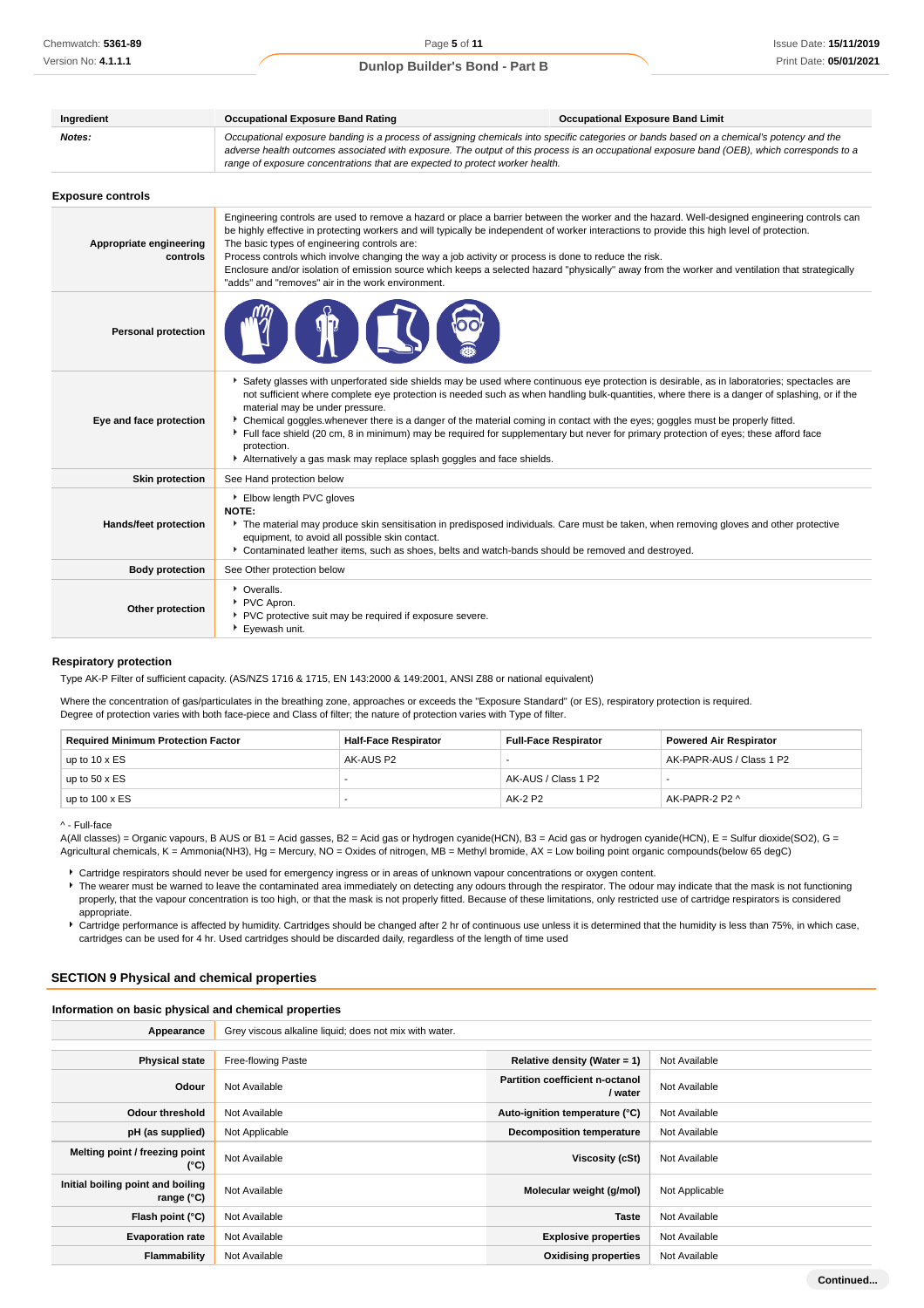| Ingredient                          | <b>Occupational Exposure Band Rating</b>                                                                                                                                                                                                                                                                                                                                                                                                                                                                                                                                                                                                                                                          | <b>Occupational Exposure Band Limit</b> |
|-------------------------------------|---------------------------------------------------------------------------------------------------------------------------------------------------------------------------------------------------------------------------------------------------------------------------------------------------------------------------------------------------------------------------------------------------------------------------------------------------------------------------------------------------------------------------------------------------------------------------------------------------------------------------------------------------------------------------------------------------|-----------------------------------------|
| Notes:                              | Occupational exposure banding is a process of assigning chemicals into specific categories or bands based on a chemical's potency and the<br>adverse health outcomes associated with exposure. The output of this process is an occupational exposure band (OEB), which corresponds to a<br>range of exposure concentrations that are expected to protect worker health.                                                                                                                                                                                                                                                                                                                          |                                         |
| <b>Exposure controls</b>            |                                                                                                                                                                                                                                                                                                                                                                                                                                                                                                                                                                                                                                                                                                   |                                         |
| Appropriate engineering<br>controls | Engineering controls are used to remove a hazard or place a barrier between the worker and the hazard. Well-designed engineering controls can<br>be highly effective in protecting workers and will typically be independent of worker interactions to provide this high level of protection.<br>The basic types of engineering controls are:<br>Process controls which involve changing the way a job activity or process is done to reduce the risk.<br>Enclosure and/or isolation of emission source which keeps a selected hazard "physically" away from the worker and ventilation that strategically<br>"adds" and "removes" air in the work environment.                                   |                                         |
| <b>Personal protection</b>          |                                                                                                                                                                                                                                                                                                                                                                                                                                                                                                                                                                                                                                                                                                   |                                         |
| Eye and face protection             | Safety glasses with unperforated side shields may be used where continuous eye protection is desirable, as in laboratories; spectacles are<br>not sufficient where complete eye protection is needed such as when handling bulk-quantities, where there is a danger of splashing, or if the<br>material may be under pressure.<br>> Chemical goggles whenever there is a danger of the material coming in contact with the eyes; goggles must be properly fitted.<br>Full face shield (20 cm, 8 in minimum) may be required for supplementary but never for primary protection of eyes; these afford face<br>protection.<br>Alternatively a gas mask may replace splash goggles and face shields. |                                         |
| <b>Skin protection</b>              | See Hand protection below                                                                                                                                                                                                                                                                                                                                                                                                                                                                                                                                                                                                                                                                         |                                         |
| Hands/feet protection               | Elbow length PVC gloves<br><b>NOTE:</b><br>The material may produce skin sensitisation in predisposed individuals. Care must be taken, when removing gloves and other protective<br>equipment, to avoid all possible skin contact.<br>Contaminated leather items, such as shoes, belts and watch-bands should be removed and destroyed.                                                                                                                                                                                                                                                                                                                                                           |                                         |
| <b>Body protection</b>              | See Other protection below                                                                                                                                                                                                                                                                                                                                                                                                                                                                                                                                                                                                                                                                        |                                         |
| Other protection                    | • Overalls.<br>PVC Apron.<br>PVC protective suit may be required if exposure severe.<br>Eyewash unit.                                                                                                                                                                                                                                                                                                                                                                                                                                                                                                                                                                                             |                                         |

### **Respiratory protection**

Type AK-P Filter of sufficient capacity. (AS/NZS 1716 & 1715, EN 143:2000 & 149:2001, ANSI Z88 or national equivalent)

Where the concentration of gas/particulates in the breathing zone, approaches or exceeds the "Exposure Standard" (or ES), respiratory protection is required. Degree of protection varies with both face-piece and Class of filter; the nature of protection varies with Type of filter.

| <b>Required Minimum Protection Factor</b> | <b>Half-Face Respirator</b> | <b>Full-Face Respirator</b> | <b>Powered Air Respirator</b> |
|-------------------------------------------|-----------------------------|-----------------------------|-------------------------------|
| up to $10 \times ES$                      | AK-AUS P2                   |                             | AK-PAPR-AUS / Class 1 P2      |
| up to $50 \times ES$                      |                             | AK-AUS / Class 1 P2         |                               |
| up to $100 \times ES$                     |                             | AK-2 P2                     | AK-PAPR-2 P2 ^                |

^ - Full-face

A(All classes) = Organic vapours, B AUS or B1 = Acid gasses, B2 = Acid gas or hydrogen cyanide(HCN), B3 = Acid gas or hydrogen cyanide(HCN), E = Sulfur dioxide(SO2), G = Agricultural chemicals, K = Ammonia(NH3), Hg = Mercury, NO = Oxides of nitrogen, MB = Methyl bromide, AX = Low boiling point organic compounds(below 65 degC)

Cartridge respirators should never be used for emergency ingress or in areas of unknown vapour concentrations or oxygen content.

The wearer must be warned to leave the contaminated area immediately on detecting any odours through the respirator. The odour may indicate that the mask is not functioning properly, that the vapour concentration is too high, or that the mask is not properly fitted. Because of these limitations, only restricted use of cartridge respirators is considered appropriate.

Cartridge performance is affected by humidity. Cartridges should be changed after 2 hr of continuous use unless it is determined that the humidity is less than 75%, in which case, cartridges can be used for 4 hr. Used cartridges should be discarded daily, regardless of the length of time used

# **SECTION 9 Physical and chemical properties**

### **Information on basic physical and chemical properties**

| Appearance                                               | Grey viscous alkaline liquid; does not mix with water. |                                                   |                |
|----------------------------------------------------------|--------------------------------------------------------|---------------------------------------------------|----------------|
|                                                          |                                                        |                                                   |                |
| <b>Physical state</b>                                    | Free-flowing Paste                                     | Relative density (Water = 1)                      | Not Available  |
| Odour                                                    | Not Available                                          | <b>Partition coefficient n-octanol</b><br>/ water | Not Available  |
| Odour threshold                                          | Not Available                                          | Auto-ignition temperature (°C)                    | Not Available  |
| pH (as supplied)                                         | Not Applicable                                         | <b>Decomposition temperature</b>                  | Not Available  |
| Melting point / freezing point<br>$(^{\circ}C)$          | Not Available                                          | Viscosity (cSt)                                   | Not Available  |
| Initial boiling point and boiling<br>range $(^{\circ}C)$ | Not Available                                          | Molecular weight (g/mol)                          | Not Applicable |
| Flash point (°C)                                         | Not Available                                          | <b>Taste</b>                                      | Not Available  |
| <b>Evaporation rate</b>                                  | Not Available                                          | <b>Explosive properties</b>                       | Not Available  |
| Flammability                                             | Not Available                                          | <b>Oxidising properties</b>                       | Not Available  |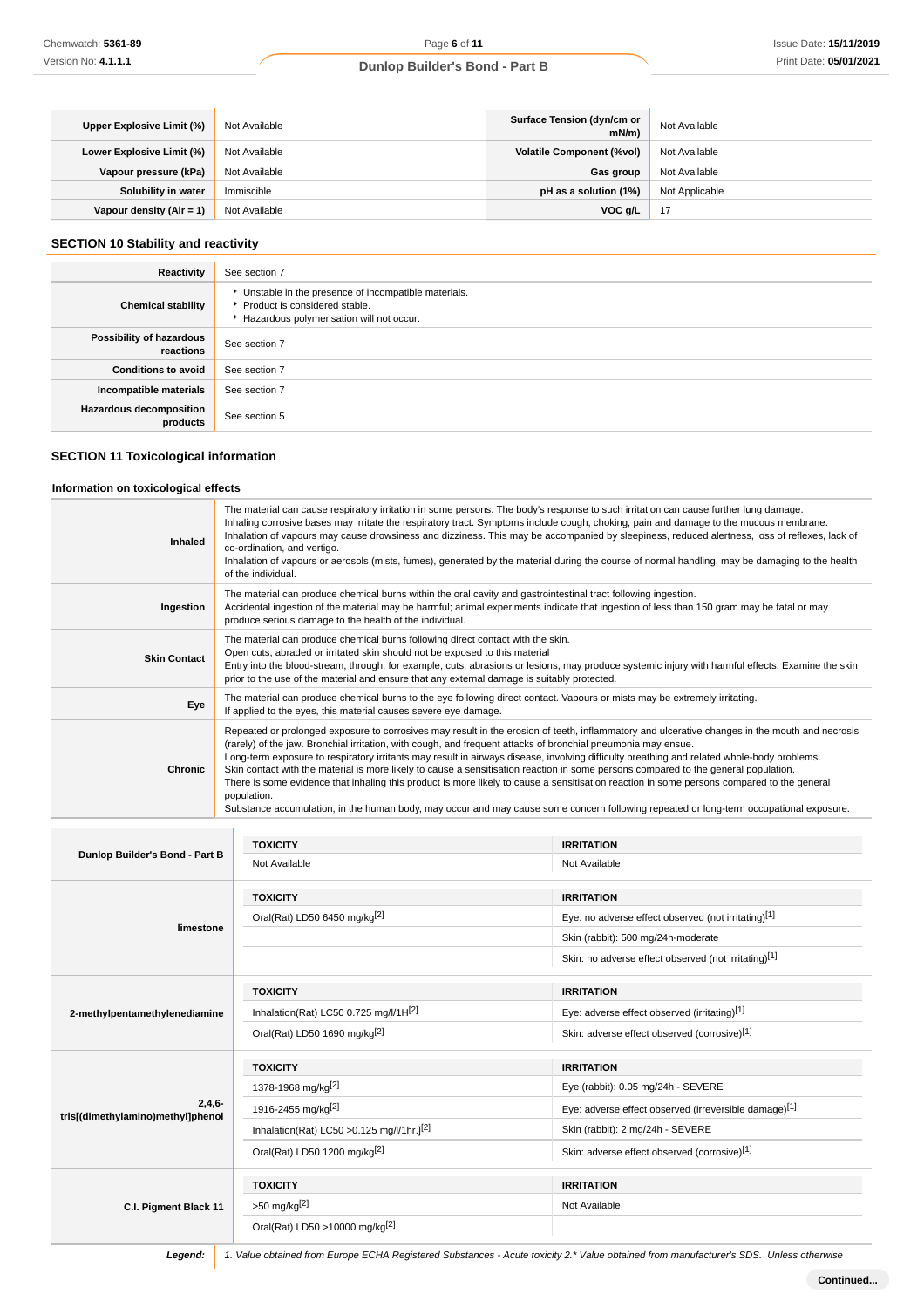| Upper Explosive Limit (%)  | Not Available | Surface Tension (dyn/cm or<br>mN/m | Not Available  |
|----------------------------|---------------|------------------------------------|----------------|
| Lower Explosive Limit (%)  | Not Available | <b>Volatile Component (%vol)</b>   | Not Available  |
| Vapour pressure (kPa)      | Not Available | Gas group                          | Not Available  |
| Solubility in water        | Immiscible    | pH as a solution (1%)              | Not Applicable |
| Vapour density $(Air = 1)$ | Not Available | VOC g/L                            | 47             |

# **SECTION 10 Stability and reactivity**

| Reactivity                                 | See section 7                                                                                                                        |
|--------------------------------------------|--------------------------------------------------------------------------------------------------------------------------------------|
| <b>Chemical stability</b>                  | • Unstable in the presence of incompatible materials.<br>▶ Product is considered stable.<br>Hazardous polymerisation will not occur. |
| Possibility of hazardous<br>reactions      | See section 7                                                                                                                        |
| <b>Conditions to avoid</b>                 | See section 7                                                                                                                        |
| Incompatible materials                     | See section 7                                                                                                                        |
| <b>Hazardous decomposition</b><br>products | See section 5                                                                                                                        |

# **SECTION 11 Toxicological information**

### **Information on toxicological effects**

| <b>Inhaled</b>      | The material can cause respiratory irritation in some persons. The body's response to such irritation can cause further lung damage.<br>Inhaling corrosive bases may irritate the respiratory tract. Symptoms include cough, choking, pain and damage to the mucous membrane.<br>Inhalation of vapours may cause drowsiness and dizziness. This may be accompanied by sleepiness, reduced alertness, loss of reflexes, lack of<br>co-ordination, and vertigo.<br>Inhalation of vapours or aerosols (mists, fumes), generated by the material during the course of normal handling, may be damaging to the health<br>of the individual.                                                                                                                                                                                                                      |
|---------------------|-------------------------------------------------------------------------------------------------------------------------------------------------------------------------------------------------------------------------------------------------------------------------------------------------------------------------------------------------------------------------------------------------------------------------------------------------------------------------------------------------------------------------------------------------------------------------------------------------------------------------------------------------------------------------------------------------------------------------------------------------------------------------------------------------------------------------------------------------------------|
| Ingestion           | The material can produce chemical burns within the oral cavity and gastrointestinal tract following ingestion.<br>Accidental ingestion of the material may be harmful; animal experiments indicate that ingestion of less than 150 gram may be fatal or may<br>produce serious damage to the health of the individual.                                                                                                                                                                                                                                                                                                                                                                                                                                                                                                                                      |
| <b>Skin Contact</b> | The material can produce chemical burns following direct contact with the skin.<br>Open cuts, abraded or irritated skin should not be exposed to this material<br>Entry into the blood-stream, through, for example, cuts, abrasions or lesions, may produce systemic injury with harmful effects. Examine the skin<br>prior to the use of the material and ensure that any external damage is suitably protected.                                                                                                                                                                                                                                                                                                                                                                                                                                          |
| Eye                 | The material can produce chemical burns to the eye following direct contact. Vapours or mists may be extremely irritating.<br>If applied to the eyes, this material causes severe eye damage.                                                                                                                                                                                                                                                                                                                                                                                                                                                                                                                                                                                                                                                               |
| <b>Chronic</b>      | Repeated or prolonged exposure to corrosives may result in the erosion of teeth, inflammatory and ulcerative changes in the mouth and necrosis<br>(rarely) of the jaw. Bronchial irritation, with cough, and frequent attacks of bronchial pneumonia may ensue.<br>Long-term exposure to respiratory irritants may result in airways disease, involving difficulty breathing and related whole-body problems.<br>Skin contact with the material is more likely to cause a sensitisation reaction in some persons compared to the general population.<br>There is some evidence that inhaling this product is more likely to cause a sensitisation reaction in some persons compared to the general<br>population.<br>Substance accumulation, in the human body, may occur and may cause some concern following repeated or long-term occupational exposure. |

|                                   | <b>TOXICITY</b>                                  | <b>IRRITATION</b>                                     |
|-----------------------------------|--------------------------------------------------|-------------------------------------------------------|
| Dunlop Builder's Bond - Part B    | Not Available                                    | Not Available                                         |
|                                   | <b>TOXICITY</b>                                  | <b>IRRITATION</b>                                     |
|                                   | Oral(Rat) LD50 6450 mg/kg <sup>[2]</sup>         | Eye: no adverse effect observed (not irritating)[1]   |
| limestone                         |                                                  | Skin (rabbit): 500 mg/24h-moderate                    |
|                                   |                                                  | Skin: no adverse effect observed (not irritating)[1]  |
|                                   | <b>TOXICITY</b>                                  | <b>IRRITATION</b>                                     |
| 2-methylpentamethylenediamine     | Inhalation(Rat) LC50 0.725 mg/l/1H[2]            | Eye: adverse effect observed (irritating)[1]          |
|                                   | Oral(Rat) LD50 1690 mg/kg <sup>[2]</sup>         | Skin: adverse effect observed (corrosive)[1]          |
|                                   | <b>TOXICITY</b>                                  | <b>IRRITATION</b>                                     |
|                                   |                                                  |                                                       |
|                                   | 1378-1968 mg/kg <sup>[2]</sup>                   | Eye (rabbit): 0.05 mg/24h - SEVERE                    |
| $2,4,6-$                          | 1916-2455 mg/kg <sup>[2]</sup>                   | Eye: adverse effect observed (irreversible damage)[1] |
| tris[(dimethylamino)methyl]phenol | Inhalation(Rat) LC50 > 0.125 mg/l/1hr. $]^{[2]}$ | Skin (rabbit): 2 mg/24h - SEVERE                      |
|                                   | Oral(Rat) LD50 1200 mg/kg <sup>[2]</sup>         | Skin: adverse effect observed (corrosive)[1]          |
|                                   | <b>TOXICITY</b>                                  | <b>IRRITATION</b>                                     |
| C.I. Pigment Black 11             | $>50$ mg/kg <sup>[2]</sup>                       | Not Available                                         |

**Legend:** 1. Value obtained from Europe ECHA Registered Substances - Acute toxicity 2.\* Value obtained from manufacturer's SDS. Unless otherwise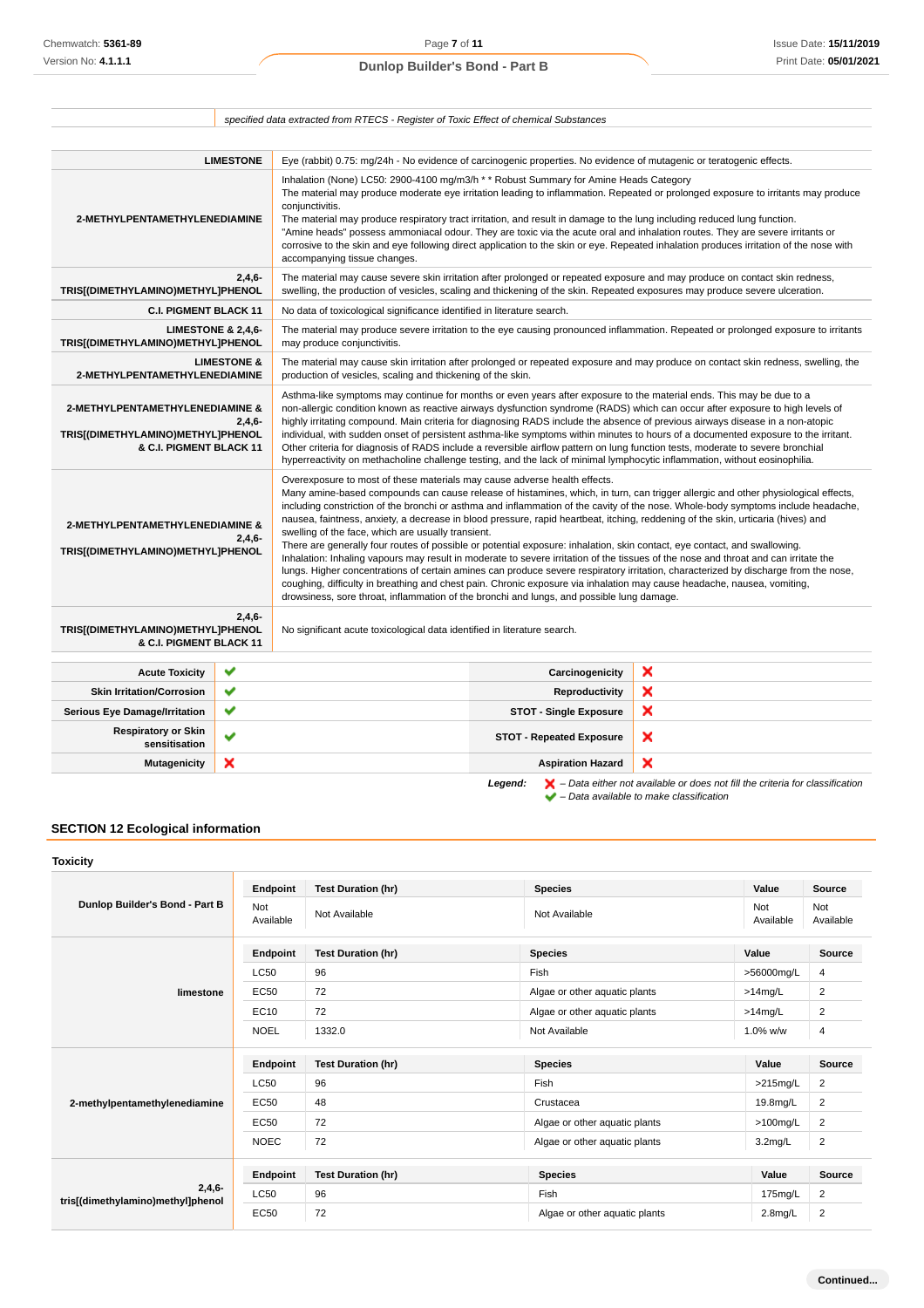|                                                                                                                                                                                                                                                                                                                                                                                                                                                                                                                                                                                                                                                                                                                                                                                                                                                                                                                                                                                                                                                                                                                                                                                                                                                                       |                        | specified data extracted from RTECS - Register of Toxic Effect of chemical Substances                                                                                                                                                                                                                                                                                                                                                                                                                                                                                                                                                                                                                                                                                                        |                                 |                                                                                                                                                                                                                                                                                                                                                                                                               |
|-----------------------------------------------------------------------------------------------------------------------------------------------------------------------------------------------------------------------------------------------------------------------------------------------------------------------------------------------------------------------------------------------------------------------------------------------------------------------------------------------------------------------------------------------------------------------------------------------------------------------------------------------------------------------------------------------------------------------------------------------------------------------------------------------------------------------------------------------------------------------------------------------------------------------------------------------------------------------------------------------------------------------------------------------------------------------------------------------------------------------------------------------------------------------------------------------------------------------------------------------------------------------|------------------------|----------------------------------------------------------------------------------------------------------------------------------------------------------------------------------------------------------------------------------------------------------------------------------------------------------------------------------------------------------------------------------------------------------------------------------------------------------------------------------------------------------------------------------------------------------------------------------------------------------------------------------------------------------------------------------------------------------------------------------------------------------------------------------------------|---------------------------------|---------------------------------------------------------------------------------------------------------------------------------------------------------------------------------------------------------------------------------------------------------------------------------------------------------------------------------------------------------------------------------------------------------------|
|                                                                                                                                                                                                                                                                                                                                                                                                                                                                                                                                                                                                                                                                                                                                                                                                                                                                                                                                                                                                                                                                                                                                                                                                                                                                       |                        |                                                                                                                                                                                                                                                                                                                                                                                                                                                                                                                                                                                                                                                                                                                                                                                              |                                 |                                                                                                                                                                                                                                                                                                                                                                                                               |
|                                                                                                                                                                                                                                                                                                                                                                                                                                                                                                                                                                                                                                                                                                                                                                                                                                                                                                                                                                                                                                                                                                                                                                                                                                                                       | <b>LIMESTONE</b>       | Eye (rabbit) 0.75: mg/24h - No evidence of carcinogenic properties. No evidence of mutagenic or teratogenic effects.                                                                                                                                                                                                                                                                                                                                                                                                                                                                                                                                                                                                                                                                         |                                 |                                                                                                                                                                                                                                                                                                                                                                                                               |
| 2-METHYLPENTAMETHYLENEDIAMINE                                                                                                                                                                                                                                                                                                                                                                                                                                                                                                                                                                                                                                                                                                                                                                                                                                                                                                                                                                                                                                                                                                                                                                                                                                         |                        | Inhalation (None) LC50: 2900-4100 mg/m3/h * * Robust Summary for Amine Heads Category<br>conjunctivitis.<br>The material may produce respiratory tract irritation, and result in damage to the lung including reduced lung function.<br>accompanying tissue changes.                                                                                                                                                                                                                                                                                                                                                                                                                                                                                                                         |                                 | The material may produce moderate eye irritation leading to inflammation. Repeated or prolonged exposure to irritants may produce<br>"Amine heads" possess ammoniacal odour. They are toxic via the acute oral and inhalation routes. They are severe irritants or<br>corrosive to the skin and eye following direct application to the skin or eye. Repeated inhalation produces irritation of the nose with |
| TRIS[(DIMETHYLAMINO)METHYL]PHENOL                                                                                                                                                                                                                                                                                                                                                                                                                                                                                                                                                                                                                                                                                                                                                                                                                                                                                                                                                                                                                                                                                                                                                                                                                                     | $2,4,6-$               |                                                                                                                                                                                                                                                                                                                                                                                                                                                                                                                                                                                                                                                                                                                                                                                              |                                 | The material may cause severe skin irritation after prolonged or repeated exposure and may produce on contact skin redness,<br>swelling, the production of vesicles, scaling and thickening of the skin. Repeated exposures may produce severe ulceration.                                                                                                                                                    |
| <b>C.I. PIGMENT BLACK 11</b>                                                                                                                                                                                                                                                                                                                                                                                                                                                                                                                                                                                                                                                                                                                                                                                                                                                                                                                                                                                                                                                                                                                                                                                                                                          |                        | No data of toxicological significance identified in literature search.                                                                                                                                                                                                                                                                                                                                                                                                                                                                                                                                                                                                                                                                                                                       |                                 |                                                                                                                                                                                                                                                                                                                                                                                                               |
| <b>LIMESTONE &amp; 2,4,6-</b><br>TRIS[(DIMETHYLAMINO)METHYL]PHENOL                                                                                                                                                                                                                                                                                                                                                                                                                                                                                                                                                                                                                                                                                                                                                                                                                                                                                                                                                                                                                                                                                                                                                                                                    |                        | may produce conjunctivitis.                                                                                                                                                                                                                                                                                                                                                                                                                                                                                                                                                                                                                                                                                                                                                                  |                                 | The material may produce severe irritation to the eye causing pronounced inflammation. Repeated or prolonged exposure to irritants                                                                                                                                                                                                                                                                            |
| 2-METHYLPENTAMETHYLENEDIAMINE                                                                                                                                                                                                                                                                                                                                                                                                                                                                                                                                                                                                                                                                                                                                                                                                                                                                                                                                                                                                                                                                                                                                                                                                                                         | <b>LIMESTONE &amp;</b> | The material may cause skin irritation after prolonged or repeated exposure and may produce on contact skin redness, swelling, the<br>production of vesicles, scaling and thickening of the skin.                                                                                                                                                                                                                                                                                                                                                                                                                                                                                                                                                                                            |                                 |                                                                                                                                                                                                                                                                                                                                                                                                               |
| 2-METHYLPENTAMETHYLENEDIAMINE &<br>TRIS[(DIMETHYLAMINO)METHYL]PHENOL<br>& C.I. PIGMENT BLACK 11                                                                                                                                                                                                                                                                                                                                                                                                                                                                                                                                                                                                                                                                                                                                                                                                                                                                                                                                                                                                                                                                                                                                                                       | $2,4,6-$               | Asthma-like symptoms may continue for months or even years after exposure to the material ends. This may be due to a<br>non-allergic condition known as reactive airways dysfunction syndrome (RADS) which can occur after exposure to high levels of<br>highly irritating compound. Main criteria for diagnosing RADS include the absence of previous airways disease in a non-atopic<br>individual, with sudden onset of persistent asthma-like symptoms within minutes to hours of a documented exposure to the irritant.<br>Other criteria for diagnosis of RADS include a reversible airflow pattern on lung function tests, moderate to severe bronchial<br>hyperreactivity on methacholine challenge testing, and the lack of minimal lymphocytic inflammation, without eosinophilia. |                                 |                                                                                                                                                                                                                                                                                                                                                                                                               |
| Overexposure to most of these materials may cause adverse health effects.<br>Many amine-based compounds can cause release of histamines, which, in turn, can trigger allergic and other physiological effects,<br>including constriction of the bronchi or asthma and inflammation of the cavity of the nose. Whole-body symptoms include headache,<br>nausea, faintness, anxiety, a decrease in blood pressure, rapid heartbeat, itching, reddening of the skin, urticaria (hives) and<br>2-METHYLPENTAMETHYLENEDIAMINE &<br>swelling of the face, which are usually transient.<br>$2.4.6 -$<br>There are generally four routes of possible or potential exposure: inhalation, skin contact, eye contact, and swallowing.<br>TRIS[(DIMETHYLAMINO)METHYL]PHENOL<br>Inhalation: Inhaling vapours may result in moderate to severe irritation of the tissues of the nose and throat and can irritate the<br>lungs. Higher concentrations of certain amines can produce severe respiratory irritation, characterized by discharge from the nose,<br>coughing, difficulty in breathing and chest pain. Chronic exposure via inhalation may cause headache, nausea, vomiting,<br>drowsiness, sore throat, inflammation of the bronchi and lungs, and possible lung damage. |                        |                                                                                                                                                                                                                                                                                                                                                                                                                                                                                                                                                                                                                                                                                                                                                                                              |                                 |                                                                                                                                                                                                                                                                                                                                                                                                               |
| TRIS[(DIMETHYLAMINO)METHYL]PHENOL<br>& C.I. PIGMENT BLACK 11                                                                                                                                                                                                                                                                                                                                                                                                                                                                                                                                                                                                                                                                                                                                                                                                                                                                                                                                                                                                                                                                                                                                                                                                          | $2,4,6-$               | No significant acute toxicological data identified in literature search.                                                                                                                                                                                                                                                                                                                                                                                                                                                                                                                                                                                                                                                                                                                     |                                 |                                                                                                                                                                                                                                                                                                                                                                                                               |
| <b>Acute Toxicity</b>                                                                                                                                                                                                                                                                                                                                                                                                                                                                                                                                                                                                                                                                                                                                                                                                                                                                                                                                                                                                                                                                                                                                                                                                                                                 | ✔                      |                                                                                                                                                                                                                                                                                                                                                                                                                                                                                                                                                                                                                                                                                                                                                                                              | Carcinogenicity                 | ×                                                                                                                                                                                                                                                                                                                                                                                                             |
| <b>Skin Irritation/Corrosion</b>                                                                                                                                                                                                                                                                                                                                                                                                                                                                                                                                                                                                                                                                                                                                                                                                                                                                                                                                                                                                                                                                                                                                                                                                                                      | ✔                      |                                                                                                                                                                                                                                                                                                                                                                                                                                                                                                                                                                                                                                                                                                                                                                                              | Reproductivity                  | ×                                                                                                                                                                                                                                                                                                                                                                                                             |
| <b>Serious Eye Damage/Irritation</b>                                                                                                                                                                                                                                                                                                                                                                                                                                                                                                                                                                                                                                                                                                                                                                                                                                                                                                                                                                                                                                                                                                                                                                                                                                  | ✔                      |                                                                                                                                                                                                                                                                                                                                                                                                                                                                                                                                                                                                                                                                                                                                                                                              | <b>STOT - Single Exposure</b>   | ×                                                                                                                                                                                                                                                                                                                                                                                                             |
| <b>Respiratory or Skin</b><br>sensitisation                                                                                                                                                                                                                                                                                                                                                                                                                                                                                                                                                                                                                                                                                                                                                                                                                                                                                                                                                                                                                                                                                                                                                                                                                           | ✔                      |                                                                                                                                                                                                                                                                                                                                                                                                                                                                                                                                                                                                                                                                                                                                                                                              | <b>STOT - Repeated Exposure</b> | ×                                                                                                                                                                                                                                                                                                                                                                                                             |
| <b>Mutagenicity</b>                                                                                                                                                                                                                                                                                                                                                                                                                                                                                                                                                                                                                                                                                                                                                                                                                                                                                                                                                                                                                                                                                                                                                                                                                                                   | ×                      |                                                                                                                                                                                                                                                                                                                                                                                                                                                                                                                                                                                                                                                                                                                                                                                              | <b>Aspiration Hazard</b>        | ×                                                                                                                                                                                                                                                                                                                                                                                                             |

# **SECTION 12 Ecological information**

| <b>Toxicity</b>                               |                  |                           |                               |                  |                         |
|-----------------------------------------------|------------------|---------------------------|-------------------------------|------------------|-------------------------|
| Dunlop Builder's Bond - Part B                | Endpoint         | <b>Test Duration (hr)</b> | <b>Species</b>                | Value            | <b>Source</b>           |
|                                               | Not<br>Available | Not Available             | Not Available                 | Not<br>Available | Not<br>Available        |
|                                               | Endpoint         | <b>Test Duration (hr)</b> | <b>Species</b>                | Value            | Source                  |
|                                               | <b>LC50</b>      | 96                        | Fish                          | >56000mg/L       | 4                       |
| limestone                                     | EC50             | 72                        | Algae or other aquatic plants | $>14$ mg/L       | $\overline{2}$          |
|                                               | EC10             | 72                        | Algae or other aquatic plants | $>14$ mg/L       | $\overline{\mathbf{c}}$ |
|                                               | <b>NOEL</b>      | 1332.0                    | Not Available                 | 1.0% w/w         | $\overline{4}$          |
|                                               | Endpoint         | <b>Test Duration (hr)</b> | <b>Species</b>                | Value            | Source                  |
|                                               | <b>LC50</b>      | 96                        | Fish                          | $>215$ mg/L      | 2                       |
| 2-methylpentamethylenediamine                 | <b>EC50</b>      | 48                        | Crustacea                     | 19.8mg/L         | $\overline{2}$          |
|                                               | <b>EC50</b>      | 72                        | Algae or other aquatic plants | $>100$ mg/L      | $\overline{2}$          |
|                                               | <b>NOEC</b>      | 72                        | Algae or other aquatic plants | $3.2$ mg/L       | $\overline{2}$          |
|                                               | Endpoint         | <b>Test Duration (hr)</b> | <b>Species</b>                | Value            | <b>Source</b>           |
| $2,4,6-$<br>tris[(dimethylamino)methyl]phenol | <b>LC50</b>      | 96                        | Fish                          | 175mg/L          | $\overline{2}$          |
|                                               | <b>EC50</b>      | 72                        | Algae or other aquatic plants | $2.8$ mg/L       | $\overline{2}$          |

Legend:  $\blacktriangleright$  - Data either not available or does not fill the criteria for classification

 $\blacktriangleright$  – Data available to make classification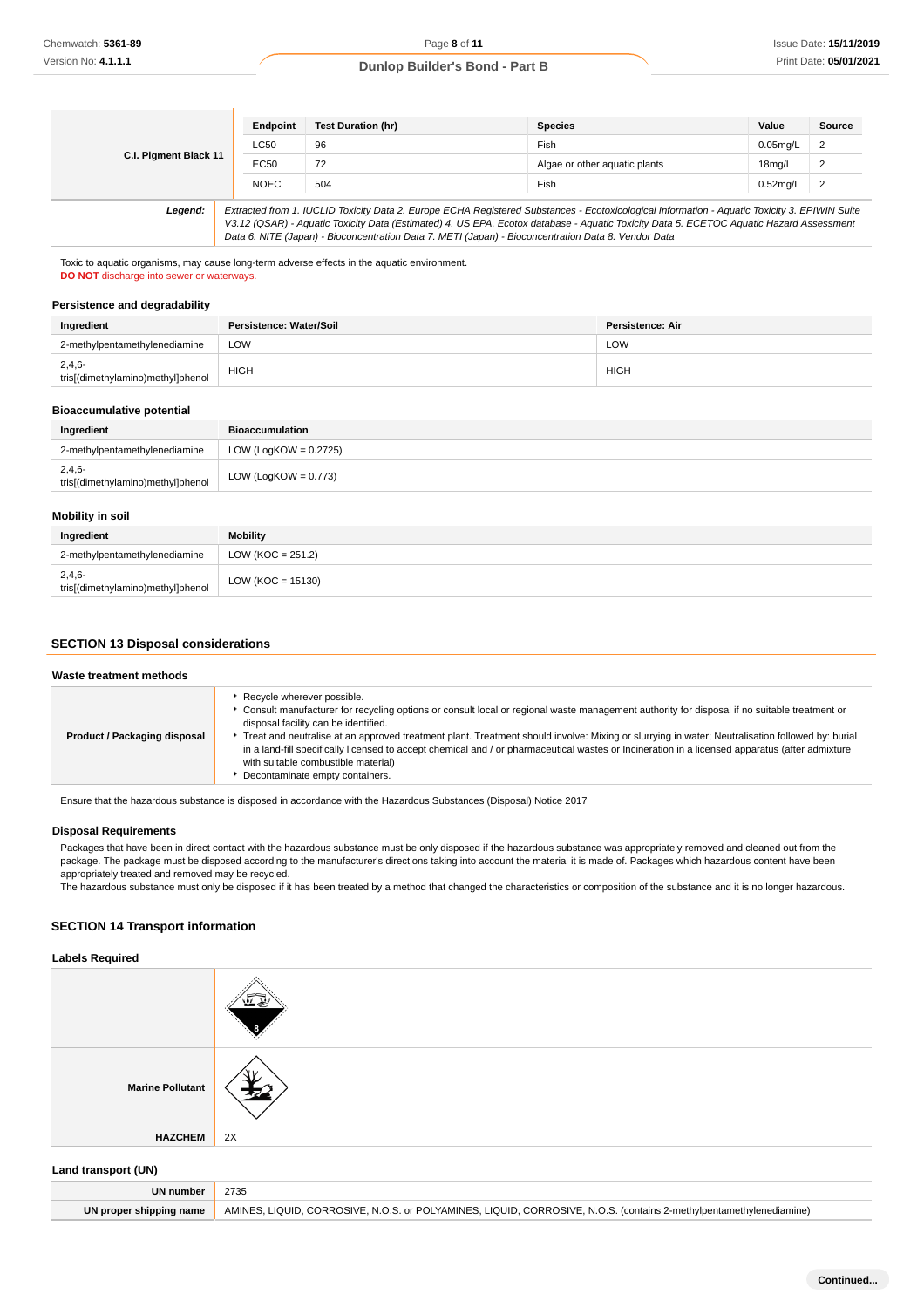**Continued...**

### **Dunlop Builder's Bond - Part B**

|                       | Endpoint    | <b>Test Duration (hr)</b>                                                                                                                                                                                                                                                                                                                                                                       | <b>Species</b>                | Value       | Source         |
|-----------------------|-------------|-------------------------------------------------------------------------------------------------------------------------------------------------------------------------------------------------------------------------------------------------------------------------------------------------------------------------------------------------------------------------------------------------|-------------------------------|-------------|----------------|
| C.I. Pigment Black 11 | <b>LC50</b> | 96                                                                                                                                                                                                                                                                                                                                                                                              | Fish                          | $0.05$ mg/L | $\overline{2}$ |
|                       | EC50        | 72                                                                                                                                                                                                                                                                                                                                                                                              | Algae or other aguatic plants | 18mg/L      | $\overline{2}$ |
|                       | <b>NOEC</b> | 504                                                                                                                                                                                                                                                                                                                                                                                             | Fish                          | $0.52$ mg/L | $\overline{2}$ |
| Legend:               |             | Extracted from 1. IUCLID Toxicity Data 2. Europe ECHA Registered Substances - Ecotoxicological Information - Aquatic Toxicity 3. EPIWIN Suite<br>V3.12 (QSAR) - Aquatic Toxicity Data (Estimated) 4. US EPA, Ecotox database - Aquatic Toxicity Data 5. ECETOC Aquatic Hazard Assessment<br>Data 6. NITE (Japan) - Bioconcentration Data 7. METI (Japan) - Bioconcentration Data 8. Vendor Data |                               |             |                |

#### **Persistence and degradability**

| Ingredient                                    | Persistence: Water/Soil | Persistence: Air |
|-----------------------------------------------|-------------------------|------------------|
| 2-methylpentamethylenediamine                 | LOW                     | LOW              |
| $2,4,6-$<br>tris[(dimethylamino)methyl]phenol | <b>HIGH</b>             | HIGH             |

#### **Bioaccumulative potential**

| Ingredient                                    | <b>Bioaccumulation</b>   |
|-----------------------------------------------|--------------------------|
| 2-methylpentamethylenediamine                 | LOW (LogKOW = $0.2725$ ) |
| $2,4,6-$<br>tris[(dimethylamino)methyl]phenol | LOW (LogKOW = $0.773$ )  |

### **Mobility in soil**

| Ingredient                                    | <b>Mobility</b>      |
|-----------------------------------------------|----------------------|
| 2-methylpentamethylenediamine                 | LOW (KOC = $251.2$ ) |
| $2,4,6-$<br>tris[(dimethylamino)methyl]phenol | $LOW (KOC = 15130)$  |

### **SECTION 13 Disposal considerations**

| Recycle wherever possible.                                                                                                                                                                                                                                                                                                                                                                                                                           | Waste treatment methods |                                                                                                                                               |
|------------------------------------------------------------------------------------------------------------------------------------------------------------------------------------------------------------------------------------------------------------------------------------------------------------------------------------------------------------------------------------------------------------------------------------------------------|-------------------------|-----------------------------------------------------------------------------------------------------------------------------------------------|
| disposal facility can be identified.<br>Freat and neutralise at an approved treatment plant. Treatment should involve: Mixing or slurrying in water; Neutralisation followed by: burial<br>Product / Packaging disposal<br>in a land-fill specifically licensed to accept chemical and / or pharmaceutical wastes or Incineration in a licensed apparatus (after admixture<br>with suitable combustible material)<br>Decontaminate empty containers. |                         | ▶ Consult manufacturer for recycling options or consult local or regional waste management authority for disposal if no suitable treatment or |

#### **Disposal Requirements**

# **SECTION 14 Transport information**

### **Labels Required**

| Chemwatch: 5361-89                                                                                                                                                                                         |                            | Page 8 of 11                                                                                                                                                                              |                |                               |             | Issue Date: 15/11/201 |
|------------------------------------------------------------------------------------------------------------------------------------------------------------------------------------------------------------|----------------------------|-------------------------------------------------------------------------------------------------------------------------------------------------------------------------------------------|----------------|-------------------------------|-------------|-----------------------|
| Version No: 4.1.1.1                                                                                                                                                                                        |                            | <b>Dunlop Builder's Bond - Part B</b>                                                                                                                                                     |                |                               |             | Print Date: 05/01/202 |
|                                                                                                                                                                                                            |                            |                                                                                                                                                                                           |                |                               |             |                       |
|                                                                                                                                                                                                            |                            |                                                                                                                                                                                           |                |                               |             |                       |
|                                                                                                                                                                                                            |                            |                                                                                                                                                                                           |                |                               |             |                       |
|                                                                                                                                                                                                            | Endpoint                   | <b>Test Duration (hr)</b>                                                                                                                                                                 | <b>Species</b> |                               | Value       | <b>Source</b>         |
| C.I. Pigment Black 11                                                                                                                                                                                      | <b>LC50</b>                | 96                                                                                                                                                                                        | Fish           |                               | $0.05$ mg/L | 2                     |
|                                                                                                                                                                                                            | <b>EC50</b>                | 72                                                                                                                                                                                        |                | Algae or other aquatic plants | 18mg/L      | $\overline{2}$        |
|                                                                                                                                                                                                            | <b>NOEC</b>                | 504                                                                                                                                                                                       | Fish           |                               | $0.52$ mg/L | $\overline{c}$        |
| Legend:                                                                                                                                                                                                    |                            | Extracted from 1. IUCLID Toxicity Data 2. Europe ECHA Registered Substances - Ecotoxicological Information - Aquatic Toxicity 3. EPIWIN Suite                                             |                |                               |             |                       |
|                                                                                                                                                                                                            |                            | V3.12 (QSAR) - Aquatic Toxicity Data (Estimated) 4. US EPA, Ecotox database - Aquatic Toxicity Data 5. ECETOC Aquatic Hazard Assessment                                                   |                |                               |             |                       |
|                                                                                                                                                                                                            |                            | Data 6. NITE (Japan) - Bioconcentration Data 7. METI (Japan) - Bioconcentration Data 8. Vendor Data                                                                                       |                |                               |             |                       |
| Toxic to aquatic organisms, may cause long-term adverse effects in the aquatic environment.                                                                                                                |                            |                                                                                                                                                                                           |                |                               |             |                       |
| <b>DO NOT</b> discharge into sewer or waterways.                                                                                                                                                           |                            |                                                                                                                                                                                           |                |                               |             |                       |
|                                                                                                                                                                                                            |                            |                                                                                                                                                                                           |                |                               |             |                       |
| Persistence and degradability                                                                                                                                                                              |                            |                                                                                                                                                                                           |                |                               |             |                       |
| Ingredient                                                                                                                                                                                                 | Persistence: Water/Soil    |                                                                                                                                                                                           |                | <b>Persistence: Air</b>       |             |                       |
| 2-methylpentamethylenediamine                                                                                                                                                                              | LOW                        |                                                                                                                                                                                           |                | <b>LOW</b>                    |             |                       |
| $2,4,6-$                                                                                                                                                                                                   | <b>HIGH</b>                |                                                                                                                                                                                           |                | <b>HIGH</b>                   |             |                       |
| tris[(dimethylamino)methyl]phenol                                                                                                                                                                          |                            |                                                                                                                                                                                           |                |                               |             |                       |
|                                                                                                                                                                                                            |                            |                                                                                                                                                                                           |                |                               |             |                       |
| <b>Bioaccumulative potential</b>                                                                                                                                                                           |                            |                                                                                                                                                                                           |                |                               |             |                       |
| Ingredient                                                                                                                                                                                                 | <b>Bioaccumulation</b>     |                                                                                                                                                                                           |                |                               |             |                       |
| 2-methylpentamethylenediamine                                                                                                                                                                              | LOW (LogKOW = $0.2725$ )   |                                                                                                                                                                                           |                |                               |             |                       |
| $2,4,6-$                                                                                                                                                                                                   | LOW (LogKOW = $0.773$ )    |                                                                                                                                                                                           |                |                               |             |                       |
| tris[(dimethylamino)methyl]phenol                                                                                                                                                                          |                            |                                                                                                                                                                                           |                |                               |             |                       |
| <b>Mobility in soil</b>                                                                                                                                                                                    |                            |                                                                                                                                                                                           |                |                               |             |                       |
|                                                                                                                                                                                                            |                            |                                                                                                                                                                                           |                |                               |             |                       |
| Ingredient                                                                                                                                                                                                 | <b>Mobility</b>            |                                                                                                                                                                                           |                |                               |             |                       |
| 2-methylpentamethylenediamine                                                                                                                                                                              | $LOW (KOC = 251.2)$        |                                                                                                                                                                                           |                |                               |             |                       |
| 2,4,6<br>tris[(dimethylamino)methyl]phenol                                                                                                                                                                 | $LOW (KOC = 15130)$        |                                                                                                                                                                                           |                |                               |             |                       |
|                                                                                                                                                                                                            |                            |                                                                                                                                                                                           |                |                               |             |                       |
| <b>Waste treatment methods</b>                                                                                                                                                                             |                            |                                                                                                                                                                                           |                |                               |             |                       |
|                                                                                                                                                                                                            | Recycle wherever possible. |                                                                                                                                                                                           |                |                               |             |                       |
|                                                                                                                                                                                                            |                            | ▶ Consult manufacturer for recycling options or consult local or regional waste management authority for disposal if no suitable treatment or                                             |                |                               |             |                       |
| Product / Packaging disposal                                                                                                                                                                               |                            | disposal facility can be identified.<br>▶ Treat and neutralise at an approved treatment plant. Treatment should involve: Mixing or slurrying in water; Neutralisation followed by: burial |                |                               |             |                       |
|                                                                                                                                                                                                            |                            | in a land-fill specifically licensed to accept chemical and / or pharmaceutical wastes or Incineration in a licensed apparatus (after admixture                                           |                |                               |             |                       |
|                                                                                                                                                                                                            |                            | with suitable combustible material)<br>Decontaminate empty containers.                                                                                                                    |                |                               |             |                       |
|                                                                                                                                                                                                            |                            |                                                                                                                                                                                           |                |                               |             |                       |
| Ensure that the hazardous substance is disposed in accordance with the Hazardous Substances (Disposal) Notice 2017                                                                                         |                            |                                                                                                                                                                                           |                |                               |             |                       |
|                                                                                                                                                                                                            |                            |                                                                                                                                                                                           |                |                               |             |                       |
| <b>Disposal Requirements</b><br>Packages that have been in direct contact with the hazardous substance must be only disposed if the hazardous substance was appropriately removed and cleaned out from the |                            |                                                                                                                                                                                           |                |                               |             |                       |
| package. The package must be disposed according to the manufacturer's directions taking into account the material it is made of. Packages which hazardous content have been                                |                            |                                                                                                                                                                                           |                |                               |             |                       |
| appropriately treated and removed may be recycled.                                                                                                                                                         |                            |                                                                                                                                                                                           |                |                               |             |                       |
| The hazardous substance must only be disposed if it has been treated by a method that changed the characteristics or composition of the substance and it is no longer hazardous.                           |                            |                                                                                                                                                                                           |                |                               |             |                       |
|                                                                                                                                                                                                            |                            |                                                                                                                                                                                           |                |                               |             |                       |
| <b>SECTION 14 Transport information</b>                                                                                                                                                                    |                            |                                                                                                                                                                                           |                |                               |             |                       |
| <b>Labels Required</b>                                                                                                                                                                                     |                            |                                                                                                                                                                                           |                |                               |             |                       |
|                                                                                                                                                                                                            |                            |                                                                                                                                                                                           |                |                               |             |                       |
|                                                                                                                                                                                                            |                            |                                                                                                                                                                                           |                |                               |             |                       |
|                                                                                                                                                                                                            |                            |                                                                                                                                                                                           |                |                               |             |                       |
|                                                                                                                                                                                                            |                            |                                                                                                                                                                                           |                |                               |             |                       |
|                                                                                                                                                                                                            |                            |                                                                                                                                                                                           |                |                               |             |                       |
|                                                                                                                                                                                                            |                            |                                                                                                                                                                                           |                |                               |             |                       |
|                                                                                                                                                                                                            |                            |                                                                                                                                                                                           |                |                               |             |                       |
| <b>Marine Pollutant</b>                                                                                                                                                                                    |                            |                                                                                                                                                                                           |                |                               |             |                       |
|                                                                                                                                                                                                            |                            |                                                                                                                                                                                           |                |                               |             |                       |
| <b>HAZCHEM</b>                                                                                                                                                                                             | 2X                         |                                                                                                                                                                                           |                |                               |             |                       |
|                                                                                                                                                                                                            |                            |                                                                                                                                                                                           |                |                               |             |                       |
| Land transport (UN)                                                                                                                                                                                        |                            |                                                                                                                                                                                           |                |                               |             |                       |
| <b>UN number</b>                                                                                                                                                                                           | 2735                       |                                                                                                                                                                                           |                |                               |             |                       |
| UN proper shipping name                                                                                                                                                                                    |                            | AMINES, LIQUID, CORROSIVE, N.O.S. or POLYAMINES, LIQUID, CORROSIVE, N.O.S. (contains 2-methylpentamethylenediamine)                                                                       |                |                               |             |                       |
|                                                                                                                                                                                                            |                            |                                                                                                                                                                                           |                |                               |             |                       |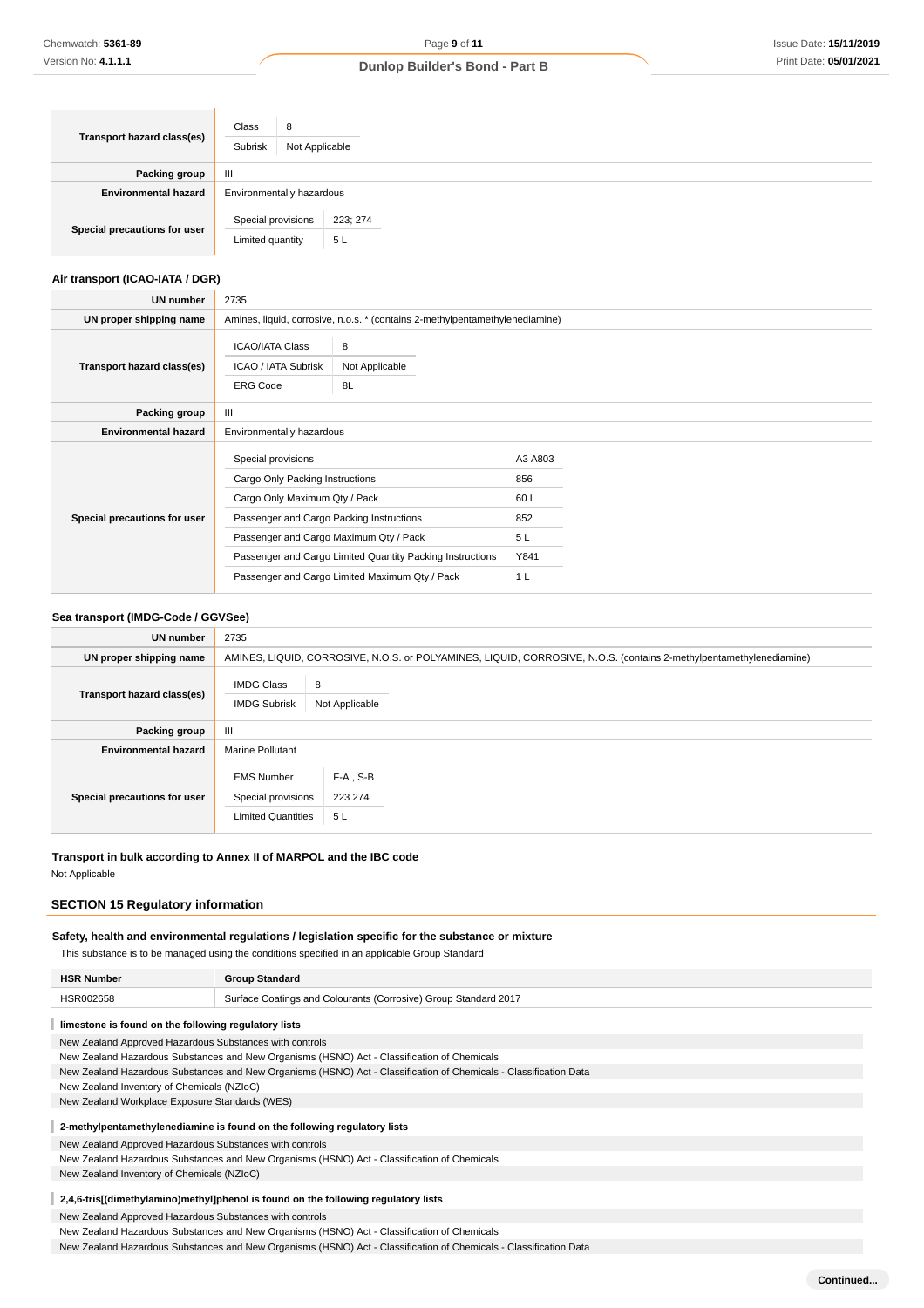| Transport hazard class(es)   | Class<br>8<br>Subrisk                  | Not Applicable            |  |  |
|------------------------------|----------------------------------------|---------------------------|--|--|
| Packing group                | $\mathbf{III}$                         |                           |  |  |
| <b>Environmental hazard</b>  |                                        | Environmentally hazardous |  |  |
| Special precautions for user | Special provisions<br>Limited quantity | 223; 274<br>5L            |  |  |

### **Air transport (ICAO-IATA / DGR)**

| UN number                    | 2735                                                                                                                                                                                                                                                                                        |                                                                              |                                                               |  |  |
|------------------------------|---------------------------------------------------------------------------------------------------------------------------------------------------------------------------------------------------------------------------------------------------------------------------------------------|------------------------------------------------------------------------------|---------------------------------------------------------------|--|--|
| UN proper shipping name      |                                                                                                                                                                                                                                                                                             | Amines, liquid, corrosive, n.o.s. * (contains 2-methylpentamethylenediamine) |                                                               |  |  |
| Transport hazard class(es)   | <b>ICAO/IATA Class</b><br>ICAO / IATA Subrisk<br><b>ERG Code</b>                                                                                                                                                                                                                            | 8<br>Not Applicable<br>8L                                                    |                                                               |  |  |
| Packing group                | Ш                                                                                                                                                                                                                                                                                           |                                                                              |                                                               |  |  |
| <b>Environmental hazard</b>  | Environmentally hazardous                                                                                                                                                                                                                                                                   |                                                                              |                                                               |  |  |
| Special precautions for user | Special provisions<br>Cargo Only Packing Instructions<br>Cargo Only Maximum Qty / Pack<br>Passenger and Cargo Packing Instructions<br>Passenger and Cargo Maximum Qty / Pack<br>Passenger and Cargo Limited Quantity Packing Instructions<br>Passenger and Cargo Limited Maximum Qty / Pack |                                                                              | A3 A803<br>856<br>60 L<br>852<br>5L<br>Y841<br>1 <sub>L</sub> |  |  |

# **Sea transport (IMDG-Code / GGVSee)**

| <b>UN number</b>             | 2735                                                                 |                                                                                                                     |
|------------------------------|----------------------------------------------------------------------|---------------------------------------------------------------------------------------------------------------------|
| UN proper shipping name      |                                                                      | AMINES, LIQUID, CORROSIVE, N.O.S. or POLYAMINES, LIQUID, CORROSIVE, N.O.S. (contains 2-methylpentamethylenediamine) |
| Transport hazard class(es)   | <b>IMDG Class</b><br><b>IMDG Subrisk</b>                             | 8<br>Not Applicable                                                                                                 |
| Packing group                | Ш                                                                    |                                                                                                                     |
| <b>Environmental hazard</b>  | <b>Marine Pollutant</b>                                              |                                                                                                                     |
| Special precautions for user | <b>EMS Number</b><br>Special provisions<br><b>Limited Quantities</b> | $F-A$ , S-B<br>223 274<br>5L                                                                                        |

**Transport in bulk according to Annex II of MARPOL and the IBC code** Not Applicable

# **SECTION 15 Regulatory information**

### **Safety, health and environmental regulations / legislation specific for the substance or mixture**

This substance is to be managed using the conditions specified in an applicable Group Standard

| <b>HSR Number</b>                                                                                                 | <b>Group Standard</b>                                                                                             |  |  |  |  |
|-------------------------------------------------------------------------------------------------------------------|-------------------------------------------------------------------------------------------------------------------|--|--|--|--|
| HSR002658                                                                                                         | Surface Coatings and Colourants (Corrosive) Group Standard 2017                                                   |  |  |  |  |
| limestone is found on the following regulatory lists                                                              |                                                                                                                   |  |  |  |  |
| New Zealand Approved Hazardous Substances with controls                                                           |                                                                                                                   |  |  |  |  |
|                                                                                                                   | New Zealand Hazardous Substances and New Organisms (HSNO) Act - Classification of Chemicals                       |  |  |  |  |
|                                                                                                                   | New Zealand Hazardous Substances and New Organisms (HSNO) Act - Classification of Chemicals - Classification Data |  |  |  |  |
| New Zealand Inventory of Chemicals (NZIoC)                                                                        |                                                                                                                   |  |  |  |  |
| New Zealand Workplace Exposure Standards (WES)                                                                    |                                                                                                                   |  |  |  |  |
|                                                                                                                   | 2-methylpentamethylenediamine is found on the following regulatory lists                                          |  |  |  |  |
| New Zealand Approved Hazardous Substances with controls                                                           |                                                                                                                   |  |  |  |  |
| New Zealand Hazardous Substances and New Organisms (HSNO) Act - Classification of Chemicals                       |                                                                                                                   |  |  |  |  |
| New Zealand Inventory of Chemicals (NZIoC)                                                                        |                                                                                                                   |  |  |  |  |
| 2,4,6-tris[(dimethylamino)methyl]phenol is found on the following regulatory lists                                |                                                                                                                   |  |  |  |  |
|                                                                                                                   | New Zealand Approved Hazardous Substances with controls                                                           |  |  |  |  |
|                                                                                                                   | New Zealand Hazardous Substances and New Organisms (HSNO) Act - Classification of Chemicals                       |  |  |  |  |
| New Zealand Hazardous Substances and New Organisms (HSNO) Act - Classification of Chemicals - Classification Data |                                                                                                                   |  |  |  |  |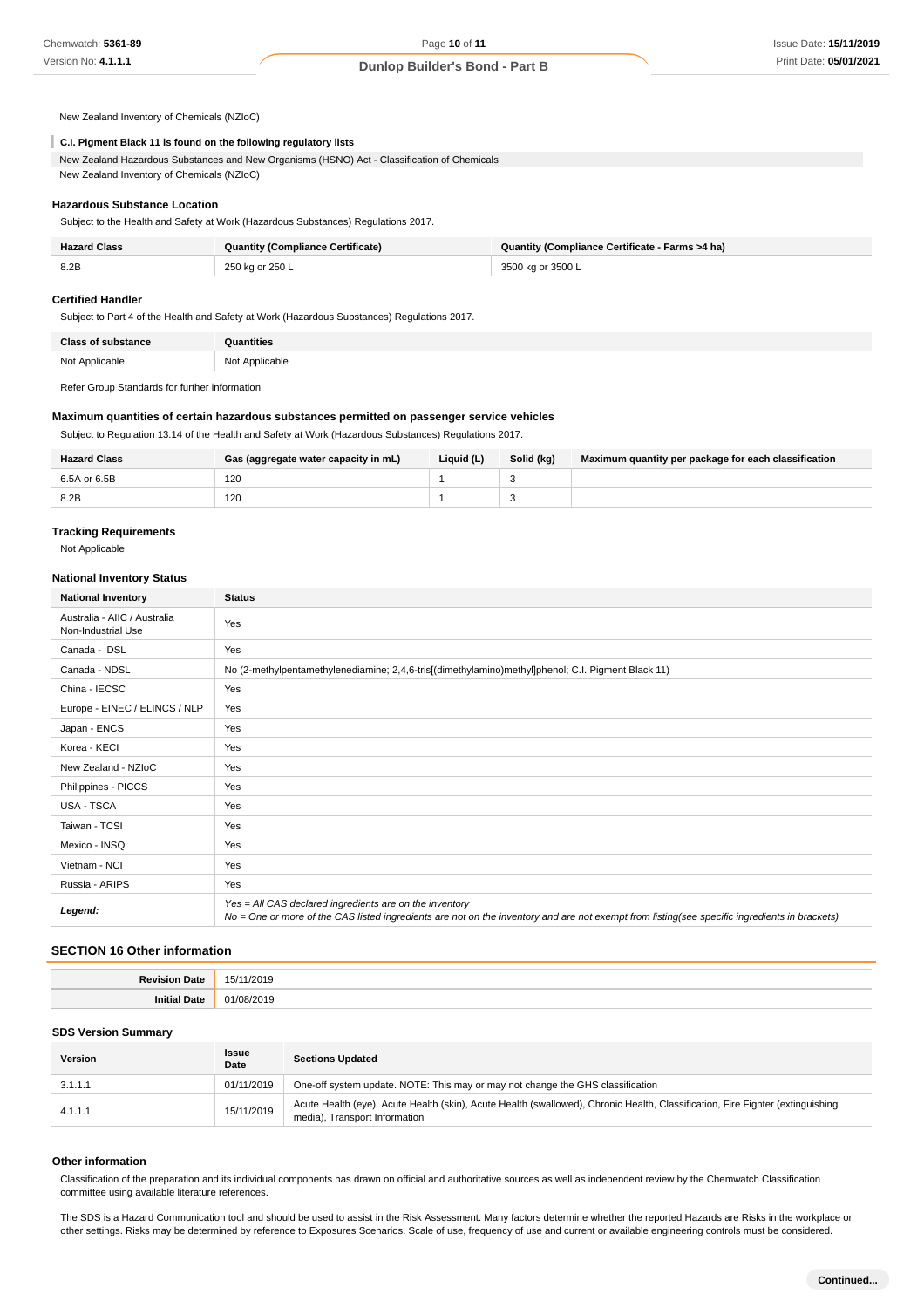New Zealand Inventory of Chemicals (NZIoC)

### **C.I. Pigment Black 11 is found on the following regulatory lists**

New Zealand Hazardous Substances and New Organisms (HSNO) Act - Classification of Chemicals New Zealand Inventory of Chemicals (NZIoC)

#### **Hazardous Substance Location**

Subject to the Health and Safety at Work (Hazardous Substances) Regulations 2017.

| <b>Hazard Class</b> | <b>Quantity (Compliance Certificate)</b> | Quantity (Compliance Certificate - Farms >4 ha) |
|---------------------|------------------------------------------|-------------------------------------------------|
| 8.2B                | 250 kg or 250 L                          | 3500 kg or 3500 L                               |

#### **Certified Handler**

Subject to Part 4 of the Health and Safety at Work (Hazardous Substances) Regulations 2017.

| Close of<br>tance | ntities           |
|-------------------|-------------------|
| -Not Annlicable   | Applicable<br>Not |

Refer Group Standards for further information

#### **Maximum quantities of certain hazardous substances permitted on passenger service vehicles**

Subject to Regulation 13.14 of the Health and Safety at Work (Hazardous Substances) Regulations 2017.

| <b>Hazard Class</b> | Gas (aggregate water capacity in mL) | Liauid (L) | Solid (kg) | Maximum quantity per package for each classification |
|---------------------|--------------------------------------|------------|------------|------------------------------------------------------|
| 6.5A or 6.5B        | 120                                  |            |            |                                                      |
| 8.2B                | 120                                  |            |            |                                                      |

#### **Tracking Requirements**

Not Applicable

#### **National Inventory Status**

| <b>National Inventory</b>                          | <b>Status</b>                                                                                                                                                                                            |  |  |  |
|----------------------------------------------------|----------------------------------------------------------------------------------------------------------------------------------------------------------------------------------------------------------|--|--|--|
| Australia - AIIC / Australia<br>Non-Industrial Use | Yes                                                                                                                                                                                                      |  |  |  |
| Canada - DSL                                       | Yes                                                                                                                                                                                                      |  |  |  |
| Canada - NDSL                                      | No (2-methylpentamethylenediamine; 2,4,6-tris[(dimethylamino)methyl]phenol; C.I. Pigment Black 11)                                                                                                       |  |  |  |
| China - IECSC                                      | Yes                                                                                                                                                                                                      |  |  |  |
| Europe - EINEC / ELINCS / NLP                      | Yes                                                                                                                                                                                                      |  |  |  |
| Japan - ENCS                                       | Yes                                                                                                                                                                                                      |  |  |  |
| Korea - KECI                                       | Yes                                                                                                                                                                                                      |  |  |  |
| New Zealand - NZIoC                                | Yes                                                                                                                                                                                                      |  |  |  |
| Philippines - PICCS                                | Yes                                                                                                                                                                                                      |  |  |  |
| <b>USA - TSCA</b>                                  | Yes                                                                                                                                                                                                      |  |  |  |
| Taiwan - TCSI                                      | Yes                                                                                                                                                                                                      |  |  |  |
| Mexico - INSQ                                      | Yes                                                                                                                                                                                                      |  |  |  |
| Vietnam - NCI                                      | Yes                                                                                                                                                                                                      |  |  |  |
| Russia - ARIPS                                     | Yes                                                                                                                                                                                                      |  |  |  |
| Legend:                                            | Yes = All CAS declared ingredients are on the inventory<br>No = One or more of the CAS listed ingredients are not on the inventory and are not exempt from listing(see specific ingredients in brackets) |  |  |  |

#### **SECTION 16 Other information**

| ъ. | 1/2019<br>$\sim$<br>$\cdot$<br>. |
|----|----------------------------------|
|    | .<br>.                           |

### **SDS Version Summary**

| Version | Issue<br>Date | <b>Sections Updated</b>                                                                                                                                         |
|---------|---------------|-----------------------------------------------------------------------------------------------------------------------------------------------------------------|
| 3.1.1.1 | 01/11/2019    | One-off system update. NOTE: This may or may not change the GHS classification                                                                                  |
| 4.1.1.1 | 15/11/2019    | Acute Health (eye), Acute Health (skin), Acute Health (swallowed), Chronic Health, Classification, Fire Fighter (extinguishing<br>media), Transport Information |

#### **Other information**

Classification of the preparation and its individual components has drawn on official and authoritative sources as well as independent review by the Chemwatch Classification committee using available literature references.

The SDS is a Hazard Communication tool and should be used to assist in the Risk Assessment. Many factors determine whether the reported Hazards are Risks in the workplace or other settings. Risks may be determined by reference to Exposures Scenarios. Scale of use, frequency of use and current or available engineering controls must be considered.